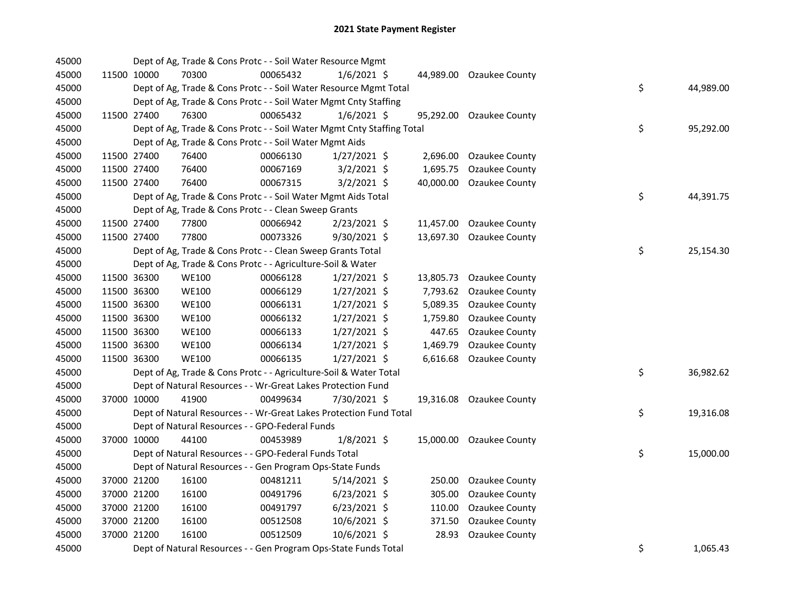| 45000 |             | Dept of Ag, Trade & Cons Protc - - Soil Water Resource Mgmt            |          |                |           |                          |    |           |
|-------|-------------|------------------------------------------------------------------------|----------|----------------|-----------|--------------------------|----|-----------|
| 45000 | 11500 10000 | 70300                                                                  | 00065432 | $1/6/2021$ \$  |           | 44,989.00 Ozaukee County |    |           |
| 45000 |             | Dept of Ag, Trade & Cons Protc - - Soil Water Resource Mgmt Total      |          |                |           |                          | \$ | 44,989.00 |
| 45000 |             | Dept of Ag, Trade & Cons Protc - - Soil Water Mgmt Cnty Staffing       |          |                |           |                          |    |           |
| 45000 | 11500 27400 | 76300                                                                  | 00065432 | $1/6/2021$ \$  | 95,292.00 | Ozaukee County           |    |           |
| 45000 |             | Dept of Ag, Trade & Cons Protc - - Soil Water Mgmt Cnty Staffing Total |          |                |           |                          | \$ | 95,292.00 |
| 45000 |             | Dept of Ag, Trade & Cons Protc - - Soil Water Mgmt Aids                |          |                |           |                          |    |           |
| 45000 | 11500 27400 | 76400                                                                  | 00066130 | $1/27/2021$ \$ |           | 2,696.00 Ozaukee County  |    |           |
| 45000 | 11500 27400 | 76400                                                                  | 00067169 | $3/2/2021$ \$  | 1,695.75  | Ozaukee County           |    |           |
| 45000 | 11500 27400 | 76400                                                                  | 00067315 | $3/2/2021$ \$  |           | 40,000.00 Ozaukee County |    |           |
| 45000 |             | Dept of Ag, Trade & Cons Protc - - Soil Water Mgmt Aids Total          |          |                |           |                          | \$ | 44,391.75 |
| 45000 |             | Dept of Ag, Trade & Cons Protc - - Clean Sweep Grants                  |          |                |           |                          |    |           |
| 45000 | 11500 27400 | 77800                                                                  | 00066942 | 2/23/2021 \$   |           | 11,457.00 Ozaukee County |    |           |
| 45000 | 11500 27400 | 77800                                                                  | 00073326 | $9/30/2021$ \$ |           | 13,697.30 Ozaukee County |    |           |
| 45000 |             | Dept of Ag, Trade & Cons Protc - - Clean Sweep Grants Total            |          |                |           |                          | \$ | 25,154.30 |
| 45000 |             | Dept of Ag, Trade & Cons Protc - - Agriculture-Soil & Water            |          |                |           |                          |    |           |
| 45000 | 11500 36300 | <b>WE100</b>                                                           | 00066128 | $1/27/2021$ \$ |           | 13,805.73 Ozaukee County |    |           |
| 45000 | 11500 36300 | <b>WE100</b>                                                           | 00066129 | $1/27/2021$ \$ | 7,793.62  | Ozaukee County           |    |           |
| 45000 | 11500 36300 | WE100                                                                  | 00066131 | $1/27/2021$ \$ | 5,089.35  | Ozaukee County           |    |           |
| 45000 | 11500 36300 | <b>WE100</b>                                                           | 00066132 | $1/27/2021$ \$ | 1,759.80  | Ozaukee County           |    |           |
| 45000 | 11500 36300 | <b>WE100</b>                                                           | 00066133 | $1/27/2021$ \$ | 447.65    | Ozaukee County           |    |           |
| 45000 | 11500 36300 | <b>WE100</b>                                                           | 00066134 | $1/27/2021$ \$ |           | 1,469.79 Ozaukee County  |    |           |
| 45000 | 11500 36300 | <b>WE100</b>                                                           | 00066135 | $1/27/2021$ \$ |           | 6,616.68 Ozaukee County  |    |           |
| 45000 |             | Dept of Ag, Trade & Cons Protc - - Agriculture-Soil & Water Total      |          |                |           |                          | \$ | 36,982.62 |
| 45000 |             | Dept of Natural Resources - - Wr-Great Lakes Protection Fund           |          |                |           |                          |    |           |
| 45000 | 37000 10000 | 41900                                                                  | 00499634 | 7/30/2021 \$   |           | 19,316.08 Ozaukee County |    |           |
| 45000 |             | Dept of Natural Resources - - Wr-Great Lakes Protection Fund Total     |          |                |           |                          | \$ | 19,316.08 |
| 45000 |             | Dept of Natural Resources - - GPO-Federal Funds                        |          |                |           |                          |    |           |
| 45000 | 37000 10000 | 44100                                                                  | 00453989 | $1/8/2021$ \$  |           | 15,000.00 Ozaukee County |    |           |
| 45000 |             | Dept of Natural Resources - - GPO-Federal Funds Total                  |          |                |           |                          | \$ | 15,000.00 |
| 45000 |             | Dept of Natural Resources - - Gen Program Ops-State Funds              |          |                |           |                          |    |           |
| 45000 | 37000 21200 | 16100                                                                  | 00481211 | $5/14/2021$ \$ |           | 250.00 Ozaukee County    |    |           |
| 45000 | 37000 21200 | 16100                                                                  | 00491796 | $6/23/2021$ \$ | 305.00    | Ozaukee County           |    |           |
| 45000 | 37000 21200 | 16100                                                                  | 00491797 | $6/23/2021$ \$ | 110.00    | Ozaukee County           |    |           |
| 45000 | 37000 21200 | 16100                                                                  | 00512508 | 10/6/2021 \$   | 371.50    | Ozaukee County           |    |           |
| 45000 | 37000 21200 | 16100                                                                  | 00512509 | 10/6/2021 \$   | 28.93     | Ozaukee County           |    |           |
| 45000 |             | Dept of Natural Resources - - Gen Program Ops-State Funds Total        |          |                |           |                          | \$ | 1,065.43  |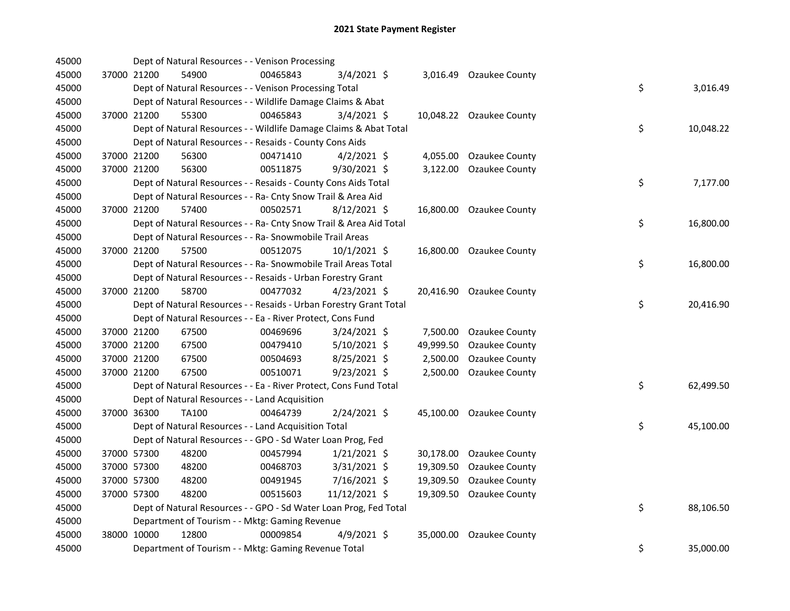| 45000 |             | Dept of Natural Resources - - Venison Processing                   |          |                |           |                          |    |           |
|-------|-------------|--------------------------------------------------------------------|----------|----------------|-----------|--------------------------|----|-----------|
| 45000 | 37000 21200 | 54900                                                              | 00465843 | 3/4/2021 \$    |           | 3,016.49 Ozaukee County  |    |           |
| 45000 |             | Dept of Natural Resources - - Venison Processing Total             |          |                |           |                          | \$ | 3,016.49  |
| 45000 |             | Dept of Natural Resources - - Wildlife Damage Claims & Abat        |          |                |           |                          |    |           |
| 45000 | 37000 21200 | 55300                                                              | 00465843 | $3/4/2021$ \$  |           | 10,048.22 Ozaukee County |    |           |
| 45000 |             | Dept of Natural Resources - - Wildlife Damage Claims & Abat Total  |          |                |           |                          | \$ | 10,048.22 |
| 45000 |             | Dept of Natural Resources - - Resaids - County Cons Aids           |          |                |           |                          |    |           |
| 45000 | 37000 21200 | 56300                                                              | 00471410 | $4/2/2021$ \$  |           | 4,055.00 Ozaukee County  |    |           |
| 45000 | 37000 21200 | 56300                                                              | 00511875 | $9/30/2021$ \$ |           | 3,122.00 Ozaukee County  |    |           |
| 45000 |             | Dept of Natural Resources - - Resaids - County Cons Aids Total     |          |                |           |                          | \$ | 7,177.00  |
| 45000 |             | Dept of Natural Resources - - Ra- Cnty Snow Trail & Area Aid       |          |                |           |                          |    |           |
| 45000 | 37000 21200 | 57400                                                              | 00502571 | $8/12/2021$ \$ |           | 16,800.00 Ozaukee County |    |           |
| 45000 |             | Dept of Natural Resources - - Ra- Cnty Snow Trail & Area Aid Total |          |                |           |                          | \$ | 16,800.00 |
| 45000 |             | Dept of Natural Resources - - Ra- Snowmobile Trail Areas           |          |                |           |                          |    |           |
| 45000 | 37000 21200 | 57500                                                              | 00512075 | $10/1/2021$ \$ |           | 16,800.00 Ozaukee County |    |           |
| 45000 |             | Dept of Natural Resources - - Ra- Snowmobile Trail Areas Total     |          |                |           |                          | \$ | 16,800.00 |
| 45000 |             | Dept of Natural Resources - - Resaids - Urban Forestry Grant       |          |                |           |                          |    |           |
| 45000 | 37000 21200 | 58700                                                              | 00477032 | $4/23/2021$ \$ |           | 20,416.90 Ozaukee County |    |           |
| 45000 |             | Dept of Natural Resources - - Resaids - Urban Forestry Grant Total |          |                |           |                          | \$ | 20,416.90 |
| 45000 |             | Dept of Natural Resources - - Ea - River Protect, Cons Fund        |          |                |           |                          |    |           |
| 45000 | 37000 21200 | 67500                                                              | 00469696 | 3/24/2021 \$   |           | 7,500.00 Ozaukee County  |    |           |
| 45000 | 37000 21200 | 67500                                                              | 00479410 | $5/10/2021$ \$ | 49,999.50 | Ozaukee County           |    |           |
| 45000 | 37000 21200 | 67500                                                              | 00504693 | 8/25/2021 \$   | 2,500.00  | Ozaukee County           |    |           |
| 45000 | 37000 21200 | 67500                                                              | 00510071 | 9/23/2021 \$   |           | 2,500.00 Ozaukee County  |    |           |
| 45000 |             | Dept of Natural Resources - - Ea - River Protect, Cons Fund Total  |          |                |           |                          | \$ | 62,499.50 |
| 45000 |             | Dept of Natural Resources - - Land Acquisition                     |          |                |           |                          |    |           |
| 45000 | 37000 36300 | <b>TA100</b>                                                       | 00464739 | 2/24/2021 \$   |           | 45,100.00 Ozaukee County |    |           |
| 45000 |             | Dept of Natural Resources - - Land Acquisition Total               |          |                |           |                          | \$ | 45,100.00 |
| 45000 |             | Dept of Natural Resources - - GPO - Sd Water Loan Prog, Fed        |          |                |           |                          |    |           |
| 45000 | 37000 57300 | 48200                                                              | 00457994 | $1/21/2021$ \$ |           | 30,178.00 Ozaukee County |    |           |
| 45000 | 37000 57300 | 48200                                                              | 00468703 | $3/31/2021$ \$ | 19,309.50 | Ozaukee County           |    |           |
| 45000 | 37000 57300 | 48200                                                              | 00491945 | 7/16/2021 \$   | 19,309.50 | Ozaukee County           |    |           |
| 45000 | 37000 57300 | 48200                                                              | 00515603 | 11/12/2021 \$  |           | 19,309.50 Ozaukee County |    |           |
| 45000 |             | Dept of Natural Resources - - GPO - Sd Water Loan Prog, Fed Total  |          |                |           |                          | \$ | 88,106.50 |
| 45000 |             | Department of Tourism - - Mktg: Gaming Revenue                     |          |                |           |                          |    |           |
| 45000 | 38000 10000 | 12800                                                              | 00009854 | $4/9/2021$ \$  | 35,000.00 | Ozaukee County           |    |           |
| 45000 |             | Department of Tourism - - Mktg: Gaming Revenue Total               |          |                |           |                          | \$ | 35,000.00 |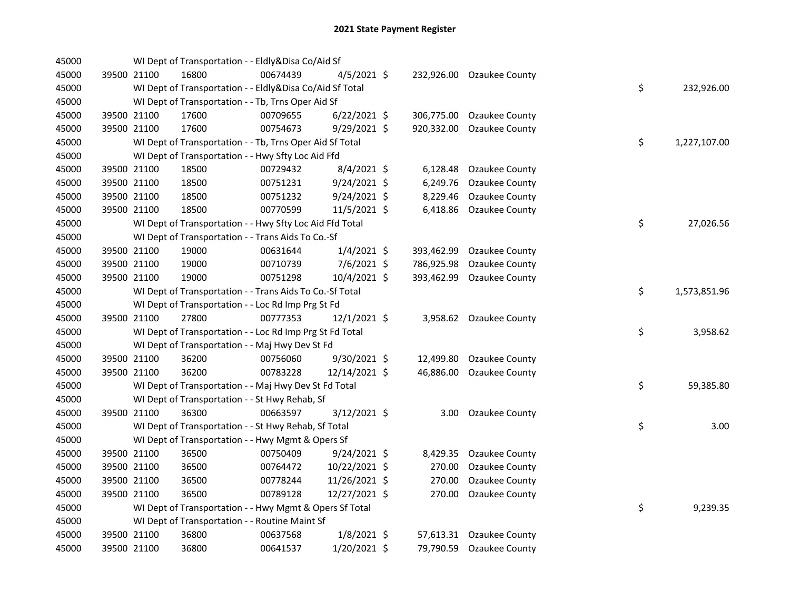| 45000 |             | WI Dept of Transportation - - Eldly&Disa Co/Aid Sf       |          |                |            |                           |    |              |
|-------|-------------|----------------------------------------------------------|----------|----------------|------------|---------------------------|----|--------------|
| 45000 | 39500 21100 | 16800                                                    | 00674439 | $4/5/2021$ \$  |            | 232,926.00 Ozaukee County |    |              |
| 45000 |             | WI Dept of Transportation - - Eldly&Disa Co/Aid Sf Total |          |                |            |                           | \$ | 232,926.00   |
| 45000 |             | WI Dept of Transportation - - Tb, Trns Oper Aid Sf       |          |                |            |                           |    |              |
| 45000 | 39500 21100 | 17600                                                    | 00709655 | $6/22/2021$ \$ | 306,775.00 | <b>Ozaukee County</b>     |    |              |
| 45000 | 39500 21100 | 17600                                                    | 00754673 | 9/29/2021 \$   | 920,332.00 | Ozaukee County            |    |              |
| 45000 |             | WI Dept of Transportation - - Tb, Trns Oper Aid Sf Total |          |                |            |                           | \$ | 1,227,107.00 |
| 45000 |             | WI Dept of Transportation - - Hwy Sfty Loc Aid Ffd       |          |                |            |                           |    |              |
| 45000 | 39500 21100 | 18500                                                    | 00729432 | 8/4/2021 \$    | 6,128.48   | <b>Ozaukee County</b>     |    |              |
| 45000 | 39500 21100 | 18500                                                    | 00751231 | 9/24/2021 \$   | 6,249.76   | <b>Ozaukee County</b>     |    |              |
| 45000 | 39500 21100 | 18500                                                    | 00751232 | $9/24/2021$ \$ | 8,229.46   | <b>Ozaukee County</b>     |    |              |
| 45000 | 39500 21100 | 18500                                                    | 00770599 | 11/5/2021 \$   | 6,418.86   | Ozaukee County            |    |              |
| 45000 |             | WI Dept of Transportation - - Hwy Sfty Loc Aid Ffd Total |          |                |            |                           | \$ | 27,026.56    |
| 45000 |             | WI Dept of Transportation - - Trans Aids To Co.-Sf       |          |                |            |                           |    |              |
| 45000 | 39500 21100 | 19000                                                    | 00631644 | $1/4/2021$ \$  | 393,462.99 | Ozaukee County            |    |              |
| 45000 | 39500 21100 | 19000                                                    | 00710739 | 7/6/2021 \$    | 786,925.98 | Ozaukee County            |    |              |
| 45000 | 39500 21100 | 19000                                                    | 00751298 | 10/4/2021 \$   | 393,462.99 | Ozaukee County            |    |              |
| 45000 |             | WI Dept of Transportation - - Trans Aids To Co.-Sf Total |          |                |            |                           | \$ | 1,573,851.96 |
| 45000 |             | WI Dept of Transportation - - Loc Rd Imp Prg St Fd       |          |                |            |                           |    |              |
| 45000 | 39500 21100 | 27800                                                    | 00777353 | 12/1/2021 \$   |            | 3,958.62 Ozaukee County   |    |              |
| 45000 |             | WI Dept of Transportation - - Loc Rd Imp Prg St Fd Total |          |                |            |                           | \$ | 3,958.62     |
| 45000 |             | WI Dept of Transportation - - Maj Hwy Dev St Fd          |          |                |            |                           |    |              |
| 45000 | 39500 21100 | 36200                                                    | 00756060 | 9/30/2021 \$   | 12,499.80  | Ozaukee County            |    |              |
| 45000 | 39500 21100 | 36200                                                    | 00783228 | 12/14/2021 \$  | 46,886.00  | Ozaukee County            |    |              |
| 45000 |             | WI Dept of Transportation - - Maj Hwy Dev St Fd Total    |          |                |            |                           | \$ | 59,385.80    |
| 45000 |             | WI Dept of Transportation - - St Hwy Rehab, Sf           |          |                |            |                           |    |              |
| 45000 | 39500 21100 | 36300                                                    | 00663597 | 3/12/2021 \$   | 3.00       | Ozaukee County            |    |              |
| 45000 |             | WI Dept of Transportation - - St Hwy Rehab, Sf Total     |          |                |            |                           | \$ | 3.00         |
| 45000 |             | WI Dept of Transportation - - Hwy Mgmt & Opers Sf        |          |                |            |                           |    |              |
| 45000 | 39500 21100 | 36500                                                    | 00750409 | $9/24/2021$ \$ | 8,429.35   | Ozaukee County            |    |              |
| 45000 | 39500 21100 | 36500                                                    | 00764472 | 10/22/2021 \$  | 270.00     | Ozaukee County            |    |              |
| 45000 | 39500 21100 | 36500                                                    | 00778244 | 11/26/2021 \$  | 270.00     | Ozaukee County            |    |              |
| 45000 | 39500 21100 | 36500                                                    | 00789128 | 12/27/2021 \$  | 270.00     | Ozaukee County            |    |              |
| 45000 |             | WI Dept of Transportation - - Hwy Mgmt & Opers Sf Total  |          |                |            |                           | \$ | 9,239.35     |
| 45000 |             | WI Dept of Transportation - - Routine Maint Sf           |          |                |            |                           |    |              |
| 45000 | 39500 21100 | 36800                                                    | 00637568 | $1/8/2021$ \$  | 57,613.31  | Ozaukee County            |    |              |
| 45000 | 39500 21100 | 36800                                                    | 00641537 | 1/20/2021 \$   | 79,790.59  | Ozaukee County            |    |              |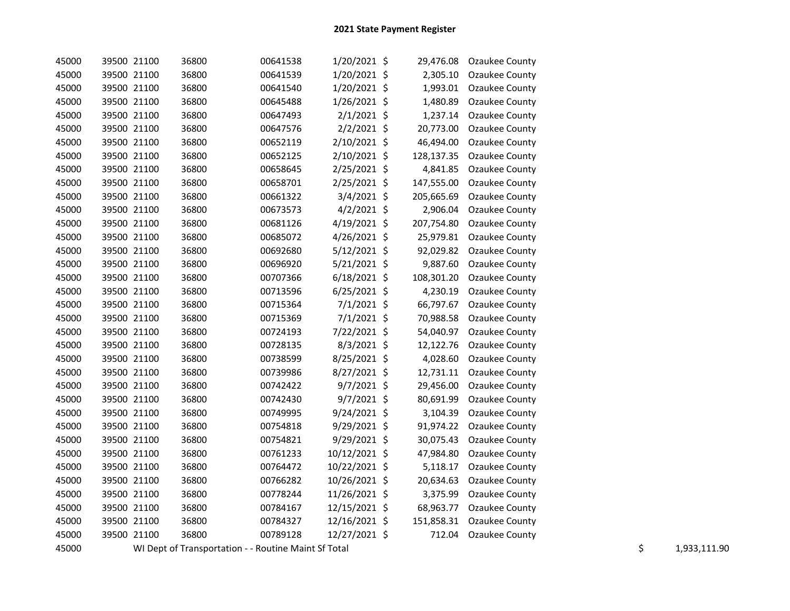| 45000 | 39500 21100 | 36800                                                | 00641538 | 1/20/2021 \$   | 29,476.08  | Ozaukee County |    |              |
|-------|-------------|------------------------------------------------------|----------|----------------|------------|----------------|----|--------------|
| 45000 | 39500 21100 | 36800                                                | 00641539 | $1/20/2021$ \$ | 2,305.10   | Ozaukee County |    |              |
| 45000 | 39500 21100 | 36800                                                | 00641540 | 1/20/2021 \$   | 1,993.01   | Ozaukee County |    |              |
| 45000 | 39500 21100 | 36800                                                | 00645488 | $1/26/2021$ \$ | 1,480.89   | Ozaukee County |    |              |
| 45000 | 39500 21100 | 36800                                                | 00647493 | $2/1/2021$ \$  | 1,237.14   | Ozaukee County |    |              |
| 45000 | 39500 21100 | 36800                                                | 00647576 | $2/2/2021$ \$  | 20,773.00  | Ozaukee County |    |              |
| 45000 | 39500 21100 | 36800                                                | 00652119 | $2/10/2021$ \$ | 46,494.00  | Ozaukee County |    |              |
| 45000 | 39500 21100 | 36800                                                | 00652125 | 2/10/2021 \$   | 128,137.35 | Ozaukee County |    |              |
| 45000 | 39500 21100 | 36800                                                | 00658645 | $2/25/2021$ \$ | 4,841.85   | Ozaukee County |    |              |
| 45000 | 39500 21100 | 36800                                                | 00658701 | $2/25/2021$ \$ | 147,555.00 | Ozaukee County |    |              |
| 45000 | 39500 21100 | 36800                                                | 00661322 | 3/4/2021 \$    | 205,665.69 | Ozaukee County |    |              |
| 45000 | 39500 21100 | 36800                                                | 00673573 | $4/2/2021$ \$  | 2,906.04   | Ozaukee County |    |              |
| 45000 | 39500 21100 | 36800                                                | 00681126 | $4/19/2021$ \$ | 207,754.80 | Ozaukee County |    |              |
| 45000 | 39500 21100 | 36800                                                | 00685072 | 4/26/2021 \$   | 25,979.81  | Ozaukee County |    |              |
| 45000 | 39500 21100 | 36800                                                | 00692680 | $5/12/2021$ \$ | 92,029.82  | Ozaukee County |    |              |
| 45000 | 39500 21100 | 36800                                                | 00696920 | $5/21/2021$ \$ | 9,887.60   | Ozaukee County |    |              |
| 45000 | 39500 21100 | 36800                                                | 00707366 | $6/18/2021$ \$ | 108,301.20 | Ozaukee County |    |              |
| 45000 | 39500 21100 | 36800                                                | 00713596 | $6/25/2021$ \$ | 4,230.19   | Ozaukee County |    |              |
| 45000 | 39500 21100 | 36800                                                | 00715364 | $7/1/2021$ \$  | 66,797.67  | Ozaukee County |    |              |
| 45000 | 39500 21100 | 36800                                                | 00715369 | $7/1/2021$ \$  | 70,988.58  | Ozaukee County |    |              |
| 45000 | 39500 21100 | 36800                                                | 00724193 | 7/22/2021 \$   | 54,040.97  | Ozaukee County |    |              |
| 45000 | 39500 21100 | 36800                                                | 00728135 | $8/3/2021$ \$  | 12,122.76  | Ozaukee County |    |              |
| 45000 | 39500 21100 | 36800                                                | 00738599 | 8/25/2021 \$   | 4,028.60   | Ozaukee County |    |              |
| 45000 | 39500 21100 | 36800                                                | 00739986 | 8/27/2021 \$   | 12,731.11  | Ozaukee County |    |              |
| 45000 | 39500 21100 | 36800                                                | 00742422 | $9/7/2021$ \$  | 29,456.00  | Ozaukee County |    |              |
| 45000 | 39500 21100 | 36800                                                | 00742430 | $9/7/2021$ \$  | 80,691.99  | Ozaukee County |    |              |
| 45000 | 39500 21100 | 36800                                                | 00749995 | $9/24/2021$ \$ | 3,104.39   | Ozaukee County |    |              |
| 45000 | 39500 21100 | 36800                                                | 00754818 | 9/29/2021 \$   | 91,974.22  | Ozaukee County |    |              |
| 45000 | 39500 21100 | 36800                                                | 00754821 | $9/29/2021$ \$ | 30,075.43  | Ozaukee County |    |              |
| 45000 | 39500 21100 | 36800                                                | 00761233 | 10/12/2021 \$  | 47,984.80  | Ozaukee County |    |              |
| 45000 | 39500 21100 | 36800                                                | 00764472 | 10/22/2021 \$  | 5,118.17   | Ozaukee County |    |              |
| 45000 | 39500 21100 | 36800                                                | 00766282 | 10/26/2021 \$  | 20,634.63  | Ozaukee County |    |              |
| 45000 | 39500 21100 | 36800                                                | 00778244 | 11/26/2021 \$  | 3,375.99   | Ozaukee County |    |              |
| 45000 | 39500 21100 | 36800                                                | 00784167 | 12/15/2021 \$  | 68,963.77  | Ozaukee County |    |              |
| 45000 | 39500 21100 | 36800                                                | 00784327 | 12/16/2021 \$  | 151,858.31 | Ozaukee County |    |              |
| 45000 | 39500 21100 | 36800                                                | 00789128 | 12/27/2021 \$  | 712.04     | Ozaukee County |    |              |
| 45000 |             | WI Dept of Transportation - - Routine Maint Sf Total |          |                |            |                | \$ | 1,933,111.90 |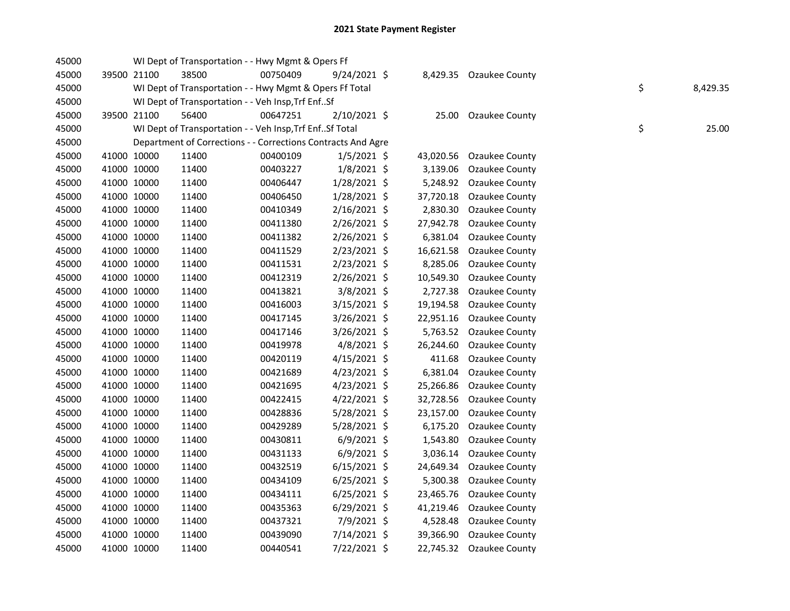| 45000 |             | WI Dept of Transportation - - Hwy Mgmt & Opers Ff            |          |                |           |                         |    |          |
|-------|-------------|--------------------------------------------------------------|----------|----------------|-----------|-------------------------|----|----------|
| 45000 | 39500 21100 | 38500                                                        | 00750409 | 9/24/2021 \$   |           | 8,429.35 Ozaukee County |    |          |
| 45000 |             | WI Dept of Transportation - - Hwy Mgmt & Opers Ff Total      |          |                |           |                         | \$ | 8,429.35 |
| 45000 |             | WI Dept of Transportation - - Veh Insp, Trf EnfSf            |          |                |           |                         |    |          |
| 45000 | 39500 21100 | 56400                                                        | 00647251 | 2/10/2021 \$   | 25.00     | <b>Ozaukee County</b>   |    |          |
| 45000 |             | WI Dept of Transportation - - Veh Insp, Trf EnfSf Total      |          |                |           |                         | \$ | 25.00    |
| 45000 |             | Department of Corrections - - Corrections Contracts And Agre |          |                |           |                         |    |          |
| 45000 | 41000 10000 | 11400                                                        | 00400109 | $1/5/2021$ \$  | 43,020.56 | Ozaukee County          |    |          |
| 45000 | 41000 10000 | 11400                                                        | 00403227 | 1/8/2021 \$    | 3,139.06  | Ozaukee County          |    |          |
| 45000 | 41000 10000 | 11400                                                        | 00406447 | 1/28/2021 \$   | 5,248.92  | Ozaukee County          |    |          |
| 45000 | 41000 10000 | 11400                                                        | 00406450 | 1/28/2021 \$   | 37,720.18 | Ozaukee County          |    |          |
| 45000 | 41000 10000 | 11400                                                        | 00410349 | $2/16/2021$ \$ | 2,830.30  | Ozaukee County          |    |          |
| 45000 | 41000 10000 | 11400                                                        | 00411380 | $2/26/2021$ \$ | 27,942.78 | Ozaukee County          |    |          |
| 45000 | 41000 10000 | 11400                                                        | 00411382 | 2/26/2021 \$   | 6,381.04  | Ozaukee County          |    |          |
| 45000 | 41000 10000 | 11400                                                        | 00411529 | 2/23/2021 \$   | 16,621.58 | Ozaukee County          |    |          |
| 45000 | 41000 10000 | 11400                                                        | 00411531 | 2/23/2021 \$   | 8,285.06  | Ozaukee County          |    |          |
| 45000 | 41000 10000 | 11400                                                        | 00412319 | 2/26/2021 \$   | 10,549.30 | Ozaukee County          |    |          |
| 45000 | 41000 10000 | 11400                                                        | 00413821 | 3/8/2021 \$    | 2,727.38  | Ozaukee County          |    |          |
| 45000 | 41000 10000 | 11400                                                        | 00416003 | 3/15/2021 \$   | 19,194.58 | Ozaukee County          |    |          |
| 45000 | 41000 10000 | 11400                                                        | 00417145 | 3/26/2021 \$   | 22,951.16 | Ozaukee County          |    |          |
| 45000 | 41000 10000 | 11400                                                        | 00417146 | 3/26/2021 \$   | 5,763.52  | Ozaukee County          |    |          |
| 45000 | 41000 10000 | 11400                                                        | 00419978 | 4/8/2021 \$    | 26,244.60 | Ozaukee County          |    |          |
| 45000 | 41000 10000 | 11400                                                        | 00420119 | $4/15/2021$ \$ | 411.68    | Ozaukee County          |    |          |
| 45000 | 41000 10000 | 11400                                                        | 00421689 | $4/23/2021$ \$ | 6,381.04  | Ozaukee County          |    |          |
| 45000 | 41000 10000 | 11400                                                        | 00421695 | $4/23/2021$ \$ | 25,266.86 | Ozaukee County          |    |          |
| 45000 | 41000 10000 | 11400                                                        | 00422415 | $4/22/2021$ \$ | 32,728.56 | Ozaukee County          |    |          |
| 45000 | 41000 10000 | 11400                                                        | 00428836 | 5/28/2021 \$   | 23,157.00 | Ozaukee County          |    |          |
| 45000 | 41000 10000 | 11400                                                        | 00429289 | 5/28/2021 \$   | 6,175.20  | Ozaukee County          |    |          |
| 45000 | 41000 10000 | 11400                                                        | 00430811 | $6/9/2021$ \$  | 1,543.80  | Ozaukee County          |    |          |
| 45000 | 41000 10000 | 11400                                                        | 00431133 | $6/9/2021$ \$  | 3,036.14  | Ozaukee County          |    |          |
| 45000 | 41000 10000 | 11400                                                        | 00432519 | $6/15/2021$ \$ | 24,649.34 | Ozaukee County          |    |          |
| 45000 | 41000 10000 | 11400                                                        | 00434109 | $6/25/2021$ \$ | 5,300.38  | Ozaukee County          |    |          |
| 45000 | 41000 10000 | 11400                                                        | 00434111 | $6/25/2021$ \$ | 23,465.76 | Ozaukee County          |    |          |
| 45000 | 41000 10000 | 11400                                                        | 00435363 | 6/29/2021 \$   | 41,219.46 | Ozaukee County          |    |          |
| 45000 | 41000 10000 | 11400                                                        | 00437321 | 7/9/2021 \$    | 4,528.48  | Ozaukee County          |    |          |
| 45000 | 41000 10000 | 11400                                                        | 00439090 | 7/14/2021 \$   | 39,366.90 | Ozaukee County          |    |          |
| 45000 | 41000 10000 | 11400                                                        | 00440541 | 7/22/2021 \$   | 22,745.32 | Ozaukee County          |    |          |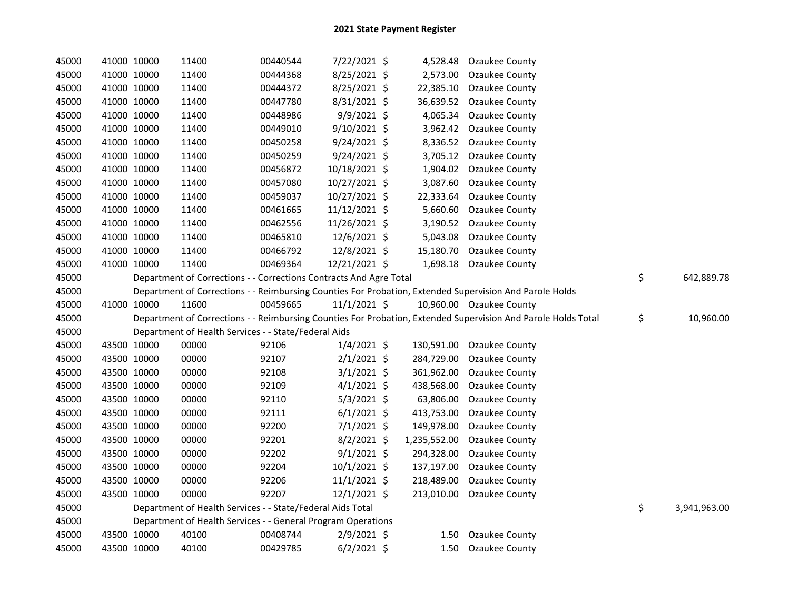| 45000 | 41000 10000 |             | 11400                                                              | 00440544 | 7/22/2021 \$   |              | 4,528.48 Ozaukee County                                                                                       |                    |
|-------|-------------|-------------|--------------------------------------------------------------------|----------|----------------|--------------|---------------------------------------------------------------------------------------------------------------|--------------------|
| 45000 |             | 41000 10000 | 11400                                                              | 00444368 | 8/25/2021 \$   | 2,573.00     | <b>Ozaukee County</b>                                                                                         |                    |
| 45000 |             | 41000 10000 | 11400                                                              | 00444372 | 8/25/2021 \$   | 22,385.10    | Ozaukee County                                                                                                |                    |
| 45000 | 41000 10000 |             | 11400                                                              | 00447780 | 8/31/2021 \$   | 36,639.52    | Ozaukee County                                                                                                |                    |
| 45000 | 41000 10000 |             | 11400                                                              | 00448986 | 9/9/2021 \$    | 4,065.34     | <b>Ozaukee County</b>                                                                                         |                    |
| 45000 | 41000 10000 |             | 11400                                                              | 00449010 | 9/10/2021 \$   | 3,962.42     | Ozaukee County                                                                                                |                    |
| 45000 | 41000 10000 |             | 11400                                                              | 00450258 | 9/24/2021 \$   | 8,336.52     | Ozaukee County                                                                                                |                    |
| 45000 |             | 41000 10000 | 11400                                                              | 00450259 | 9/24/2021 \$   | 3,705.12     | Ozaukee County                                                                                                |                    |
| 45000 |             | 41000 10000 | 11400                                                              | 00456872 | 10/18/2021 \$  | 1,904.02     | <b>Ozaukee County</b>                                                                                         |                    |
| 45000 |             | 41000 10000 | 11400                                                              | 00457080 | 10/27/2021 \$  | 3,087.60     | Ozaukee County                                                                                                |                    |
| 45000 |             | 41000 10000 | 11400                                                              | 00459037 | 10/27/2021 \$  | 22,333.64    | Ozaukee County                                                                                                |                    |
| 45000 |             | 41000 10000 | 11400                                                              | 00461665 | 11/12/2021 \$  | 5,660.60     | Ozaukee County                                                                                                |                    |
| 45000 |             | 41000 10000 | 11400                                                              | 00462556 | 11/26/2021 \$  | 3,190.52     | Ozaukee County                                                                                                |                    |
| 45000 |             | 41000 10000 | 11400                                                              | 00465810 | 12/6/2021 \$   | 5,043.08     | Ozaukee County                                                                                                |                    |
| 45000 |             | 41000 10000 | 11400                                                              | 00466792 | 12/8/2021 \$   | 15,180.70    | Ozaukee County                                                                                                |                    |
| 45000 |             | 41000 10000 | 11400                                                              | 00469364 | 12/21/2021 \$  |              | 1,698.18 Ozaukee County                                                                                       |                    |
| 45000 |             |             | Department of Corrections - - Corrections Contracts And Agre Total |          |                |              |                                                                                                               | \$<br>642,889.78   |
| 45000 |             |             |                                                                    |          |                |              | Department of Corrections - - Reimbursing Counties For Probation, Extended Supervision And Parole Holds       |                    |
| 45000 | 41000 10000 |             | 11600                                                              | 00459665 | $11/1/2021$ \$ |              | 10,960.00 Ozaukee County                                                                                      |                    |
| 45000 |             |             |                                                                    |          |                |              | Department of Corrections - - Reimbursing Counties For Probation, Extended Supervision And Parole Holds Total | \$<br>10,960.00    |
| 45000 |             |             | Department of Health Services - - State/Federal Aids               |          |                |              |                                                                                                               |                    |
| 45000 |             | 43500 10000 | 00000                                                              | 92106    | $1/4/2021$ \$  | 130,591.00   | Ozaukee County                                                                                                |                    |
| 45000 |             | 43500 10000 | 00000                                                              | 92107    | $2/1/2021$ \$  | 284,729.00   | Ozaukee County                                                                                                |                    |
| 45000 |             | 43500 10000 | 00000                                                              | 92108    | $3/1/2021$ \$  | 361,962.00   | <b>Ozaukee County</b>                                                                                         |                    |
| 45000 | 43500 10000 |             | 00000                                                              | 92109    | $4/1/2021$ \$  | 438,568.00   | Ozaukee County                                                                                                |                    |
| 45000 |             | 43500 10000 | 00000                                                              | 92110    | $5/3/2021$ \$  | 63,806.00    | Ozaukee County                                                                                                |                    |
| 45000 |             | 43500 10000 | 00000                                                              | 92111    | $6/1/2021$ \$  | 413,753.00   | Ozaukee County                                                                                                |                    |
| 45000 |             | 43500 10000 | 00000                                                              | 92200    | $7/1/2021$ \$  | 149,978.00   | Ozaukee County                                                                                                |                    |
| 45000 |             | 43500 10000 | 00000                                                              | 92201    | $8/2/2021$ \$  | 1,235,552.00 | Ozaukee County                                                                                                |                    |
| 45000 |             | 43500 10000 | 00000                                                              | 92202    | $9/1/2021$ \$  | 294,328.00   | Ozaukee County                                                                                                |                    |
| 45000 |             | 43500 10000 | 00000                                                              | 92204    | 10/1/2021 \$   | 137,197.00   | Ozaukee County                                                                                                |                    |
| 45000 | 43500 10000 |             | 00000                                                              | 92206    | $11/1/2021$ \$ | 218,489.00   | Ozaukee County                                                                                                |                    |
| 45000 |             | 43500 10000 | 00000                                                              | 92207    | 12/1/2021 \$   | 213,010.00   | Ozaukee County                                                                                                |                    |
| 45000 |             |             | Department of Health Services - - State/Federal Aids Total         |          |                |              |                                                                                                               | \$<br>3,941,963.00 |
| 45000 |             |             |                                                                    |          |                |              |                                                                                                               |                    |
|       |             |             | Department of Health Services - - General Program Operations       |          |                |              |                                                                                                               |                    |
| 45000 |             | 43500 10000 | 40100                                                              | 00408744 | $2/9/2021$ \$  | 1.50         | Ozaukee County                                                                                                |                    |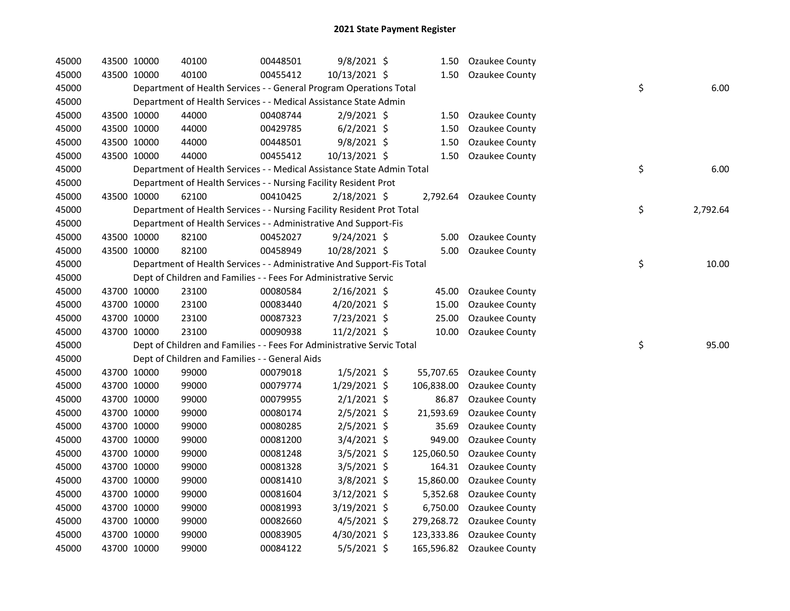| 45000 | 43500 10000 | 40100                                                                  | 00448501 | 9/8/2021 \$    | 1.50       | <b>Ozaukee County</b>     |    |          |
|-------|-------------|------------------------------------------------------------------------|----------|----------------|------------|---------------------------|----|----------|
| 45000 | 43500 10000 | 40100                                                                  | 00455412 | 10/13/2021 \$  | 1.50       | <b>Ozaukee County</b>     |    |          |
| 45000 |             | Department of Health Services - - General Program Operations Total     |          |                |            |                           | \$ | 6.00     |
| 45000 |             | Department of Health Services - - Medical Assistance State Admin       |          |                |            |                           |    |          |
| 45000 | 43500 10000 | 44000                                                                  | 00408744 | 2/9/2021 \$    | 1.50       | Ozaukee County            |    |          |
| 45000 | 43500 10000 | 44000                                                                  | 00429785 | $6/2/2021$ \$  | 1.50       | Ozaukee County            |    |          |
| 45000 | 43500 10000 | 44000                                                                  | 00448501 | $9/8/2021$ \$  | 1.50       | Ozaukee County            |    |          |
| 45000 | 43500 10000 | 44000                                                                  | 00455412 | 10/13/2021 \$  | 1.50       | Ozaukee County            |    |          |
| 45000 |             | Department of Health Services - - Medical Assistance State Admin Total |          |                |            |                           | \$ | 6.00     |
| 45000 |             | Department of Health Services - - Nursing Facility Resident Prot       |          |                |            |                           |    |          |
| 45000 | 43500 10000 | 62100                                                                  | 00410425 | $2/18/2021$ \$ |            | 2,792.64 Ozaukee County   |    |          |
| 45000 |             | Department of Health Services - - Nursing Facility Resident Prot Total |          |                |            |                           | \$ | 2,792.64 |
| 45000 |             | Department of Health Services - - Administrative And Support-Fis       |          |                |            |                           |    |          |
| 45000 | 43500 10000 | 82100                                                                  | 00452027 | $9/24/2021$ \$ | 5.00       | Ozaukee County            |    |          |
| 45000 | 43500 10000 | 82100                                                                  | 00458949 | 10/28/2021 \$  | 5.00       | Ozaukee County            |    |          |
| 45000 |             | Department of Health Services - - Administrative And Support-Fis Total |          |                |            |                           | \$ | 10.00    |
| 45000 |             | Dept of Children and Families - - Fees For Administrative Servic       |          |                |            |                           |    |          |
| 45000 | 43700 10000 | 23100                                                                  | 00080584 | $2/16/2021$ \$ | 45.00      | Ozaukee County            |    |          |
| 45000 | 43700 10000 | 23100                                                                  | 00083440 | $4/20/2021$ \$ | 15.00      | Ozaukee County            |    |          |
| 45000 | 43700 10000 | 23100                                                                  | 00087323 | 7/23/2021 \$   | 25.00      | Ozaukee County            |    |          |
| 45000 | 43700 10000 | 23100                                                                  | 00090938 | 11/2/2021 \$   | 10.00      | Ozaukee County            |    |          |
| 45000 |             | Dept of Children and Families - - Fees For Administrative Servic Total |          |                |            |                           | \$ | 95.00    |
| 45000 |             | Dept of Children and Families - - General Aids                         |          |                |            |                           |    |          |
| 45000 | 43700 10000 | 99000                                                                  | 00079018 | $1/5/2021$ \$  | 55,707.65  | <b>Ozaukee County</b>     |    |          |
| 45000 | 43700 10000 | 99000                                                                  | 00079774 | 1/29/2021 \$   | 106,838.00 | Ozaukee County            |    |          |
| 45000 | 43700 10000 | 99000                                                                  | 00079955 | $2/1/2021$ \$  | 86.87      | Ozaukee County            |    |          |
| 45000 | 43700 10000 | 99000                                                                  | 00080174 | $2/5/2021$ \$  | 21,593.69  | Ozaukee County            |    |          |
| 45000 | 43700 10000 | 99000                                                                  | 00080285 | $2/5/2021$ \$  | 35.69      | Ozaukee County            |    |          |
| 45000 | 43700 10000 | 99000                                                                  | 00081200 | $3/4/2021$ \$  | 949.00     | Ozaukee County            |    |          |
| 45000 | 43700 10000 | 99000                                                                  | 00081248 | $3/5/2021$ \$  | 125,060.50 | Ozaukee County            |    |          |
| 45000 | 43700 10000 | 99000                                                                  | 00081328 | $3/5/2021$ \$  | 164.31     | Ozaukee County            |    |          |
| 45000 | 43700 10000 | 99000                                                                  | 00081410 | $3/8/2021$ \$  | 15,860.00  | Ozaukee County            |    |          |
| 45000 | 43700 10000 | 99000                                                                  | 00081604 | 3/12/2021 \$   | 5,352.68   | Ozaukee County            |    |          |
| 45000 | 43700 10000 | 99000                                                                  | 00081993 | $3/19/2021$ \$ | 6,750.00   | Ozaukee County            |    |          |
| 45000 | 43700 10000 | 99000                                                                  | 00082660 | $4/5/2021$ \$  | 279,268.72 | Ozaukee County            |    |          |
| 45000 | 43700 10000 | 99000                                                                  | 00083905 | 4/30/2021 \$   | 123,333.86 | Ozaukee County            |    |          |
| 45000 | 43700 10000 | 99000                                                                  | 00084122 | $5/5/2021$ \$  |            | 165,596.82 Ozaukee County |    |          |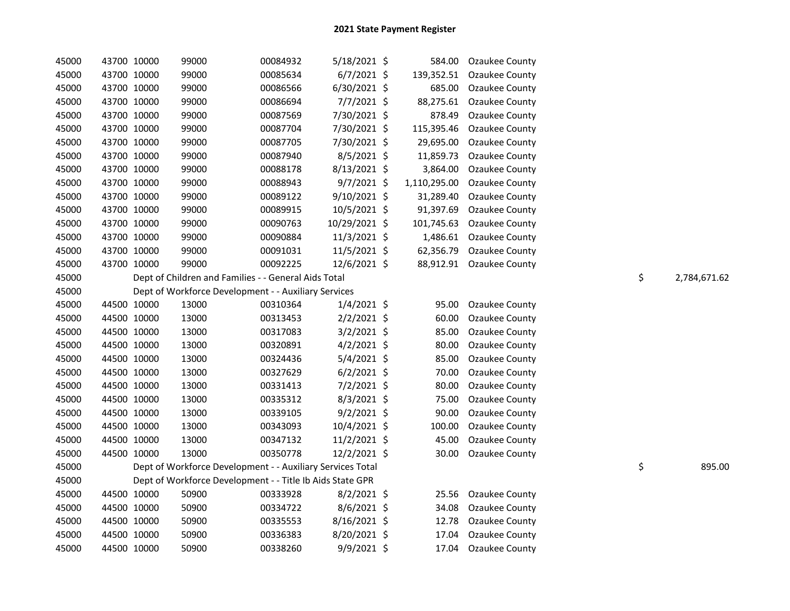| 45000 | 43700 10000 | 99000 | 00084932                                                   | 5/18/2021 \$  | 584.00       | Ozaukee County           |    |              |
|-------|-------------|-------|------------------------------------------------------------|---------------|--------------|--------------------------|----|--------------|
| 45000 | 43700 10000 | 99000 | 00085634                                                   | $6/7/2021$ \$ | 139,352.51   | Ozaukee County           |    |              |
| 45000 | 43700 10000 | 99000 | 00086566                                                   | 6/30/2021 \$  | 685.00       | Ozaukee County           |    |              |
| 45000 | 43700 10000 | 99000 | 00086694                                                   | $7/7/2021$ \$ | 88,275.61    | Ozaukee County           |    |              |
| 45000 | 43700 10000 | 99000 | 00087569                                                   | 7/30/2021 \$  | 878.49       | Ozaukee County           |    |              |
| 45000 | 43700 10000 | 99000 | 00087704                                                   | 7/30/2021 \$  | 115,395.46   | Ozaukee County           |    |              |
| 45000 | 43700 10000 | 99000 | 00087705                                                   | 7/30/2021 \$  | 29,695.00    | Ozaukee County           |    |              |
| 45000 | 43700 10000 | 99000 | 00087940                                                   | $8/5/2021$ \$ | 11,859.73    | Ozaukee County           |    |              |
| 45000 | 43700 10000 | 99000 | 00088178                                                   | 8/13/2021 \$  | 3,864.00     | Ozaukee County           |    |              |
| 45000 | 43700 10000 | 99000 | 00088943                                                   | $9/7/2021$ \$ | 1,110,295.00 | Ozaukee County           |    |              |
| 45000 | 43700 10000 | 99000 | 00089122                                                   | 9/10/2021 \$  | 31,289.40    | Ozaukee County           |    |              |
| 45000 | 43700 10000 | 99000 | 00089915                                                   | 10/5/2021 \$  | 91,397.69    | Ozaukee County           |    |              |
| 45000 | 43700 10000 | 99000 | 00090763                                                   | 10/29/2021 \$ | 101,745.63   | Ozaukee County           |    |              |
| 45000 | 43700 10000 | 99000 | 00090884                                                   | 11/3/2021 \$  | 1,486.61     | Ozaukee County           |    |              |
| 45000 | 43700 10000 | 99000 | 00091031                                                   | 11/5/2021 \$  | 62,356.79    | Ozaukee County           |    |              |
| 45000 | 43700 10000 | 99000 | 00092225                                                   | 12/6/2021 \$  |              | 88,912.91 Ozaukee County |    |              |
| 45000 |             |       | Dept of Children and Families - - General Aids Total       |               |              |                          | \$ | 2,784,671.62 |
| 45000 |             |       | Dept of Workforce Development - - Auxiliary Services       |               |              |                          |    |              |
| 45000 | 44500 10000 | 13000 | 00310364                                                   | $1/4/2021$ \$ | 95.00        | Ozaukee County           |    |              |
| 45000 | 44500 10000 | 13000 | 00313453                                                   | $2/2/2021$ \$ | 60.00        | Ozaukee County           |    |              |
| 45000 | 44500 10000 | 13000 | 00317083                                                   | 3/2/2021 \$   | 85.00        | Ozaukee County           |    |              |
| 45000 | 44500 10000 | 13000 | 00320891                                                   | $4/2/2021$ \$ | 80.00        | Ozaukee County           |    |              |
| 45000 | 44500 10000 | 13000 | 00324436                                                   | 5/4/2021 \$   | 85.00        | Ozaukee County           |    |              |
| 45000 | 44500 10000 | 13000 | 00327629                                                   | $6/2/2021$ \$ | 70.00        | Ozaukee County           |    |              |
| 45000 | 44500 10000 | 13000 | 00331413                                                   | $7/2/2021$ \$ | 80.00        | Ozaukee County           |    |              |
| 45000 | 44500 10000 | 13000 | 00335312                                                   | $8/3/2021$ \$ | 75.00        | Ozaukee County           |    |              |
| 45000 | 44500 10000 | 13000 | 00339105                                                   | $9/2/2021$ \$ | 90.00        | Ozaukee County           |    |              |
| 45000 | 44500 10000 | 13000 | 00343093                                                   | 10/4/2021 \$  | 100.00       | Ozaukee County           |    |              |
| 45000 | 44500 10000 | 13000 | 00347132                                                   | 11/2/2021 \$  | 45.00        | Ozaukee County           |    |              |
| 45000 | 44500 10000 | 13000 | 00350778                                                   | 12/2/2021 \$  | 30.00        | Ozaukee County           |    |              |
| 45000 |             |       | Dept of Workforce Development - - Auxiliary Services Total |               |              |                          | \$ | 895.00       |
| 45000 |             |       | Dept of Workforce Development - - Title Ib Aids State GPR  |               |              |                          |    |              |
| 45000 | 44500 10000 | 50900 | 00333928                                                   | $8/2/2021$ \$ | 25.56        | <b>Ozaukee County</b>    |    |              |
| 45000 | 44500 10000 | 50900 | 00334722                                                   | $8/6/2021$ \$ | 34.08        | Ozaukee County           |    |              |
| 45000 | 44500 10000 | 50900 | 00335553                                                   | 8/16/2021 \$  | 12.78        | Ozaukee County           |    |              |
| 45000 | 44500 10000 | 50900 | 00336383                                                   | 8/20/2021 \$  | 17.04        | Ozaukee County           |    |              |
| 45000 | 44500 10000 | 50900 | 00338260                                                   | 9/9/2021 \$   | 17.04        | <b>Ozaukee County</b>    |    |              |
|       |             |       |                                                            |               |              |                          |    |              |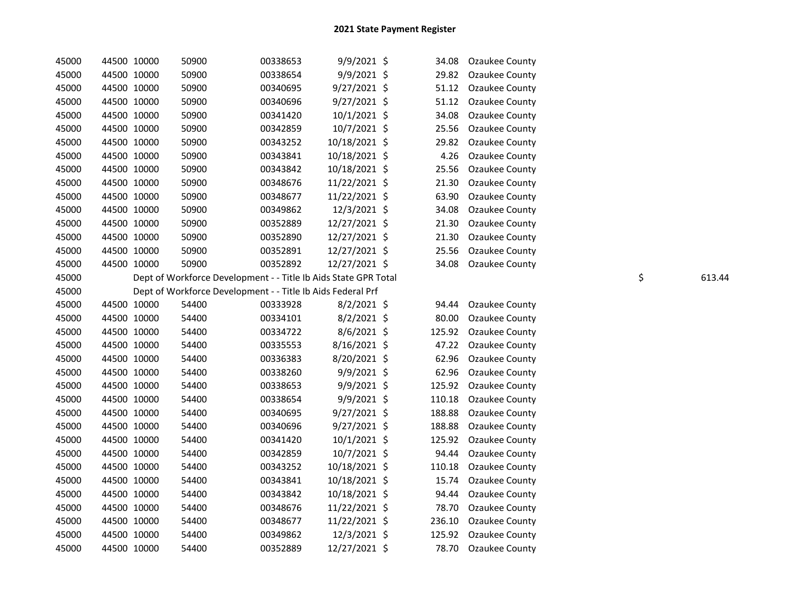| 45000 | 44500 10000 | 50900 | 00338653                                                        | 9/9/2021 \$    | 34.08  | Ozaukee County |    |        |
|-------|-------------|-------|-----------------------------------------------------------------|----------------|--------|----------------|----|--------|
| 45000 | 44500 10000 | 50900 | 00338654                                                        | 9/9/2021 \$    | 29.82  | Ozaukee County |    |        |
| 45000 | 44500 10000 | 50900 | 00340695                                                        | $9/27/2021$ \$ | 51.12  | Ozaukee County |    |        |
| 45000 | 44500 10000 | 50900 | 00340696                                                        | 9/27/2021 \$   | 51.12  | Ozaukee County |    |        |
| 45000 | 44500 10000 | 50900 | 00341420                                                        | 10/1/2021 \$   | 34.08  | Ozaukee County |    |        |
| 45000 | 44500 10000 | 50900 | 00342859                                                        | 10/7/2021 \$   | 25.56  | Ozaukee County |    |        |
| 45000 | 44500 10000 | 50900 | 00343252                                                        | 10/18/2021 \$  | 29.82  | Ozaukee County |    |        |
| 45000 | 44500 10000 | 50900 | 00343841                                                        | 10/18/2021 \$  | 4.26   | Ozaukee County |    |        |
| 45000 | 44500 10000 | 50900 | 00343842                                                        | 10/18/2021 \$  | 25.56  | Ozaukee County |    |        |
| 45000 | 44500 10000 | 50900 | 00348676                                                        | 11/22/2021 \$  | 21.30  | Ozaukee County |    |        |
| 45000 | 44500 10000 | 50900 | 00348677                                                        | 11/22/2021 \$  | 63.90  | Ozaukee County |    |        |
| 45000 | 44500 10000 | 50900 | 00349862                                                        | 12/3/2021 \$   | 34.08  | Ozaukee County |    |        |
| 45000 | 44500 10000 | 50900 | 00352889                                                        | 12/27/2021 \$  | 21.30  | Ozaukee County |    |        |
| 45000 | 44500 10000 | 50900 | 00352890                                                        | 12/27/2021 \$  | 21.30  | Ozaukee County |    |        |
| 45000 | 44500 10000 | 50900 | 00352891                                                        | 12/27/2021 \$  | 25.56  | Ozaukee County |    |        |
| 45000 | 44500 10000 | 50900 | 00352892                                                        | 12/27/2021 \$  | 34.08  | Ozaukee County |    |        |
| 45000 |             |       | Dept of Workforce Development - - Title Ib Aids State GPR Total |                |        |                | \$ | 613.44 |
| 45000 |             |       | Dept of Workforce Development - - Title Ib Aids Federal Prf     |                |        |                |    |        |
| 45000 | 44500 10000 | 54400 | 00333928                                                        | $8/2/2021$ \$  | 94.44  | Ozaukee County |    |        |
| 45000 | 44500 10000 | 54400 | 00334101                                                        | $8/2/2021$ \$  | 80.00  | Ozaukee County |    |        |
| 45000 | 44500 10000 | 54400 | 00334722                                                        | 8/6/2021 \$    | 125.92 | Ozaukee County |    |        |
| 45000 | 44500 10000 | 54400 | 00335553                                                        | 8/16/2021 \$   | 47.22  | Ozaukee County |    |        |
| 45000 | 44500 10000 | 54400 | 00336383                                                        | 8/20/2021 \$   | 62.96  | Ozaukee County |    |        |
| 45000 | 44500 10000 | 54400 | 00338260                                                        | 9/9/2021 \$    | 62.96  | Ozaukee County |    |        |
| 45000 | 44500 10000 | 54400 | 00338653                                                        | 9/9/2021 \$    | 125.92 | Ozaukee County |    |        |
| 45000 | 44500 10000 | 54400 | 00338654                                                        | $9/9/2021$ \$  | 110.18 | Ozaukee County |    |        |
| 45000 | 44500 10000 | 54400 | 00340695                                                        | 9/27/2021 \$   | 188.88 | Ozaukee County |    |        |
| 45000 | 44500 10000 | 54400 | 00340696                                                        | $9/27/2021$ \$ | 188.88 | Ozaukee County |    |        |
| 45000 | 44500 10000 | 54400 | 00341420                                                        | $10/1/2021$ \$ | 125.92 | Ozaukee County |    |        |
| 45000 | 44500 10000 | 54400 | 00342859                                                        | 10/7/2021 \$   | 94.44  | Ozaukee County |    |        |
| 45000 | 44500 10000 | 54400 | 00343252                                                        | 10/18/2021 \$  | 110.18 | Ozaukee County |    |        |
| 45000 | 44500 10000 | 54400 | 00343841                                                        | 10/18/2021 \$  | 15.74  | Ozaukee County |    |        |
| 45000 | 44500 10000 | 54400 | 00343842                                                        | 10/18/2021 \$  | 94.44  | Ozaukee County |    |        |
| 45000 | 44500 10000 | 54400 | 00348676                                                        | 11/22/2021 \$  | 78.70  | Ozaukee County |    |        |
| 45000 | 44500 10000 | 54400 | 00348677                                                        | 11/22/2021 \$  | 236.10 | Ozaukee County |    |        |
| 45000 | 44500 10000 | 54400 | 00349862                                                        | 12/3/2021 \$   | 125.92 | Ozaukee County |    |        |
| 45000 | 44500 10000 | 54400 | 00352889                                                        | 12/27/2021 \$  | 78.70  | Ozaukee County |    |        |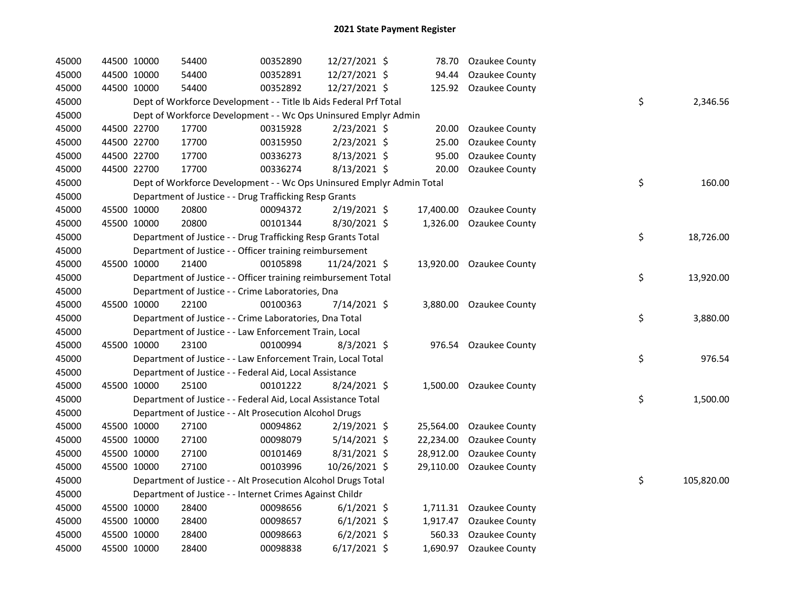| 45000 |             | 44500 10000 | 54400                                                                 | 00352890 | 12/27/2021 \$  |           | 78.70 Ozaukee County     |    |            |
|-------|-------------|-------------|-----------------------------------------------------------------------|----------|----------------|-----------|--------------------------|----|------------|
| 45000 |             | 44500 10000 | 54400                                                                 | 00352891 | 12/27/2021 \$  | 94.44     | <b>Ozaukee County</b>    |    |            |
| 45000 |             | 44500 10000 | 54400                                                                 | 00352892 | 12/27/2021 \$  |           | 125.92 Ozaukee County    |    |            |
| 45000 |             |             | Dept of Workforce Development - - Title Ib Aids Federal Prf Total     |          |                |           |                          | \$ | 2,346.56   |
| 45000 |             |             | Dept of Workforce Development - - Wc Ops Uninsured Emplyr Admin       |          |                |           |                          |    |            |
| 45000 |             | 44500 22700 | 17700                                                                 | 00315928 | $2/23/2021$ \$ | 20.00     | Ozaukee County           |    |            |
| 45000 |             | 44500 22700 | 17700                                                                 | 00315950 | 2/23/2021 \$   | 25.00     | Ozaukee County           |    |            |
| 45000 |             | 44500 22700 | 17700                                                                 | 00336273 | $8/13/2021$ \$ | 95.00     | Ozaukee County           |    |            |
| 45000 |             | 44500 22700 | 17700                                                                 | 00336274 | 8/13/2021 \$   | 20.00     | Ozaukee County           |    |            |
| 45000 |             |             | Dept of Workforce Development - - Wc Ops Uninsured Emplyr Admin Total |          |                |           |                          | \$ | 160.00     |
| 45000 |             |             | Department of Justice - - Drug Trafficking Resp Grants                |          |                |           |                          |    |            |
| 45000 |             | 45500 10000 | 20800                                                                 | 00094372 | 2/19/2021 \$   |           | 17,400.00 Ozaukee County |    |            |
| 45000 |             | 45500 10000 | 20800                                                                 | 00101344 | 8/30/2021 \$   |           | 1,326.00 Ozaukee County  |    |            |
| 45000 |             |             | Department of Justice - - Drug Trafficking Resp Grants Total          |          |                |           |                          | \$ | 18,726.00  |
| 45000 |             |             | Department of Justice - - Officer training reimbursement              |          |                |           |                          |    |            |
| 45000 |             | 45500 10000 | 21400                                                                 | 00105898 | 11/24/2021 \$  |           | 13,920.00 Ozaukee County |    |            |
| 45000 |             |             | Department of Justice - - Officer training reimbursement Total        |          |                |           |                          | \$ | 13,920.00  |
| 45000 |             |             | Department of Justice - - Crime Laboratories, Dna                     |          |                |           |                          |    |            |
| 45000 |             | 45500 10000 | 22100                                                                 | 00100363 | 7/14/2021 \$   |           | 3,880.00 Ozaukee County  |    |            |
| 45000 |             |             | Department of Justice - - Crime Laboratories, Dna Total               |          |                |           |                          | \$ | 3,880.00   |
| 45000 |             |             | Department of Justice - - Law Enforcement Train, Local                |          |                |           |                          |    |            |
| 45000 |             | 45500 10000 | 23100                                                                 | 00100994 | $8/3/2021$ \$  |           | 976.54 Ozaukee County    |    |            |
| 45000 |             |             | Department of Justice - - Law Enforcement Train, Local Total          |          |                |           |                          | \$ | 976.54     |
| 45000 |             |             | Department of Justice - - Federal Aid, Local Assistance               |          |                |           |                          |    |            |
| 45000 |             | 45500 10000 | 25100                                                                 | 00101222 | 8/24/2021 \$   |           | 1,500.00 Ozaukee County  |    |            |
| 45000 |             |             | Department of Justice - - Federal Aid, Local Assistance Total         |          |                |           |                          | \$ | 1,500.00   |
| 45000 |             |             | Department of Justice - - Alt Prosecution Alcohol Drugs               |          |                |           |                          |    |            |
| 45000 |             | 45500 10000 | 27100                                                                 | 00094862 | $2/19/2021$ \$ | 25,564.00 | Ozaukee County           |    |            |
| 45000 |             | 45500 10000 | 27100                                                                 | 00098079 | $5/14/2021$ \$ | 22,234.00 | Ozaukee County           |    |            |
| 45000 |             | 45500 10000 | 27100                                                                 | 00101469 | $8/31/2021$ \$ | 28,912.00 | Ozaukee County           |    |            |
| 45000 |             | 45500 10000 | 27100                                                                 | 00103996 | 10/26/2021 \$  | 29,110.00 | Ozaukee County           |    |            |
| 45000 |             |             | Department of Justice - - Alt Prosecution Alcohol Drugs Total         |          |                |           |                          | \$ | 105,820.00 |
| 45000 |             |             | Department of Justice - - Internet Crimes Against Childr              |          |                |           |                          |    |            |
| 45000 |             | 45500 10000 | 28400                                                                 | 00098656 | $6/1/2021$ \$  |           | 1,711.31 Ozaukee County  |    |            |
| 45000 |             | 45500 10000 | 28400                                                                 | 00098657 | $6/1/2021$ \$  | 1,917.47  | Ozaukee County           |    |            |
| 45000 |             | 45500 10000 | 28400                                                                 | 00098663 | $6/2/2021$ \$  | 560.33    | Ozaukee County           |    |            |
| 45000 | 45500 10000 |             | 28400                                                                 | 00098838 | $6/17/2021$ \$ |           | 1,690.97 Ozaukee County  |    |            |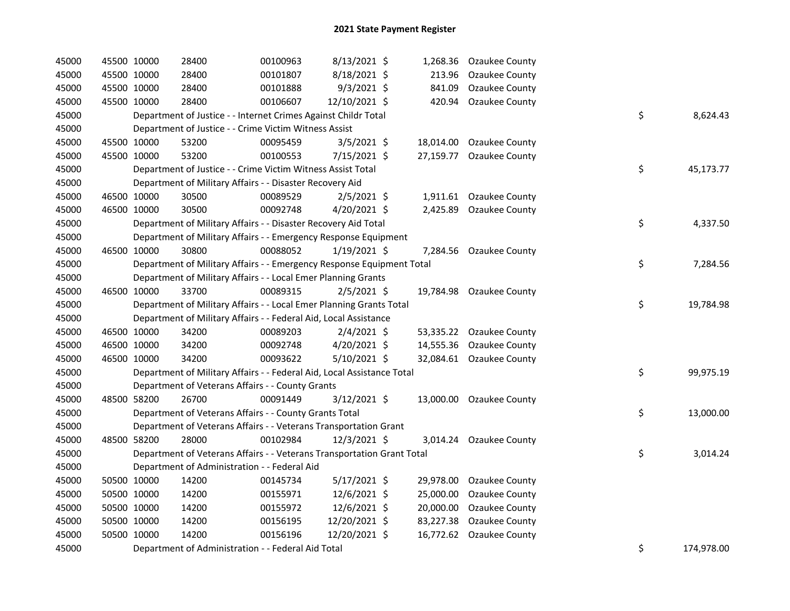| 45000 | 45500 10000 |             | 28400                                                                  | 00100963 | 8/13/2021 \$   | 1,268.36  | Ozaukee County           |    |            |
|-------|-------------|-------------|------------------------------------------------------------------------|----------|----------------|-----------|--------------------------|----|------------|
| 45000 |             | 45500 10000 | 28400                                                                  | 00101807 | 8/18/2021 \$   | 213.96    | Ozaukee County           |    |            |
| 45000 |             | 45500 10000 | 28400                                                                  | 00101888 | 9/3/2021 \$    | 841.09    | Ozaukee County           |    |            |
| 45000 | 45500 10000 |             | 28400                                                                  | 00106607 | 12/10/2021 \$  | 420.94    | Ozaukee County           |    |            |
| 45000 |             |             | Department of Justice - - Internet Crimes Against Childr Total         |          |                |           |                          | \$ | 8,624.43   |
| 45000 |             |             | Department of Justice - - Crime Victim Witness Assist                  |          |                |           |                          |    |            |
| 45000 |             | 45500 10000 | 53200                                                                  | 00095459 | 3/5/2021 \$    | 18,014.00 | Ozaukee County           |    |            |
| 45000 |             | 45500 10000 | 53200                                                                  | 00100553 | 7/15/2021 \$   | 27,159.77 | Ozaukee County           |    |            |
| 45000 |             |             | Department of Justice - - Crime Victim Witness Assist Total            |          |                |           |                          | \$ | 45,173.77  |
| 45000 |             |             | Department of Military Affairs - - Disaster Recovery Aid               |          |                |           |                          |    |            |
| 45000 | 46500 10000 |             | 30500                                                                  | 00089529 | $2/5/2021$ \$  | 1,911.61  | Ozaukee County           |    |            |
| 45000 | 46500 10000 |             | 30500                                                                  | 00092748 | 4/20/2021 \$   | 2,425.89  | Ozaukee County           |    |            |
| 45000 |             |             | Department of Military Affairs - - Disaster Recovery Aid Total         |          |                |           |                          | \$ | 4,337.50   |
| 45000 |             |             | Department of Military Affairs - - Emergency Response Equipment        |          |                |           |                          |    |            |
| 45000 | 46500 10000 |             | 30800                                                                  | 00088052 | $1/19/2021$ \$ | 7,284.56  | Ozaukee County           |    |            |
| 45000 |             |             | Department of Military Affairs - - Emergency Response Equipment Total  |          |                |           |                          | \$ | 7,284.56   |
| 45000 |             |             | Department of Military Affairs - - Local Emer Planning Grants          |          |                |           |                          |    |            |
| 45000 |             | 46500 10000 | 33700                                                                  | 00089315 | $2/5/2021$ \$  | 19,784.98 | <b>Ozaukee County</b>    |    |            |
| 45000 |             |             | Department of Military Affairs - - Local Emer Planning Grants Total    |          |                |           |                          | \$ | 19,784.98  |
| 45000 |             |             | Department of Military Affairs - - Federal Aid, Local Assistance       |          |                |           |                          |    |            |
| 45000 |             | 46500 10000 | 34200                                                                  | 00089203 | $2/4/2021$ \$  | 53,335.22 | Ozaukee County           |    |            |
| 45000 |             | 46500 10000 | 34200                                                                  | 00092748 | 4/20/2021 \$   | 14,555.36 | Ozaukee County           |    |            |
| 45000 | 46500 10000 |             | 34200                                                                  | 00093622 | 5/10/2021 \$   | 32,084.61 | <b>Ozaukee County</b>    |    |            |
| 45000 |             |             | Department of Military Affairs - - Federal Aid, Local Assistance Total |          |                |           |                          | \$ | 99,975.19  |
| 45000 |             |             | Department of Veterans Affairs - - County Grants                       |          |                |           |                          |    |            |
| 45000 |             | 48500 58200 | 26700                                                                  | 00091449 | 3/12/2021 \$   |           | 13,000.00 Ozaukee County |    |            |
| 45000 |             |             | Department of Veterans Affairs - - County Grants Total                 |          |                |           |                          | \$ | 13,000.00  |
| 45000 |             |             | Department of Veterans Affairs - - Veterans Transportation Grant       |          |                |           |                          |    |            |
| 45000 |             | 48500 58200 | 28000                                                                  | 00102984 | 12/3/2021 \$   | 3,014.24  | Ozaukee County           |    |            |
| 45000 |             |             | Department of Veterans Affairs - - Veterans Transportation Grant Total |          |                |           |                          | \$ | 3,014.24   |
| 45000 |             |             | Department of Administration - - Federal Aid                           |          |                |           |                          |    |            |
| 45000 |             | 50500 10000 | 14200                                                                  | 00145734 | 5/17/2021 \$   | 29,978.00 | Ozaukee County           |    |            |
| 45000 | 50500 10000 |             | 14200                                                                  | 00155971 | 12/6/2021 \$   | 25,000.00 | Ozaukee County           |    |            |
| 45000 | 50500 10000 |             | 14200                                                                  | 00155972 | 12/6/2021 \$   | 20,000.00 | Ozaukee County           |    |            |
| 45000 | 50500 10000 |             | 14200                                                                  | 00156195 | 12/20/2021 \$  | 83,227.38 | Ozaukee County           |    |            |
| 45000 |             | 50500 10000 | 14200                                                                  | 00156196 | 12/20/2021 \$  | 16,772.62 | Ozaukee County           |    |            |
| 45000 |             |             | Department of Administration - - Federal Aid Total                     |          |                |           |                          | \$ | 174,978.00 |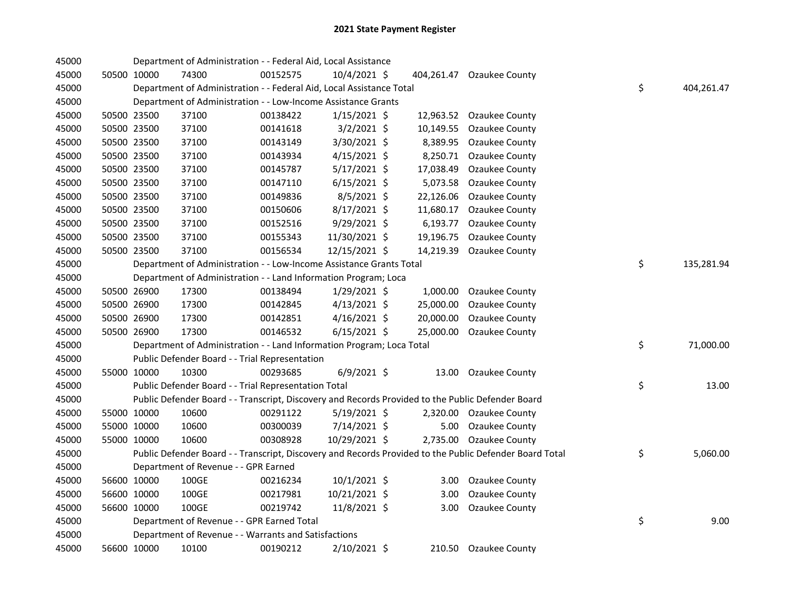| 45000 |             |             | Department of Administration - - Federal Aid, Local Assistance                                    |          |                |           |                                                                                                         |                  |
|-------|-------------|-------------|---------------------------------------------------------------------------------------------------|----------|----------------|-----------|---------------------------------------------------------------------------------------------------------|------------------|
| 45000 |             | 50500 10000 | 74300                                                                                             | 00152575 | 10/4/2021 \$   |           | 404,261.47 Ozaukee County                                                                               |                  |
| 45000 |             |             | Department of Administration - - Federal Aid, Local Assistance Total                              |          |                |           |                                                                                                         | \$<br>404,261.47 |
| 45000 |             |             | Department of Administration - - Low-Income Assistance Grants                                     |          |                |           |                                                                                                         |                  |
| 45000 |             | 50500 23500 | 37100                                                                                             | 00138422 | $1/15/2021$ \$ |           | 12,963.52 Ozaukee County                                                                                |                  |
| 45000 |             | 50500 23500 | 37100                                                                                             | 00141618 | $3/2/2021$ \$  | 10,149.55 | Ozaukee County                                                                                          |                  |
| 45000 |             | 50500 23500 | 37100                                                                                             | 00143149 | 3/30/2021 \$   | 8,389.95  | Ozaukee County                                                                                          |                  |
| 45000 |             | 50500 23500 | 37100                                                                                             | 00143934 | $4/15/2021$ \$ | 8,250.71  | Ozaukee County                                                                                          |                  |
| 45000 |             | 50500 23500 | 37100                                                                                             | 00145787 | 5/17/2021 \$   | 17,038.49 | Ozaukee County                                                                                          |                  |
| 45000 |             | 50500 23500 | 37100                                                                                             | 00147110 | $6/15/2021$ \$ | 5,073.58  | Ozaukee County                                                                                          |                  |
| 45000 |             | 50500 23500 | 37100                                                                                             | 00149836 | $8/5/2021$ \$  | 22,126.06 | Ozaukee County                                                                                          |                  |
| 45000 |             | 50500 23500 | 37100                                                                                             | 00150606 | 8/17/2021 \$   | 11,680.17 | <b>Ozaukee County</b>                                                                                   |                  |
| 45000 |             | 50500 23500 | 37100                                                                                             | 00152516 | 9/29/2021 \$   | 6,193.77  | Ozaukee County                                                                                          |                  |
| 45000 |             | 50500 23500 | 37100                                                                                             | 00155343 | 11/30/2021 \$  | 19,196.75 | Ozaukee County                                                                                          |                  |
| 45000 |             | 50500 23500 | 37100                                                                                             | 00156534 | 12/15/2021 \$  | 14,219.39 | Ozaukee County                                                                                          |                  |
| 45000 |             |             | Department of Administration - - Low-Income Assistance Grants Total                               |          |                |           |                                                                                                         | \$<br>135,281.94 |
| 45000 |             |             | Department of Administration - - Land Information Program; Loca                                   |          |                |           |                                                                                                         |                  |
| 45000 |             | 50500 26900 | 17300                                                                                             | 00138494 | 1/29/2021 \$   |           | 1,000.00 Ozaukee County                                                                                 |                  |
| 45000 |             | 50500 26900 | 17300                                                                                             | 00142845 | $4/13/2021$ \$ | 25,000.00 | Ozaukee County                                                                                          |                  |
| 45000 |             | 50500 26900 | 17300                                                                                             | 00142851 | $4/16/2021$ \$ | 20,000.00 | Ozaukee County                                                                                          |                  |
| 45000 |             | 50500 26900 | 17300                                                                                             | 00146532 | $6/15/2021$ \$ |           | 25,000.00 Ozaukee County                                                                                |                  |
| 45000 |             |             | Department of Administration - - Land Information Program; Loca Total                             |          |                |           |                                                                                                         | \$<br>71,000.00  |
| 45000 |             |             | Public Defender Board - - Trial Representation                                                    |          |                |           |                                                                                                         |                  |
| 45000 |             | 55000 10000 | 10300                                                                                             | 00293685 | $6/9/2021$ \$  |           | 13.00 Ozaukee County                                                                                    |                  |
| 45000 |             |             | Public Defender Board - - Trial Representation Total                                              |          |                |           |                                                                                                         | \$<br>13.00      |
| 45000 |             |             | Public Defender Board - - Transcript, Discovery and Records Provided to the Public Defender Board |          |                |           |                                                                                                         |                  |
| 45000 |             | 55000 10000 | 10600                                                                                             | 00291122 | 5/19/2021 \$   |           | 2,320.00 Ozaukee County                                                                                 |                  |
| 45000 |             | 55000 10000 | 10600                                                                                             | 00300039 | 7/14/2021 \$   | 5.00      | Ozaukee County                                                                                          |                  |
| 45000 |             | 55000 10000 | 10600                                                                                             | 00308928 | 10/29/2021 \$  |           | 2,735.00 Ozaukee County                                                                                 |                  |
| 45000 |             |             |                                                                                                   |          |                |           | Public Defender Board - - Transcript, Discovery and Records Provided to the Public Defender Board Total | \$<br>5,060.00   |
| 45000 |             |             | Department of Revenue - - GPR Earned                                                              |          |                |           |                                                                                                         |                  |
| 45000 |             | 56600 10000 | 100GE                                                                                             | 00216234 | 10/1/2021 \$   | 3.00      | Ozaukee County                                                                                          |                  |
| 45000 |             | 56600 10000 | 100GE                                                                                             | 00217981 | 10/21/2021 \$  | 3.00      | Ozaukee County                                                                                          |                  |
| 45000 |             | 56600 10000 | 100GE                                                                                             | 00219742 | 11/8/2021 \$   | 3.00      | Ozaukee County                                                                                          |                  |
| 45000 |             |             | Department of Revenue - - GPR Earned Total                                                        |          |                |           |                                                                                                         | \$<br>9.00       |
| 45000 |             |             | Department of Revenue - - Warrants and Satisfactions                                              |          |                |           |                                                                                                         |                  |
| 45000 | 56600 10000 |             | 10100                                                                                             | 00190212 | 2/10/2021 \$   |           | 210.50 Ozaukee County                                                                                   |                  |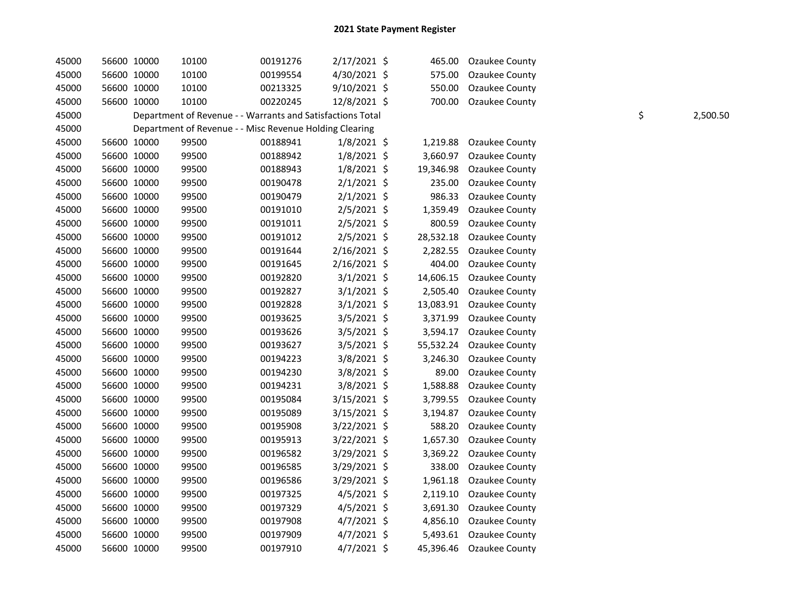| 45000 |             | 56600 10000 | 10100                                                      | 00191276 | 2/17/2021 \$   | 465.00    | Ozaukee County           |    |          |
|-------|-------------|-------------|------------------------------------------------------------|----------|----------------|-----------|--------------------------|----|----------|
| 45000 | 56600 10000 |             | 10100                                                      | 00199554 | 4/30/2021 \$   | 575.00    | Ozaukee County           |    |          |
| 45000 | 56600 10000 |             | 10100                                                      | 00213325 | 9/10/2021 \$   | 550.00    | Ozaukee County           |    |          |
| 45000 |             | 56600 10000 | 10100                                                      | 00220245 | 12/8/2021 \$   | 700.00    | Ozaukee County           |    |          |
| 45000 |             |             | Department of Revenue - - Warrants and Satisfactions Total |          |                |           |                          | \$ | 2,500.50 |
| 45000 |             |             | Department of Revenue - - Misc Revenue Holding Clearing    |          |                |           |                          |    |          |
| 45000 | 56600 10000 |             | 99500                                                      | 00188941 | $1/8/2021$ \$  | 1,219.88  | Ozaukee County           |    |          |
| 45000 | 56600 10000 |             | 99500                                                      | 00188942 | $1/8/2021$ \$  | 3,660.97  | Ozaukee County           |    |          |
| 45000 | 56600 10000 |             | 99500                                                      | 00188943 | $1/8/2021$ \$  | 19,346.98 | Ozaukee County           |    |          |
| 45000 | 56600 10000 |             | 99500                                                      | 00190478 | $2/1/2021$ \$  | 235.00    | Ozaukee County           |    |          |
| 45000 | 56600 10000 |             | 99500                                                      | 00190479 | $2/1/2021$ \$  | 986.33    | Ozaukee County           |    |          |
| 45000 | 56600 10000 |             | 99500                                                      | 00191010 | $2/5/2021$ \$  | 1,359.49  | Ozaukee County           |    |          |
| 45000 | 56600 10000 |             | 99500                                                      | 00191011 | 2/5/2021 \$    | 800.59    | Ozaukee County           |    |          |
| 45000 | 56600 10000 |             | 99500                                                      | 00191012 | $2/5/2021$ \$  | 28,532.18 | Ozaukee County           |    |          |
| 45000 | 56600 10000 |             | 99500                                                      | 00191644 | $2/16/2021$ \$ | 2,282.55  | Ozaukee County           |    |          |
| 45000 |             | 56600 10000 | 99500                                                      | 00191645 | $2/16/2021$ \$ | 404.00    | Ozaukee County           |    |          |
| 45000 |             | 56600 10000 | 99500                                                      | 00192820 | $3/1/2021$ \$  | 14,606.15 | Ozaukee County           |    |          |
| 45000 | 56600 10000 |             | 99500                                                      | 00192827 | $3/1/2021$ \$  | 2,505.40  | Ozaukee County           |    |          |
| 45000 |             | 56600 10000 | 99500                                                      | 00192828 | $3/1/2021$ \$  | 13,083.91 | Ozaukee County           |    |          |
| 45000 | 56600 10000 |             | 99500                                                      | 00193625 | 3/5/2021 \$    | 3,371.99  | Ozaukee County           |    |          |
| 45000 | 56600 10000 |             | 99500                                                      | 00193626 | 3/5/2021 \$    | 3,594.17  | Ozaukee County           |    |          |
| 45000 | 56600 10000 |             | 99500                                                      | 00193627 | 3/5/2021 \$    | 55,532.24 | Ozaukee County           |    |          |
| 45000 | 56600 10000 |             | 99500                                                      | 00194223 | 3/8/2021 \$    | 3,246.30  | Ozaukee County           |    |          |
| 45000 | 56600 10000 |             | 99500                                                      | 00194230 | 3/8/2021 \$    | 89.00     | Ozaukee County           |    |          |
| 45000 | 56600 10000 |             | 99500                                                      | 00194231 | 3/8/2021 \$    | 1,588.88  | Ozaukee County           |    |          |
| 45000 | 56600 10000 |             | 99500                                                      | 00195084 | $3/15/2021$ \$ | 3,799.55  | Ozaukee County           |    |          |
| 45000 | 56600 10000 |             | 99500                                                      | 00195089 | 3/15/2021 \$   | 3,194.87  | Ozaukee County           |    |          |
| 45000 | 56600 10000 |             | 99500                                                      | 00195908 | $3/22/2021$ \$ | 588.20    | Ozaukee County           |    |          |
| 45000 | 56600 10000 |             | 99500                                                      | 00195913 | $3/22/2021$ \$ | 1,657.30  | Ozaukee County           |    |          |
| 45000 |             | 56600 10000 | 99500                                                      | 00196582 | $3/29/2021$ \$ | 3,369.22  | Ozaukee County           |    |          |
| 45000 |             | 56600 10000 | 99500                                                      | 00196585 | 3/29/2021 \$   | 338.00    | Ozaukee County           |    |          |
| 45000 | 56600 10000 |             | 99500                                                      | 00196586 | 3/29/2021 \$   | 1,961.18  | Ozaukee County           |    |          |
| 45000 |             | 56600 10000 | 99500                                                      | 00197325 | $4/5/2021$ \$  | 2,119.10  | Ozaukee County           |    |          |
| 45000 | 56600 10000 |             | 99500                                                      | 00197329 | $4/5/2021$ \$  | 3,691.30  | Ozaukee County           |    |          |
| 45000 | 56600 10000 |             | 99500                                                      | 00197908 | $4/7/2021$ \$  | 4,856.10  | Ozaukee County           |    |          |
| 45000 |             | 56600 10000 | 99500                                                      | 00197909 | $4/7/2021$ \$  | 5,493.61  | Ozaukee County           |    |          |
| 45000 |             | 56600 10000 | 99500                                                      | 00197910 | 4/7/2021 \$    |           | 45,396.46 Ozaukee County |    |          |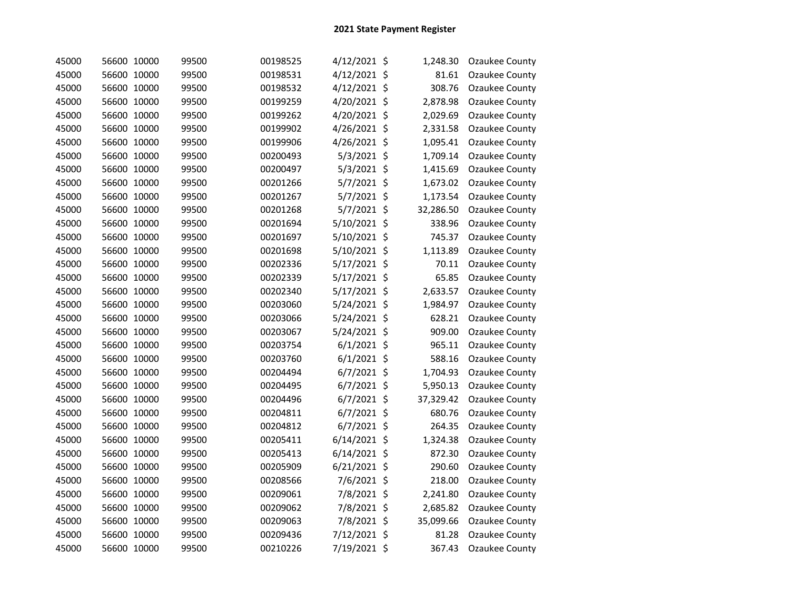| 45000 | 56600 10000 | 99500 | 00198525 | 4/12/2021 \$   | 1,248.30  | Ozaukee County |
|-------|-------------|-------|----------|----------------|-----------|----------------|
| 45000 | 56600 10000 | 99500 | 00198531 | 4/12/2021 \$   | 81.61     | Ozaukee County |
| 45000 | 56600 10000 | 99500 | 00198532 | 4/12/2021 \$   | 308.76    | Ozaukee County |
| 45000 | 56600 10000 | 99500 | 00199259 | 4/20/2021 \$   | 2,878.98  | Ozaukee County |
| 45000 | 56600 10000 | 99500 | 00199262 | 4/20/2021 \$   | 2,029.69  | Ozaukee County |
| 45000 | 56600 10000 | 99500 | 00199902 | 4/26/2021 \$   | 2,331.58  | Ozaukee County |
| 45000 | 56600 10000 | 99500 | 00199906 | 4/26/2021 \$   | 1,095.41  | Ozaukee County |
| 45000 | 56600 10000 | 99500 | 00200493 | 5/3/2021 \$    | 1,709.14  | Ozaukee County |
| 45000 | 56600 10000 | 99500 | 00200497 | 5/3/2021 \$    | 1,415.69  | Ozaukee County |
| 45000 | 56600 10000 | 99500 | 00201266 | 5/7/2021 \$    | 1,673.02  | Ozaukee County |
| 45000 | 56600 10000 | 99500 | 00201267 | 5/7/2021 \$    | 1,173.54  | Ozaukee County |
| 45000 | 56600 10000 | 99500 | 00201268 | 5/7/2021 \$    | 32,286.50 | Ozaukee County |
| 45000 | 56600 10000 | 99500 | 00201694 | 5/10/2021 \$   | 338.96    | Ozaukee County |
| 45000 | 56600 10000 | 99500 | 00201697 | 5/10/2021 \$   | 745.37    | Ozaukee County |
| 45000 | 56600 10000 | 99500 | 00201698 | 5/10/2021 \$   | 1,113.89  | Ozaukee County |
| 45000 | 56600 10000 | 99500 | 00202336 | 5/17/2021 \$   | 70.11     | Ozaukee County |
| 45000 | 56600 10000 | 99500 | 00202339 | 5/17/2021 \$   | 65.85     | Ozaukee County |
| 45000 | 56600 10000 | 99500 | 00202340 | 5/17/2021 \$   | 2,633.57  | Ozaukee County |
| 45000 | 56600 10000 | 99500 | 00203060 | 5/24/2021 \$   | 1,984.97  | Ozaukee County |
| 45000 | 56600 10000 | 99500 | 00203066 | 5/24/2021 \$   | 628.21    | Ozaukee County |
| 45000 | 56600 10000 | 99500 | 00203067 | 5/24/2021 \$   | 909.00    | Ozaukee County |
| 45000 | 56600 10000 | 99500 | 00203754 | $6/1/2021$ \$  | 965.11    | Ozaukee County |
| 45000 | 56600 10000 | 99500 | 00203760 | $6/1/2021$ \$  | 588.16    | Ozaukee County |
| 45000 | 56600 10000 | 99500 | 00204494 | 6/7/2021 \$    | 1,704.93  | Ozaukee County |
| 45000 | 56600 10000 | 99500 | 00204495 | $6/7/2021$ \$  | 5,950.13  | Ozaukee County |
| 45000 | 56600 10000 | 99500 | 00204496 | $6/7/2021$ \$  | 37,329.42 | Ozaukee County |
| 45000 | 56600 10000 | 99500 | 00204811 | $6/7/2021$ \$  | 680.76    | Ozaukee County |
| 45000 | 56600 10000 | 99500 | 00204812 | 6/7/2021 \$    | 264.35    | Ozaukee County |
| 45000 | 56600 10000 | 99500 | 00205411 | $6/14/2021$ \$ | 1,324.38  | Ozaukee County |
| 45000 | 56600 10000 | 99500 | 00205413 | $6/14/2021$ \$ | 872.30    | Ozaukee County |
| 45000 | 56600 10000 | 99500 | 00205909 | 6/21/2021 \$   | 290.60    | Ozaukee County |
| 45000 | 56600 10000 | 99500 | 00208566 | 7/6/2021 \$    | 218.00    | Ozaukee County |
| 45000 | 56600 10000 | 99500 | 00209061 | 7/8/2021 \$    | 2,241.80  | Ozaukee County |
| 45000 | 56600 10000 | 99500 | 00209062 | 7/8/2021 \$    | 2,685.82  | Ozaukee County |
| 45000 | 56600 10000 | 99500 | 00209063 | 7/8/2021 \$    | 35,099.66 | Ozaukee County |
| 45000 | 56600 10000 | 99500 | 00209436 | 7/12/2021 \$   | 81.28     | Ozaukee County |
| 45000 | 56600 10000 | 99500 | 00210226 | 7/19/2021 \$   | 367.43    | Ozaukee County |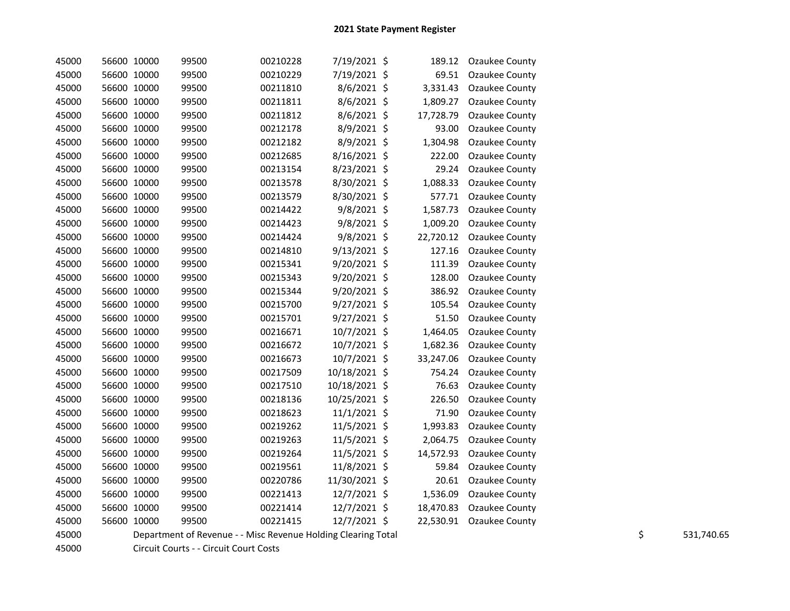| 45000 | 56600 10000 |             | 99500                                                         | 00210228 | 7/19/2021 \$   | 189.12    | Ozaukee County        |    |            |
|-------|-------------|-------------|---------------------------------------------------------------|----------|----------------|-----------|-----------------------|----|------------|
| 45000 |             | 56600 10000 | 99500                                                         | 00210229 | 7/19/2021 \$   | 69.51     | <b>Ozaukee County</b> |    |            |
| 45000 |             | 56600 10000 | 99500                                                         | 00211810 | 8/6/2021 \$    | 3,331.43  | Ozaukee County        |    |            |
| 45000 |             | 56600 10000 | 99500                                                         | 00211811 | 8/6/2021 \$    | 1,809.27  | Ozaukee County        |    |            |
| 45000 |             | 56600 10000 | 99500                                                         | 00211812 | $8/6/2021$ \$  | 17,728.79 | Ozaukee County        |    |            |
| 45000 |             | 56600 10000 | 99500                                                         | 00212178 | 8/9/2021 \$    | 93.00     | Ozaukee County        |    |            |
| 45000 |             | 56600 10000 | 99500                                                         | 00212182 | 8/9/2021 \$    | 1,304.98  | Ozaukee County        |    |            |
| 45000 |             | 56600 10000 | 99500                                                         | 00212685 | 8/16/2021 \$   | 222.00    | Ozaukee County        |    |            |
| 45000 |             | 56600 10000 | 99500                                                         | 00213154 | 8/23/2021 \$   | 29.24     | Ozaukee County        |    |            |
| 45000 |             | 56600 10000 | 99500                                                         | 00213578 | 8/30/2021 \$   | 1,088.33  | Ozaukee County        |    |            |
| 45000 |             | 56600 10000 | 99500                                                         | 00213579 | 8/30/2021 \$   | 577.71    | Ozaukee County        |    |            |
| 45000 |             | 56600 10000 | 99500                                                         | 00214422 | 9/8/2021 \$    | 1,587.73  | Ozaukee County        |    |            |
| 45000 |             | 56600 10000 | 99500                                                         | 00214423 | $9/8/2021$ \$  | 1,009.20  | Ozaukee County        |    |            |
| 45000 |             | 56600 10000 | 99500                                                         | 00214424 | $9/8/2021$ \$  | 22,720.12 | Ozaukee County        |    |            |
| 45000 |             | 56600 10000 | 99500                                                         | 00214810 | 9/13/2021 \$   | 127.16    | Ozaukee County        |    |            |
| 45000 |             | 56600 10000 | 99500                                                         | 00215341 | 9/20/2021 \$   | 111.39    | Ozaukee County        |    |            |
| 45000 |             | 56600 10000 | 99500                                                         | 00215343 | 9/20/2021 \$   | 128.00    | Ozaukee County        |    |            |
| 45000 |             | 56600 10000 | 99500                                                         | 00215344 | 9/20/2021 \$   | 386.92    | Ozaukee County        |    |            |
| 45000 |             | 56600 10000 | 99500                                                         | 00215700 | $9/27/2021$ \$ | 105.54    | Ozaukee County        |    |            |
| 45000 |             | 56600 10000 | 99500                                                         | 00215701 | 9/27/2021 \$   | 51.50     | Ozaukee County        |    |            |
| 45000 |             | 56600 10000 | 99500                                                         | 00216671 | 10/7/2021 \$   | 1,464.05  | Ozaukee County        |    |            |
| 45000 |             | 56600 10000 | 99500                                                         | 00216672 | 10/7/2021 \$   | 1,682.36  | Ozaukee County        |    |            |
| 45000 |             | 56600 10000 | 99500                                                         | 00216673 | 10/7/2021 \$   | 33,247.06 | <b>Ozaukee County</b> |    |            |
| 45000 |             | 56600 10000 | 99500                                                         | 00217509 | 10/18/2021 \$  | 754.24    | Ozaukee County        |    |            |
| 45000 |             | 56600 10000 | 99500                                                         | 00217510 | 10/18/2021 \$  | 76.63     | Ozaukee County        |    |            |
| 45000 |             | 56600 10000 | 99500                                                         | 00218136 | 10/25/2021 \$  | 226.50    | Ozaukee County        |    |            |
| 45000 |             | 56600 10000 | 99500                                                         | 00218623 | $11/1/2021$ \$ | 71.90     | Ozaukee County        |    |            |
| 45000 |             | 56600 10000 | 99500                                                         | 00219262 | 11/5/2021 \$   | 1,993.83  | Ozaukee County        |    |            |
| 45000 |             | 56600 10000 | 99500                                                         | 00219263 | 11/5/2021 \$   | 2,064.75  | Ozaukee County        |    |            |
| 45000 |             | 56600 10000 | 99500                                                         | 00219264 | 11/5/2021 \$   | 14,572.93 | Ozaukee County        |    |            |
| 45000 |             | 56600 10000 | 99500                                                         | 00219561 | 11/8/2021 \$   | 59.84     | Ozaukee County        |    |            |
| 45000 |             | 56600 10000 | 99500                                                         | 00220786 | 11/30/2021 \$  | 20.61     | Ozaukee County        |    |            |
| 45000 |             | 56600 10000 | 99500                                                         | 00221413 | 12/7/2021 \$   | 1,536.09  | Ozaukee County        |    |            |
| 45000 |             | 56600 10000 | 99500                                                         | 00221414 | 12/7/2021 \$   | 18,470.83 | <b>Ozaukee County</b> |    |            |
| 45000 |             | 56600 10000 | 99500                                                         | 00221415 | $12/7/2021$ \$ | 22,530.91 | Ozaukee County        |    |            |
| 45000 |             |             | Department of Revenue - - Misc Revenue Holding Clearing Total |          |                |           |                       | \$ | 531,740.65 |
| 45000 |             |             | Circuit Courts - - Circuit Court Costs                        |          |                |           |                       |    |            |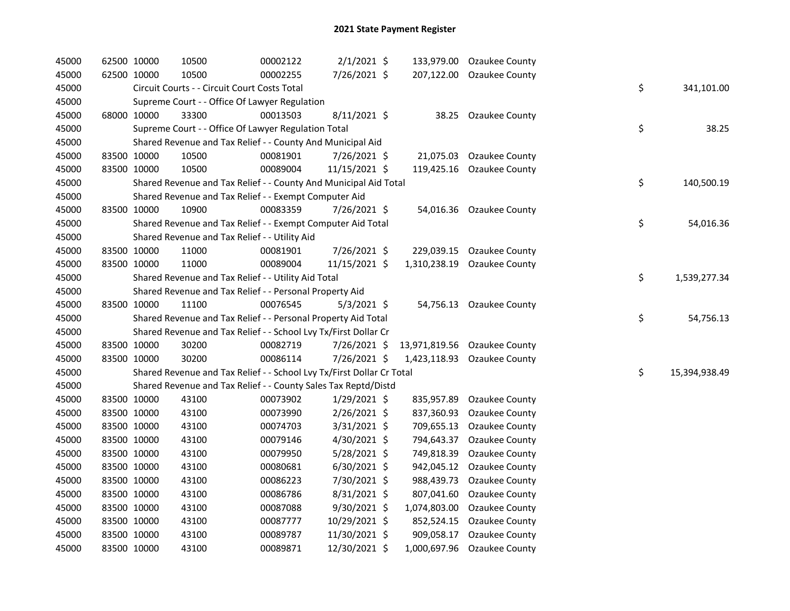| 45000 | 62500 10000 | 10500                                                                 | 00002122 | $2/1/2021$ \$  | 133,979.00   | Ozaukee County               |    |               |
|-------|-------------|-----------------------------------------------------------------------|----------|----------------|--------------|------------------------------|----|---------------|
| 45000 | 62500 10000 | 10500                                                                 | 00002255 | 7/26/2021 \$   | 207,122.00   | <b>Ozaukee County</b>        |    |               |
| 45000 |             | Circuit Courts - - Circuit Court Costs Total                          |          |                |              |                              | \$ | 341,101.00    |
| 45000 |             | Supreme Court - - Office Of Lawyer Regulation                         |          |                |              |                              |    |               |
| 45000 | 68000 10000 | 33300                                                                 | 00013503 | 8/11/2021 \$   | 38.25        | <b>Ozaukee County</b>        |    |               |
| 45000 |             | Supreme Court - - Office Of Lawyer Regulation Total                   |          |                |              |                              | \$ | 38.25         |
| 45000 |             | Shared Revenue and Tax Relief - - County And Municipal Aid            |          |                |              |                              |    |               |
| 45000 | 83500 10000 | 10500                                                                 | 00081901 | 7/26/2021 \$   | 21,075.03    | Ozaukee County               |    |               |
| 45000 | 83500 10000 | 10500                                                                 | 00089004 | 11/15/2021 \$  | 119,425.16   | <b>Ozaukee County</b>        |    |               |
| 45000 |             | Shared Revenue and Tax Relief - - County And Municipal Aid Total      |          |                |              |                              | \$ | 140,500.19    |
| 45000 |             | Shared Revenue and Tax Relief - - Exempt Computer Aid                 |          |                |              |                              |    |               |
| 45000 | 83500 10000 | 10900                                                                 | 00083359 | 7/26/2021 \$   |              | 54,016.36 Ozaukee County     |    |               |
| 45000 |             | Shared Revenue and Tax Relief - - Exempt Computer Aid Total           |          |                |              |                              | \$ | 54,016.36     |
| 45000 |             | Shared Revenue and Tax Relief - - Utility Aid                         |          |                |              |                              |    |               |
| 45000 | 83500 10000 | 11000                                                                 | 00081901 | 7/26/2021 \$   | 229,039.15   | Ozaukee County               |    |               |
| 45000 | 83500 10000 | 11000                                                                 | 00089004 | 11/15/2021 \$  | 1,310,238.19 | Ozaukee County               |    |               |
| 45000 |             | Shared Revenue and Tax Relief - - Utility Aid Total                   |          |                |              |                              | \$ | 1,539,277.34  |
| 45000 |             | Shared Revenue and Tax Relief - - Personal Property Aid               |          |                |              |                              |    |               |
| 45000 | 83500 10000 | 11100                                                                 | 00076545 | $5/3/2021$ \$  |              | 54,756.13 Ozaukee County     |    |               |
| 45000 |             | Shared Revenue and Tax Relief - - Personal Property Aid Total         |          |                |              |                              | \$ | 54,756.13     |
| 45000 |             | Shared Revenue and Tax Relief - - School Lvy Tx/First Dollar Cr       |          |                |              |                              |    |               |
| 45000 | 83500 10000 | 30200                                                                 | 00082719 | 7/26/2021 \$   |              | 13,971,819.56 Ozaukee County |    |               |
| 45000 | 83500 10000 | 30200                                                                 | 00086114 | 7/26/2021 \$   | 1,423,118.93 | Ozaukee County               |    |               |
| 45000 |             | Shared Revenue and Tax Relief - - School Lvy Tx/First Dollar Cr Total |          |                |              |                              | \$ | 15,394,938.49 |
| 45000 |             | Shared Revenue and Tax Relief - - County Sales Tax Reptd/Distd        |          |                |              |                              |    |               |
| 45000 | 83500 10000 | 43100                                                                 | 00073902 | $1/29/2021$ \$ | 835,957.89   | Ozaukee County               |    |               |
| 45000 | 83500 10000 | 43100                                                                 | 00073990 | 2/26/2021 \$   | 837,360.93   | Ozaukee County               |    |               |
| 45000 | 83500 10000 | 43100                                                                 | 00074703 | 3/31/2021 \$   | 709,655.13   | Ozaukee County               |    |               |
| 45000 | 83500 10000 | 43100                                                                 | 00079146 | 4/30/2021 \$   | 794,643.37   | Ozaukee County               |    |               |
| 45000 | 83500 10000 | 43100                                                                 | 00079950 | 5/28/2021 \$   | 749,818.39   | Ozaukee County               |    |               |
| 45000 | 83500 10000 | 43100                                                                 | 00080681 | 6/30/2021 \$   | 942,045.12   | Ozaukee County               |    |               |
| 45000 | 83500 10000 | 43100                                                                 | 00086223 | 7/30/2021 \$   | 988,439.73   | Ozaukee County               |    |               |
| 45000 | 83500 10000 | 43100                                                                 | 00086786 | 8/31/2021 \$   | 807,041.60   | Ozaukee County               |    |               |
| 45000 | 83500 10000 | 43100                                                                 | 00087088 | $9/30/2021$ \$ | 1,074,803.00 | Ozaukee County               |    |               |
| 45000 | 83500 10000 | 43100                                                                 | 00087777 | 10/29/2021 \$  | 852,524.15   | Ozaukee County               |    |               |
| 45000 | 83500 10000 | 43100                                                                 | 00089787 | 11/30/2021 \$  | 909,058.17   | Ozaukee County               |    |               |
| 45000 | 83500 10000 | 43100                                                                 | 00089871 | 12/30/2021 \$  | 1,000,697.96 | Ozaukee County               |    |               |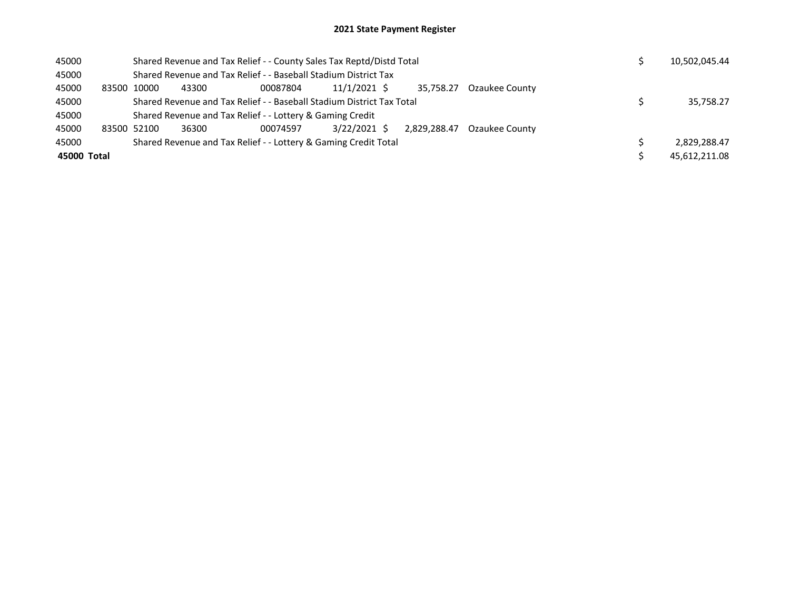| 45000       |       |                                                                 |                                                           | Shared Revenue and Tax Relief - - County Sales Tax Reptd/Distd Total  |              |  | 10,502,045.44 |                |  |  |               |
|-------------|-------|-----------------------------------------------------------------|-----------------------------------------------------------|-----------------------------------------------------------------------|--------------|--|---------------|----------------|--|--|---------------|
| 45000       |       |                                                                 |                                                           | Shared Revenue and Tax Relief - - Baseball Stadium District Tax       |              |  |               |                |  |  |               |
| 45000       | 83500 | 10000                                                           | 43300                                                     | 00087804                                                              | 11/1/2021 \$ |  | 35.758.27     | Ozaukee County |  |  |               |
| 45000       |       |                                                                 |                                                           | Shared Revenue and Tax Relief - - Baseball Stadium District Tax Total |              |  | 35.758.27     |                |  |  |               |
| 45000       |       |                                                                 | Shared Revenue and Tax Relief - - Lottery & Gaming Credit |                                                                       |              |  |               |                |  |  |               |
| 45000       |       | 83500 52100                                                     | 36300                                                     | 00074597                                                              | 3/22/2021 \$ |  | 2.829.288.47  | Ozaukee County |  |  |               |
| 45000       |       | Shared Revenue and Tax Relief - - Lottery & Gaming Credit Total |                                                           |                                                                       |              |  |               |                |  |  | 2,829,288.47  |
| 45000 Total |       |                                                                 |                                                           |                                                                       |              |  |               |                |  |  | 45.612.211.08 |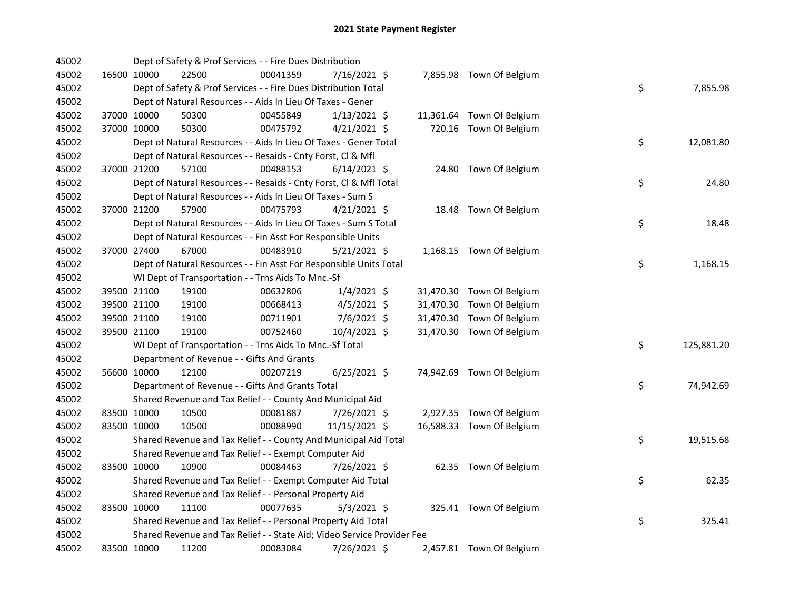| 45002 |             | Dept of Safety & Prof Services - - Fire Dues Distribution               |          |                |  |                           |    |            |
|-------|-------------|-------------------------------------------------------------------------|----------|----------------|--|---------------------------|----|------------|
| 45002 | 16500 10000 | 22500                                                                   | 00041359 | 7/16/2021 \$   |  | 7,855.98 Town Of Belgium  |    |            |
| 45002 |             | Dept of Safety & Prof Services - - Fire Dues Distribution Total         |          |                |  |                           | \$ | 7,855.98   |
| 45002 |             | Dept of Natural Resources - - Aids In Lieu Of Taxes - Gener             |          |                |  |                           |    |            |
| 45002 | 37000 10000 | 50300                                                                   | 00455849 | $1/13/2021$ \$ |  | 11,361.64 Town Of Belgium |    |            |
| 45002 | 37000 10000 | 50300                                                                   | 00475792 | $4/21/2021$ \$ |  | 720.16 Town Of Belgium    |    |            |
| 45002 |             | Dept of Natural Resources - - Aids In Lieu Of Taxes - Gener Total       |          |                |  |                           | \$ | 12,081.80  |
| 45002 |             | Dept of Natural Resources - - Resaids - Cnty Forst, Cl & Mfl            |          |                |  |                           |    |            |
| 45002 | 37000 21200 | 57100                                                                   | 00488153 | $6/14/2021$ \$ |  | 24.80 Town Of Belgium     |    |            |
| 45002 |             | Dept of Natural Resources - - Resaids - Cnty Forst, CI & Mfl Total      |          |                |  |                           | \$ | 24.80      |
| 45002 |             | Dept of Natural Resources - - Aids In Lieu Of Taxes - Sum S             |          |                |  |                           |    |            |
| 45002 | 37000 21200 | 57900                                                                   | 00475793 | $4/21/2021$ \$ |  | 18.48 Town Of Belgium     |    |            |
| 45002 |             | Dept of Natural Resources - - Aids In Lieu Of Taxes - Sum S Total       |          |                |  |                           | \$ | 18.48      |
| 45002 |             | Dept of Natural Resources - - Fin Asst For Responsible Units            |          |                |  |                           |    |            |
| 45002 | 37000 27400 | 67000                                                                   | 00483910 | $5/21/2021$ \$ |  | 1,168.15 Town Of Belgium  |    |            |
| 45002 |             | Dept of Natural Resources - - Fin Asst For Responsible Units Total      |          |                |  |                           | \$ | 1,168.15   |
| 45002 |             | WI Dept of Transportation - - Trns Aids To Mnc.-Sf                      |          |                |  |                           |    |            |
| 45002 | 39500 21100 | 19100                                                                   | 00632806 | $1/4/2021$ \$  |  | 31,470.30 Town Of Belgium |    |            |
| 45002 | 39500 21100 | 19100                                                                   | 00668413 | $4/5/2021$ \$  |  | 31,470.30 Town Of Belgium |    |            |
| 45002 | 39500 21100 | 19100                                                                   | 00711901 | 7/6/2021 \$    |  | 31,470.30 Town Of Belgium |    |            |
| 45002 | 39500 21100 | 19100                                                                   | 00752460 | 10/4/2021 \$   |  | 31,470.30 Town Of Belgium |    |            |
| 45002 |             | WI Dept of Transportation - - Trns Aids To Mnc.-Sf Total                |          |                |  |                           | \$ | 125,881.20 |
| 45002 |             | Department of Revenue - - Gifts And Grants                              |          |                |  |                           |    |            |
| 45002 | 56600 10000 | 12100                                                                   | 00207219 | $6/25/2021$ \$ |  | 74,942.69 Town Of Belgium |    |            |
| 45002 |             | Department of Revenue - - Gifts And Grants Total                        |          |                |  |                           | \$ | 74,942.69  |
| 45002 |             | Shared Revenue and Tax Relief - - County And Municipal Aid              |          |                |  |                           |    |            |
| 45002 | 83500 10000 | 10500                                                                   | 00081887 | 7/26/2021 \$   |  | 2,927.35 Town Of Belgium  |    |            |
| 45002 | 83500 10000 | 10500                                                                   | 00088990 | 11/15/2021 \$  |  | 16,588.33 Town Of Belgium |    |            |
| 45002 |             | Shared Revenue and Tax Relief - - County And Municipal Aid Total        |          |                |  |                           | \$ | 19,515.68  |
| 45002 |             | Shared Revenue and Tax Relief - - Exempt Computer Aid                   |          |                |  |                           |    |            |
| 45002 | 83500 10000 | 10900                                                                   | 00084463 | 7/26/2021 \$   |  | 62.35 Town Of Belgium     |    |            |
| 45002 |             | Shared Revenue and Tax Relief - - Exempt Computer Aid Total             |          |                |  |                           | \$ | 62.35      |
| 45002 |             | Shared Revenue and Tax Relief - - Personal Property Aid                 |          |                |  |                           |    |            |
| 45002 | 83500 10000 | 11100                                                                   | 00077635 | $5/3/2021$ \$  |  | 325.41 Town Of Belgium    |    |            |
| 45002 |             | Shared Revenue and Tax Relief - - Personal Property Aid Total           |          |                |  |                           | \$ | 325.41     |
| 45002 |             | Shared Revenue and Tax Relief - - State Aid; Video Service Provider Fee |          |                |  |                           |    |            |
| 45002 | 83500 10000 | 11200                                                                   | 00083084 | 7/26/2021 \$   |  | 2,457.81 Town Of Belgium  |    |            |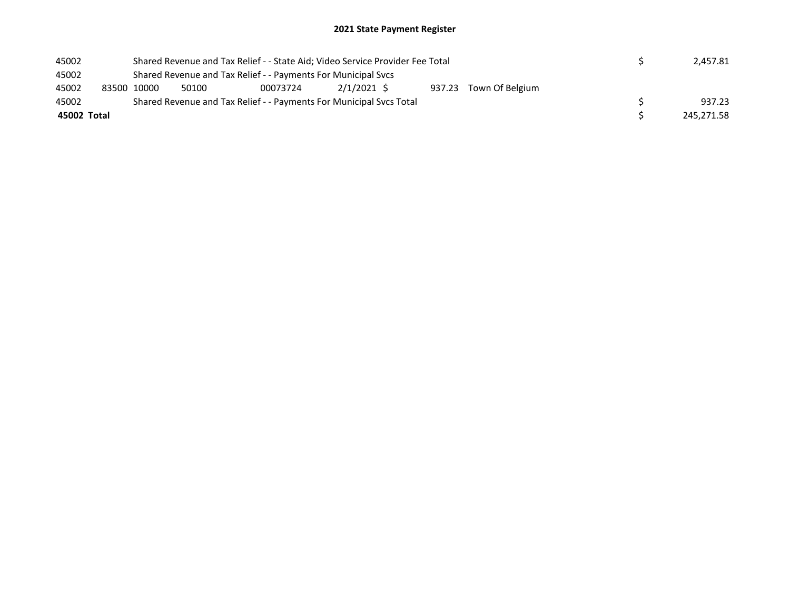| 45002       |  | Shared Revenue and Tax Relief - - State Aid; Video Service Provider Fee Total |  |  |  |  |  |  |            |  | 2.457.81 |
|-------------|--|-------------------------------------------------------------------------------|--|--|--|--|--|--|------------|--|----------|
| 45002       |  | Shared Revenue and Tax Relief - - Payments For Municipal Svcs                 |  |  |  |  |  |  |            |  |          |
| 45002       |  | $2/1/2021$ \$<br>937.23 Town Of Belgium<br>50100<br>83500 10000<br>00073724   |  |  |  |  |  |  |            |  |          |
| 45002       |  | Shared Revenue and Tax Relief - - Payments For Municipal Svcs Total           |  |  |  |  |  |  |            |  | 937.23   |
| 45002 Total |  |                                                                               |  |  |  |  |  |  | 245,271.58 |  |          |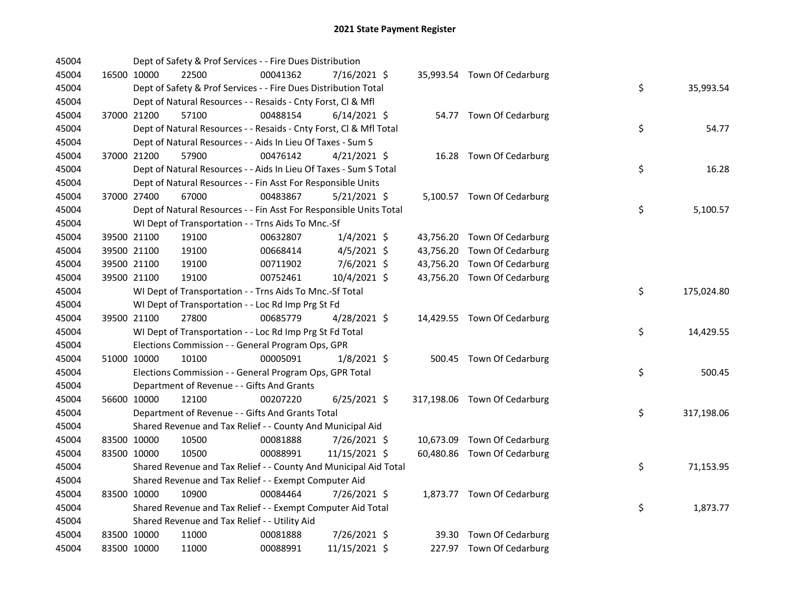| 45004 |             | Dept of Safety & Prof Services - - Fire Dues Distribution          |          |                |  |                              |    |            |
|-------|-------------|--------------------------------------------------------------------|----------|----------------|--|------------------------------|----|------------|
| 45004 | 16500 10000 | 22500                                                              | 00041362 | 7/16/2021 \$   |  | 35,993.54 Town Of Cedarburg  |    |            |
| 45004 |             | Dept of Safety & Prof Services - - Fire Dues Distribution Total    |          |                |  |                              | \$ | 35,993.54  |
| 45004 |             | Dept of Natural Resources - - Resaids - Cnty Forst, Cl & Mfl       |          |                |  |                              |    |            |
| 45004 | 37000 21200 | 57100                                                              | 00488154 | $6/14/2021$ \$ |  | 54.77 Town Of Cedarburg      |    |            |
| 45004 |             | Dept of Natural Resources - - Resaids - Cnty Forst, Cl & Mfl Total |          |                |  |                              | \$ | 54.77      |
| 45004 |             | Dept of Natural Resources - - Aids In Lieu Of Taxes - Sum S        |          |                |  |                              |    |            |
| 45004 | 37000 21200 | 57900                                                              | 00476142 | $4/21/2021$ \$ |  | 16.28 Town Of Cedarburg      |    |            |
| 45004 |             | Dept of Natural Resources - - Aids In Lieu Of Taxes - Sum S Total  |          |                |  |                              | \$ | 16.28      |
| 45004 |             | Dept of Natural Resources - - Fin Asst For Responsible Units       |          |                |  |                              |    |            |
| 45004 | 37000 27400 | 67000                                                              | 00483867 | $5/21/2021$ \$ |  | 5,100.57 Town Of Cedarburg   |    |            |
| 45004 |             | Dept of Natural Resources - - Fin Asst For Responsible Units Total |          |                |  |                              | \$ | 5,100.57   |
| 45004 |             | WI Dept of Transportation - - Trns Aids To Mnc.-Sf                 |          |                |  |                              |    |            |
| 45004 | 39500 21100 | 19100                                                              | 00632807 | $1/4/2021$ \$  |  | 43,756.20 Town Of Cedarburg  |    |            |
| 45004 | 39500 21100 | 19100                                                              | 00668414 | $4/5/2021$ \$  |  | 43,756.20 Town Of Cedarburg  |    |            |
| 45004 | 39500 21100 | 19100                                                              | 00711902 | 7/6/2021 \$    |  | 43,756.20 Town Of Cedarburg  |    |            |
| 45004 | 39500 21100 | 19100                                                              | 00752461 | 10/4/2021 \$   |  | 43,756.20 Town Of Cedarburg  |    |            |
| 45004 |             | WI Dept of Transportation - - Trns Aids To Mnc.-Sf Total           |          |                |  |                              | \$ | 175,024.80 |
| 45004 |             | WI Dept of Transportation - - Loc Rd Imp Prg St Fd                 |          |                |  |                              |    |            |
| 45004 | 39500 21100 | 27800                                                              | 00685779 | 4/28/2021 \$   |  | 14,429.55 Town Of Cedarburg  |    |            |
| 45004 |             | WI Dept of Transportation - - Loc Rd Imp Prg St Fd Total           |          |                |  |                              | \$ | 14,429.55  |
| 45004 |             | Elections Commission - - General Program Ops, GPR                  |          |                |  |                              |    |            |
| 45004 | 51000 10000 | 10100                                                              | 00005091 | $1/8/2021$ \$  |  | 500.45 Town Of Cedarburg     |    |            |
| 45004 |             | Elections Commission - - General Program Ops, GPR Total            |          |                |  |                              | \$ | 500.45     |
| 45004 |             | Department of Revenue - - Gifts And Grants                         |          |                |  |                              |    |            |
| 45004 | 56600 10000 | 12100                                                              | 00207220 | $6/25/2021$ \$ |  | 317,198.06 Town Of Cedarburg |    |            |
| 45004 |             | Department of Revenue - - Gifts And Grants Total                   |          |                |  |                              | \$ | 317,198.06 |
| 45004 |             | Shared Revenue and Tax Relief - - County And Municipal Aid         |          |                |  |                              |    |            |
| 45004 | 83500 10000 | 10500                                                              | 00081888 | 7/26/2021 \$   |  | 10,673.09 Town Of Cedarburg  |    |            |
| 45004 | 83500 10000 | 10500                                                              | 00088991 | 11/15/2021 \$  |  | 60,480.86 Town Of Cedarburg  |    |            |
| 45004 |             | Shared Revenue and Tax Relief - - County And Municipal Aid Total   |          |                |  |                              | \$ | 71,153.95  |
| 45004 |             | Shared Revenue and Tax Relief - - Exempt Computer Aid              |          |                |  |                              |    |            |
| 45004 | 83500 10000 | 10900                                                              | 00084464 | $7/26/2021$ \$ |  | 1,873.77 Town Of Cedarburg   |    |            |
| 45004 |             | Shared Revenue and Tax Relief - - Exempt Computer Aid Total        |          |                |  |                              | \$ | 1,873.77   |
| 45004 |             | Shared Revenue and Tax Relief - - Utility Aid                      |          |                |  |                              |    |            |
| 45004 | 83500 10000 | 11000                                                              | 00081888 | 7/26/2021 \$   |  | 39.30 Town Of Cedarburg      |    |            |
| 45004 | 83500 10000 | 11000                                                              | 00088991 | 11/15/2021 \$  |  | 227.97 Town Of Cedarburg     |    |            |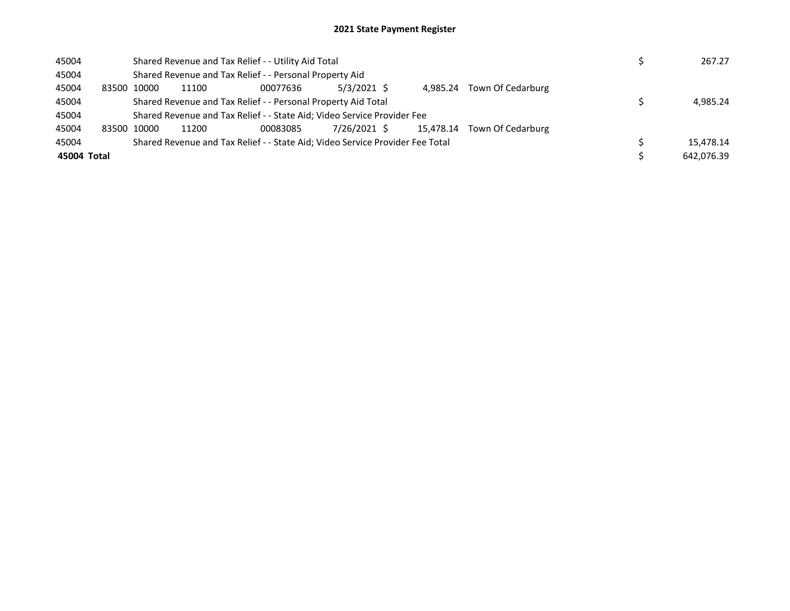| 45004       |             |                                                               | Shared Revenue and Tax Relief - - Utility Aid Total                           |               | 267.27    |                   |            |
|-------------|-------------|---------------------------------------------------------------|-------------------------------------------------------------------------------|---------------|-----------|-------------------|------------|
| 45004       |             |                                                               | Shared Revenue and Tax Relief - - Personal Property Aid                       |               |           |                   |            |
| 45004       | 83500 10000 | 11100                                                         | 00077636                                                                      | $5/3/2021$ \$ | 4.985.24  | Town Of Cedarburg |            |
| 45004       |             | Shared Revenue and Tax Relief - - Personal Property Aid Total | 4.985.24                                                                      |               |           |                   |            |
| 45004       |             |                                                               | Shared Revenue and Tax Relief - - State Aid; Video Service Provider Fee       |               |           |                   |            |
| 45004       | 83500 10000 | 11200                                                         | 00083085                                                                      | 7/26/2021 \$  | 15.478.14 | Town Of Cedarburg |            |
| 45004       |             |                                                               | Shared Revenue and Tax Relief - - State Aid; Video Service Provider Fee Total |               |           |                   | 15.478.14  |
| 45004 Total |             |                                                               |                                                                               |               |           |                   | 642.076.39 |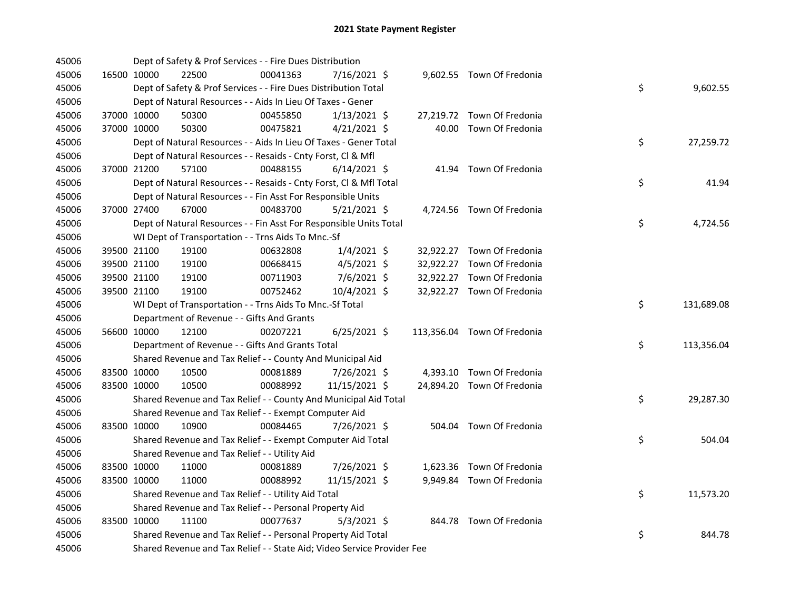| 45006 |             | Dept of Safety & Prof Services - - Fire Dues Distribution               |          |                |  |                             |    |            |
|-------|-------------|-------------------------------------------------------------------------|----------|----------------|--|-----------------------------|----|------------|
| 45006 | 16500 10000 | 22500                                                                   | 00041363 | 7/16/2021 \$   |  | 9,602.55 Town Of Fredonia   |    |            |
| 45006 |             | Dept of Safety & Prof Services - - Fire Dues Distribution Total         |          |                |  |                             | \$ | 9,602.55   |
| 45006 |             | Dept of Natural Resources - - Aids In Lieu Of Taxes - Gener             |          |                |  |                             |    |            |
| 45006 | 37000 10000 | 50300                                                                   | 00455850 | $1/13/2021$ \$ |  | 27,219.72 Town Of Fredonia  |    |            |
| 45006 | 37000 10000 | 50300                                                                   | 00475821 | $4/21/2021$ \$ |  | 40.00 Town Of Fredonia      |    |            |
| 45006 |             | Dept of Natural Resources - - Aids In Lieu Of Taxes - Gener Total       |          |                |  |                             | \$ | 27,259.72  |
| 45006 |             | Dept of Natural Resources - - Resaids - Cnty Forst, Cl & Mfl            |          |                |  |                             |    |            |
| 45006 | 37000 21200 | 57100                                                                   | 00488155 | $6/14/2021$ \$ |  | 41.94 Town Of Fredonia      |    |            |
| 45006 |             | Dept of Natural Resources - - Resaids - Cnty Forst, Cl & Mfl Total      |          |                |  |                             | \$ | 41.94      |
| 45006 |             | Dept of Natural Resources - - Fin Asst For Responsible Units            |          |                |  |                             |    |            |
| 45006 | 37000 27400 | 67000                                                                   | 00483700 | $5/21/2021$ \$ |  | 4,724.56 Town Of Fredonia   |    |            |
| 45006 |             | Dept of Natural Resources - - Fin Asst For Responsible Units Total      |          |                |  |                             | \$ | 4,724.56   |
| 45006 |             | WI Dept of Transportation - - Trns Aids To Mnc.-Sf                      |          |                |  |                             |    |            |
| 45006 | 39500 21100 | 19100                                                                   | 00632808 | $1/4/2021$ \$  |  | 32,922.27 Town Of Fredonia  |    |            |
| 45006 | 39500 21100 | 19100                                                                   | 00668415 | $4/5/2021$ \$  |  | 32,922.27 Town Of Fredonia  |    |            |
| 45006 | 39500 21100 | 19100                                                                   | 00711903 | 7/6/2021 \$    |  | 32,922.27 Town Of Fredonia  |    |            |
| 45006 | 39500 21100 | 19100                                                                   | 00752462 | 10/4/2021 \$   |  | 32,922.27 Town Of Fredonia  |    |            |
| 45006 |             | WI Dept of Transportation - - Trns Aids To Mnc.-Sf Total                |          |                |  |                             | \$ | 131,689.08 |
| 45006 |             | Department of Revenue - - Gifts And Grants                              |          |                |  |                             |    |            |
| 45006 | 56600 10000 | 12100                                                                   | 00207221 | $6/25/2021$ \$ |  | 113,356.04 Town Of Fredonia |    |            |
| 45006 |             | Department of Revenue - - Gifts And Grants Total                        |          |                |  |                             | \$ | 113,356.04 |
| 45006 |             | Shared Revenue and Tax Relief - - County And Municipal Aid              |          |                |  |                             |    |            |
| 45006 | 83500 10000 | 10500                                                                   | 00081889 | 7/26/2021 \$   |  | 4,393.10 Town Of Fredonia   |    |            |
| 45006 | 83500 10000 | 10500                                                                   | 00088992 | 11/15/2021 \$  |  | 24,894.20 Town Of Fredonia  |    |            |
| 45006 |             | Shared Revenue and Tax Relief - - County And Municipal Aid Total        |          |                |  |                             | \$ | 29,287.30  |
| 45006 |             | Shared Revenue and Tax Relief - - Exempt Computer Aid                   |          |                |  |                             |    |            |
| 45006 | 83500 10000 | 10900                                                                   | 00084465 | 7/26/2021 \$   |  | 504.04 Town Of Fredonia     |    |            |
| 45006 |             | Shared Revenue and Tax Relief - - Exempt Computer Aid Total             |          |                |  |                             | \$ | 504.04     |
| 45006 |             | Shared Revenue and Tax Relief - - Utility Aid                           |          |                |  |                             |    |            |
| 45006 | 83500 10000 | 11000                                                                   | 00081889 | 7/26/2021 \$   |  | 1,623.36 Town Of Fredonia   |    |            |
| 45006 | 83500 10000 | 11000                                                                   | 00088992 | 11/15/2021 \$  |  | 9,949.84 Town Of Fredonia   |    |            |
| 45006 |             | Shared Revenue and Tax Relief - - Utility Aid Total                     |          |                |  |                             | \$ | 11,573.20  |
| 45006 |             | Shared Revenue and Tax Relief - - Personal Property Aid                 |          |                |  |                             |    |            |
| 45006 | 83500 10000 | 11100                                                                   | 00077637 | $5/3/2021$ \$  |  | 844.78 Town Of Fredonia     |    |            |
| 45006 |             | Shared Revenue and Tax Relief - - Personal Property Aid Total           |          |                |  |                             | \$ | 844.78     |
| 45006 |             | Shared Revenue and Tax Relief - - State Aid; Video Service Provider Fee |          |                |  |                             |    |            |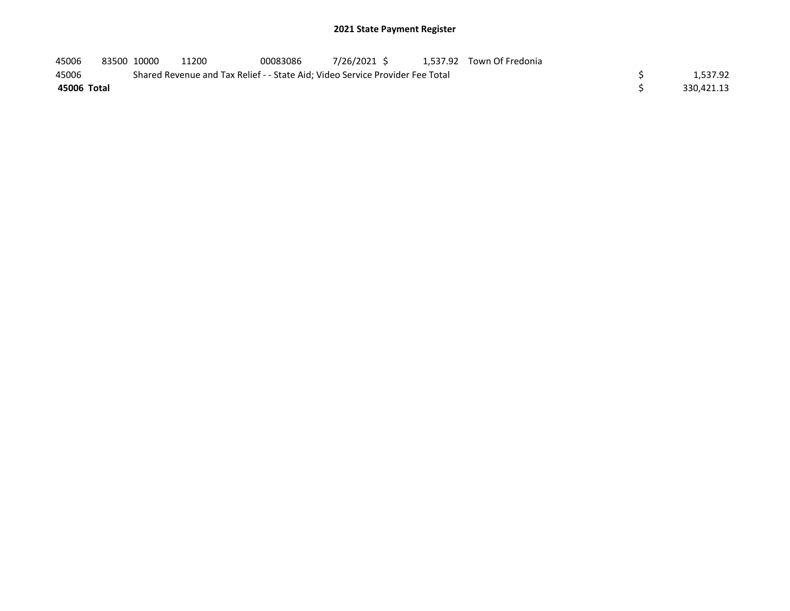| 45006       | 83500 10000 | 11200                                                                         | 00083086 | 7/26/2021 \$ |  | 1.537.92 Town Of Fredonia |            |
|-------------|-------------|-------------------------------------------------------------------------------|----------|--------------|--|---------------------------|------------|
| 45006       |             | Shared Revenue and Tax Relief - - State Aid; Video Service Provider Fee Total |          |              |  |                           | 1.537.92   |
| 45006 Total |             |                                                                               |          |              |  |                           | 330.421.13 |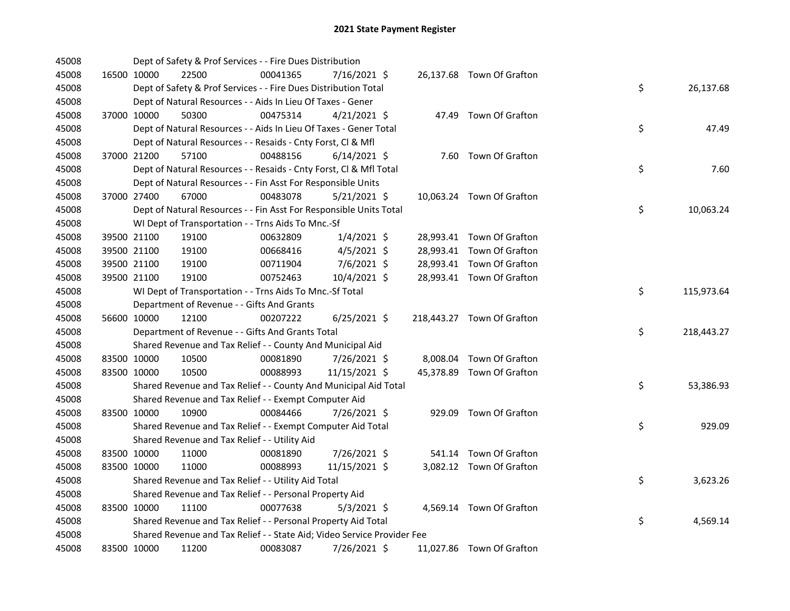| 45008 |             | Dept of Safety & Prof Services - - Fire Dues Distribution               |          |                |  |                            |    |            |
|-------|-------------|-------------------------------------------------------------------------|----------|----------------|--|----------------------------|----|------------|
| 45008 | 16500 10000 | 22500                                                                   | 00041365 | 7/16/2021 \$   |  | 26,137.68 Town Of Grafton  |    |            |
| 45008 |             | Dept of Safety & Prof Services - - Fire Dues Distribution Total         |          |                |  |                            | \$ | 26,137.68  |
| 45008 |             | Dept of Natural Resources - - Aids In Lieu Of Taxes - Gener             |          |                |  |                            |    |            |
| 45008 | 37000 10000 | 50300                                                                   | 00475314 | $4/21/2021$ \$ |  | 47.49 Town Of Grafton      |    |            |
| 45008 |             | Dept of Natural Resources - - Aids In Lieu Of Taxes - Gener Total       |          |                |  |                            | \$ | 47.49      |
| 45008 |             | Dept of Natural Resources - - Resaids - Cnty Forst, Cl & Mfl            |          |                |  |                            |    |            |
| 45008 | 37000 21200 | 57100                                                                   | 00488156 | $6/14/2021$ \$ |  | 7.60 Town Of Grafton       |    |            |
| 45008 |             | Dept of Natural Resources - - Resaids - Cnty Forst, Cl & Mfl Total      |          |                |  |                            | \$ | 7.60       |
| 45008 |             | Dept of Natural Resources - - Fin Asst For Responsible Units            |          |                |  |                            |    |            |
| 45008 | 37000 27400 | 67000                                                                   | 00483078 | $5/21/2021$ \$ |  | 10,063.24 Town Of Grafton  |    |            |
| 45008 |             | Dept of Natural Resources - - Fin Asst For Responsible Units Total      |          |                |  |                            | \$ | 10,063.24  |
| 45008 |             | WI Dept of Transportation - - Trns Aids To Mnc.-Sf                      |          |                |  |                            |    |            |
| 45008 | 39500 21100 | 19100                                                                   | 00632809 | $1/4/2021$ \$  |  | 28,993.41 Town Of Grafton  |    |            |
| 45008 | 39500 21100 | 19100                                                                   | 00668416 | $4/5/2021$ \$  |  | 28,993.41 Town Of Grafton  |    |            |
| 45008 | 39500 21100 | 19100                                                                   | 00711904 | 7/6/2021 \$    |  | 28,993.41 Town Of Grafton  |    |            |
| 45008 | 39500 21100 | 19100                                                                   | 00752463 | 10/4/2021 \$   |  | 28,993.41 Town Of Grafton  |    |            |
| 45008 |             | WI Dept of Transportation - - Trns Aids To Mnc.-Sf Total                |          |                |  |                            | \$ | 115,973.64 |
| 45008 |             | Department of Revenue - - Gifts And Grants                              |          |                |  |                            |    |            |
| 45008 | 56600 10000 | 12100                                                                   | 00207222 | $6/25/2021$ \$ |  | 218,443.27 Town Of Grafton |    |            |
| 45008 |             | Department of Revenue - - Gifts And Grants Total                        |          |                |  |                            | \$ | 218,443.27 |
| 45008 |             | Shared Revenue and Tax Relief - - County And Municipal Aid              |          |                |  |                            |    |            |
| 45008 | 83500 10000 | 10500                                                                   | 00081890 | 7/26/2021 \$   |  | 8,008.04 Town Of Grafton   |    |            |
| 45008 | 83500 10000 | 10500                                                                   | 00088993 | 11/15/2021 \$  |  | 45,378.89 Town Of Grafton  |    |            |
| 45008 |             | Shared Revenue and Tax Relief - - County And Municipal Aid Total        |          |                |  |                            | \$ | 53,386.93  |
| 45008 |             | Shared Revenue and Tax Relief - - Exempt Computer Aid                   |          |                |  |                            |    |            |
| 45008 | 83500 10000 | 10900                                                                   | 00084466 | 7/26/2021 \$   |  | 929.09 Town Of Grafton     |    |            |
| 45008 |             | Shared Revenue and Tax Relief - - Exempt Computer Aid Total             |          |                |  |                            | \$ | 929.09     |
| 45008 |             | Shared Revenue and Tax Relief - - Utility Aid                           |          |                |  |                            |    |            |
| 45008 | 83500 10000 | 11000                                                                   | 00081890 | 7/26/2021 \$   |  | 541.14 Town Of Grafton     |    |            |
| 45008 | 83500 10000 | 11000                                                                   | 00088993 | 11/15/2021 \$  |  | 3,082.12 Town Of Grafton   |    |            |
| 45008 |             | Shared Revenue and Tax Relief - - Utility Aid Total                     |          |                |  |                            | \$ | 3,623.26   |
| 45008 |             | Shared Revenue and Tax Relief - - Personal Property Aid                 |          |                |  |                            |    |            |
| 45008 | 83500 10000 | 11100                                                                   | 00077638 | $5/3/2021$ \$  |  | 4,569.14 Town Of Grafton   |    |            |
| 45008 |             | Shared Revenue and Tax Relief - - Personal Property Aid Total           |          |                |  |                            | \$ | 4,569.14   |
| 45008 |             | Shared Revenue and Tax Relief - - State Aid; Video Service Provider Fee |          |                |  |                            |    |            |
| 45008 | 83500 10000 | 11200                                                                   | 00083087 | 7/26/2021 \$   |  | 11,027.86 Town Of Grafton  |    |            |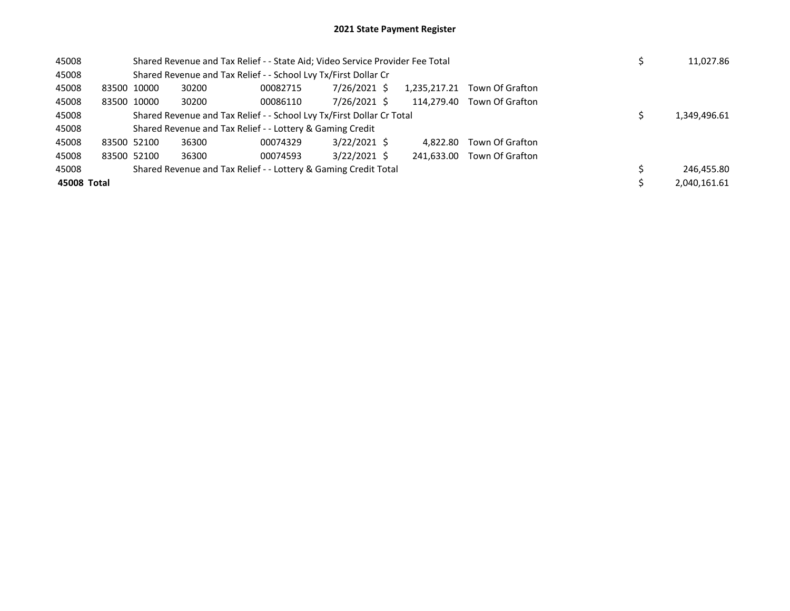| 45008       |             | Shared Revenue and Tax Relief - - State Aid; Video Service Provider Fee Total |                                                                 | 11,027.86      |              |                 |  |              |
|-------------|-------------|-------------------------------------------------------------------------------|-----------------------------------------------------------------|----------------|--------------|-----------------|--|--------------|
| 45008       |             |                                                                               | Shared Revenue and Tax Relief - - School Lvy Tx/First Dollar Cr |                |              |                 |  |              |
| 45008       | 83500 10000 | 30200                                                                         | 00082715                                                        | 7/26/2021 \$   | 1,235,217.21 | Town Of Grafton |  |              |
| 45008       | 83500 10000 | 30200                                                                         | 00086110                                                        | 7/26/2021 \$   | 114.279.40   | Town Of Grafton |  |              |
| 45008       |             | Shared Revenue and Tax Relief - - School Lvy Tx/First Dollar Cr Total         |                                                                 |                | 1,349,496.61 |                 |  |              |
| 45008       |             |                                                                               | Shared Revenue and Tax Relief - - Lottery & Gaming Credit       |                |              |                 |  |              |
| 45008       | 83500 52100 | 36300                                                                         | 00074329                                                        | $3/22/2021$ \$ | 4.822.80     | Town Of Grafton |  |              |
| 45008       | 83500 52100 | 36300                                                                         | 00074593                                                        | $3/22/2021$ \$ | 241.633.00   | Town Of Grafton |  |              |
| 45008       |             |                                                                               | Shared Revenue and Tax Relief - - Lottery & Gaming Credit Total |                |              |                 |  | 246.455.80   |
| 45008 Total |             |                                                                               |                                                                 |                |              |                 |  | 2,040,161.61 |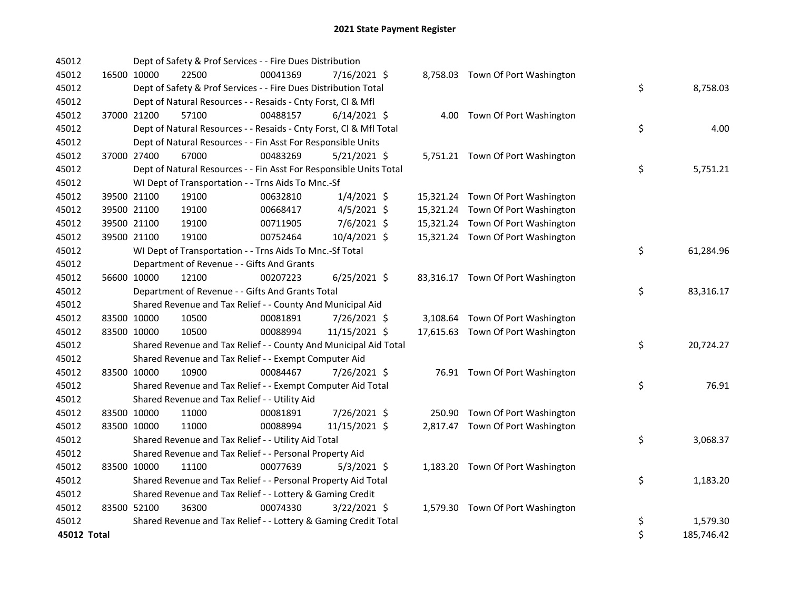| 45012       |             | Dept of Safety & Prof Services - - Fire Dues Distribution          |          |                |  |                                   |    |            |
|-------------|-------------|--------------------------------------------------------------------|----------|----------------|--|-----------------------------------|----|------------|
| 45012       | 16500 10000 | 22500                                                              | 00041369 | 7/16/2021 \$   |  | 8,758.03 Town Of Port Washington  |    |            |
| 45012       |             | Dept of Safety & Prof Services - - Fire Dues Distribution Total    |          |                |  |                                   | \$ | 8,758.03   |
| 45012       |             | Dept of Natural Resources - - Resaids - Cnty Forst, Cl & Mfl       |          |                |  |                                   |    |            |
| 45012       | 37000 21200 | 57100                                                              | 00488157 | $6/14/2021$ \$ |  | 4.00 Town Of Port Washington      |    |            |
| 45012       |             | Dept of Natural Resources - - Resaids - Cnty Forst, Cl & Mfl Total |          |                |  |                                   | \$ | 4.00       |
| 45012       |             | Dept of Natural Resources - - Fin Asst For Responsible Units       |          |                |  |                                   |    |            |
| 45012       | 37000 27400 | 67000                                                              | 00483269 | $5/21/2021$ \$ |  | 5,751.21 Town Of Port Washington  |    |            |
| 45012       |             | Dept of Natural Resources - - Fin Asst For Responsible Units Total |          |                |  |                                   | \$ | 5,751.21   |
| 45012       |             | WI Dept of Transportation - - Trns Aids To Mnc.-Sf                 |          |                |  |                                   |    |            |
| 45012       | 39500 21100 | 19100                                                              | 00632810 | $1/4/2021$ \$  |  | 15,321.24 Town Of Port Washington |    |            |
| 45012       | 39500 21100 | 19100                                                              | 00668417 | $4/5/2021$ \$  |  | 15,321.24 Town Of Port Washington |    |            |
| 45012       | 39500 21100 | 19100                                                              | 00711905 | $7/6/2021$ \$  |  | 15,321.24 Town Of Port Washington |    |            |
| 45012       | 39500 21100 | 19100                                                              | 00752464 | 10/4/2021 \$   |  | 15,321.24 Town Of Port Washington |    |            |
| 45012       |             | WI Dept of Transportation - - Trns Aids To Mnc.-Sf Total           |          |                |  |                                   | \$ | 61,284.96  |
| 45012       |             | Department of Revenue - - Gifts And Grants                         |          |                |  |                                   |    |            |
| 45012       | 56600 10000 | 12100                                                              | 00207223 | $6/25/2021$ \$ |  | 83,316.17 Town Of Port Washington |    |            |
| 45012       |             | Department of Revenue - - Gifts And Grants Total                   |          |                |  |                                   | \$ | 83,316.17  |
| 45012       |             | Shared Revenue and Tax Relief - - County And Municipal Aid         |          |                |  |                                   |    |            |
| 45012       | 83500 10000 | 10500                                                              | 00081891 | 7/26/2021 \$   |  | 3,108.64 Town Of Port Washington  |    |            |
| 45012       | 83500 10000 | 10500                                                              | 00088994 | 11/15/2021 \$  |  | 17,615.63 Town Of Port Washington |    |            |
| 45012       |             | Shared Revenue and Tax Relief - - County And Municipal Aid Total   |          |                |  |                                   | \$ | 20,724.27  |
| 45012       |             | Shared Revenue and Tax Relief - - Exempt Computer Aid              |          |                |  |                                   |    |            |
| 45012       | 83500 10000 | 10900                                                              | 00084467 | 7/26/2021 \$   |  | 76.91 Town Of Port Washington     |    |            |
| 45012       |             | Shared Revenue and Tax Relief - - Exempt Computer Aid Total        |          |                |  |                                   | \$ | 76.91      |
| 45012       |             | Shared Revenue and Tax Relief - - Utility Aid                      |          |                |  |                                   |    |            |
| 45012       | 83500 10000 | 11000                                                              | 00081891 | 7/26/2021 \$   |  | 250.90 Town Of Port Washington    |    |            |
| 45012       | 83500 10000 | 11000                                                              | 00088994 | 11/15/2021 \$  |  | 2,817.47 Town Of Port Washington  |    |            |
| 45012       |             | Shared Revenue and Tax Relief - - Utility Aid Total                |          |                |  |                                   | \$ | 3,068.37   |
| 45012       |             | Shared Revenue and Tax Relief - - Personal Property Aid            |          |                |  |                                   |    |            |
| 45012       | 83500 10000 | 11100                                                              | 00077639 | $5/3/2021$ \$  |  | 1,183.20 Town Of Port Washington  |    |            |
| 45012       |             | Shared Revenue and Tax Relief - - Personal Property Aid Total      |          |                |  |                                   | \$ | 1,183.20   |
| 45012       |             | Shared Revenue and Tax Relief - - Lottery & Gaming Credit          |          |                |  |                                   |    |            |
| 45012       | 83500 52100 | 36300                                                              | 00074330 | $3/22/2021$ \$ |  | 1,579.30 Town Of Port Washington  |    |            |
| 45012       |             | Shared Revenue and Tax Relief - - Lottery & Gaming Credit Total    |          |                |  |                                   | \$ | 1,579.30   |
| 45012 Total |             |                                                                    |          |                |  |                                   | \$ | 185,746.42 |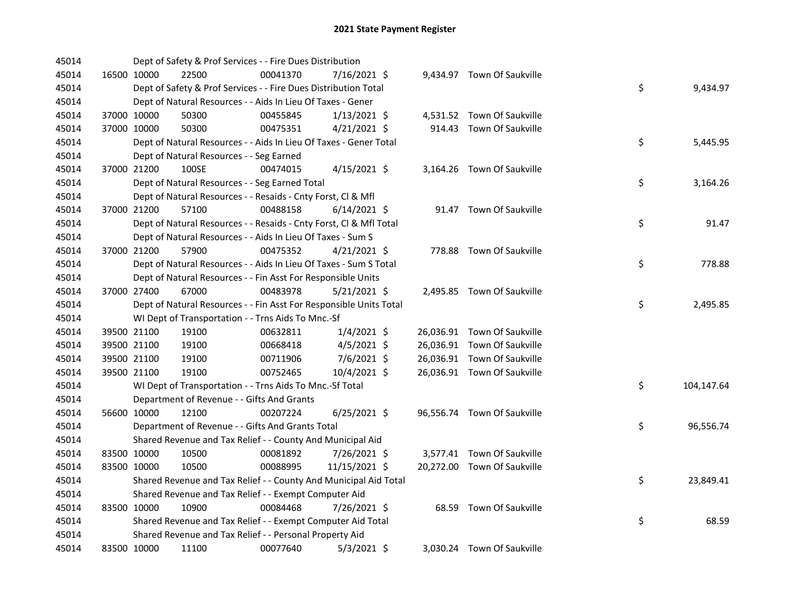| 45014 |             | Dept of Safety & Prof Services - - Fire Dues Distribution          |          |                |  |                             |    |            |
|-------|-------------|--------------------------------------------------------------------|----------|----------------|--|-----------------------------|----|------------|
| 45014 | 16500 10000 | 22500                                                              | 00041370 | 7/16/2021 \$   |  | 9,434.97 Town Of Saukville  |    |            |
| 45014 |             | Dept of Safety & Prof Services - - Fire Dues Distribution Total    |          |                |  |                             | \$ | 9,434.97   |
| 45014 |             | Dept of Natural Resources - - Aids In Lieu Of Taxes - Gener        |          |                |  |                             |    |            |
| 45014 | 37000 10000 | 50300                                                              | 00455845 | $1/13/2021$ \$ |  | 4,531.52 Town Of Saukville  |    |            |
| 45014 | 37000 10000 | 50300                                                              | 00475351 | $4/21/2021$ \$ |  | 914.43 Town Of Saukville    |    |            |
| 45014 |             | Dept of Natural Resources - - Aids In Lieu Of Taxes - Gener Total  |          |                |  |                             | \$ | 5,445.95   |
| 45014 |             | Dept of Natural Resources - - Seg Earned                           |          |                |  |                             |    |            |
| 45014 | 37000 21200 | 100SE                                                              | 00474015 | $4/15/2021$ \$ |  | 3,164.26 Town Of Saukville  |    |            |
| 45014 |             | Dept of Natural Resources - - Seg Earned Total                     |          |                |  |                             | \$ | 3,164.26   |
| 45014 |             | Dept of Natural Resources - - Resaids - Cnty Forst, Cl & Mfl       |          |                |  |                             |    |            |
| 45014 | 37000 21200 | 57100                                                              | 00488158 | $6/14/2021$ \$ |  | 91.47 Town Of Saukville     |    |            |
| 45014 |             | Dept of Natural Resources - - Resaids - Cnty Forst, Cl & Mfl Total |          |                |  |                             | \$ | 91.47      |
| 45014 |             | Dept of Natural Resources - - Aids In Lieu Of Taxes - Sum S        |          |                |  |                             |    |            |
| 45014 | 37000 21200 | 57900                                                              | 00475352 | $4/21/2021$ \$ |  | 778.88 Town Of Saukville    |    |            |
| 45014 |             | Dept of Natural Resources - - Aids In Lieu Of Taxes - Sum S Total  |          |                |  |                             | \$ | 778.88     |
| 45014 |             | Dept of Natural Resources - - Fin Asst For Responsible Units       |          |                |  |                             |    |            |
| 45014 | 37000 27400 | 67000                                                              | 00483978 | $5/21/2021$ \$ |  | 2,495.85 Town Of Saukville  |    |            |
| 45014 |             | Dept of Natural Resources - - Fin Asst For Responsible Units Total |          |                |  |                             | \$ | 2,495.85   |
| 45014 |             | WI Dept of Transportation - - Trns Aids To Mnc.-Sf                 |          |                |  |                             |    |            |
| 45014 | 39500 21100 | 19100                                                              | 00632811 | $1/4/2021$ \$  |  | 26,036.91 Town Of Saukville |    |            |
| 45014 | 39500 21100 | 19100                                                              | 00668418 | $4/5/2021$ \$  |  | 26,036.91 Town Of Saukville |    |            |
| 45014 | 39500 21100 | 19100                                                              | 00711906 | 7/6/2021 \$    |  | 26,036.91 Town Of Saukville |    |            |
| 45014 | 39500 21100 | 19100                                                              | 00752465 | 10/4/2021 \$   |  | 26,036.91 Town Of Saukville |    |            |
| 45014 |             | WI Dept of Transportation - - Trns Aids To Mnc.-Sf Total           |          |                |  |                             | \$ | 104,147.64 |
| 45014 |             | Department of Revenue - - Gifts And Grants                         |          |                |  |                             |    |            |
| 45014 | 56600 10000 | 12100                                                              | 00207224 | 6/25/2021 \$   |  | 96,556.74 Town Of Saukville |    |            |
| 45014 |             | Department of Revenue - - Gifts And Grants Total                   |          |                |  |                             | \$ | 96,556.74  |
| 45014 |             | Shared Revenue and Tax Relief - - County And Municipal Aid         |          |                |  |                             |    |            |
| 45014 | 83500 10000 | 10500                                                              | 00081892 | 7/26/2021 \$   |  | 3,577.41 Town Of Saukville  |    |            |
| 45014 | 83500 10000 | 10500                                                              | 00088995 | 11/15/2021 \$  |  | 20,272.00 Town Of Saukville |    |            |
| 45014 |             | Shared Revenue and Tax Relief - - County And Municipal Aid Total   |          |                |  |                             | \$ | 23,849.41  |
| 45014 |             | Shared Revenue and Tax Relief - - Exempt Computer Aid              |          |                |  |                             |    |            |
| 45014 | 83500 10000 | 10900                                                              | 00084468 | 7/26/2021 \$   |  | 68.59 Town Of Saukville     |    |            |
| 45014 |             | Shared Revenue and Tax Relief - - Exempt Computer Aid Total        |          |                |  |                             | \$ | 68.59      |
| 45014 |             | Shared Revenue and Tax Relief - - Personal Property Aid            |          |                |  |                             |    |            |
| 45014 | 83500 10000 | 11100                                                              | 00077640 | $5/3/2021$ \$  |  | 3,030.24 Town Of Saukville  |    |            |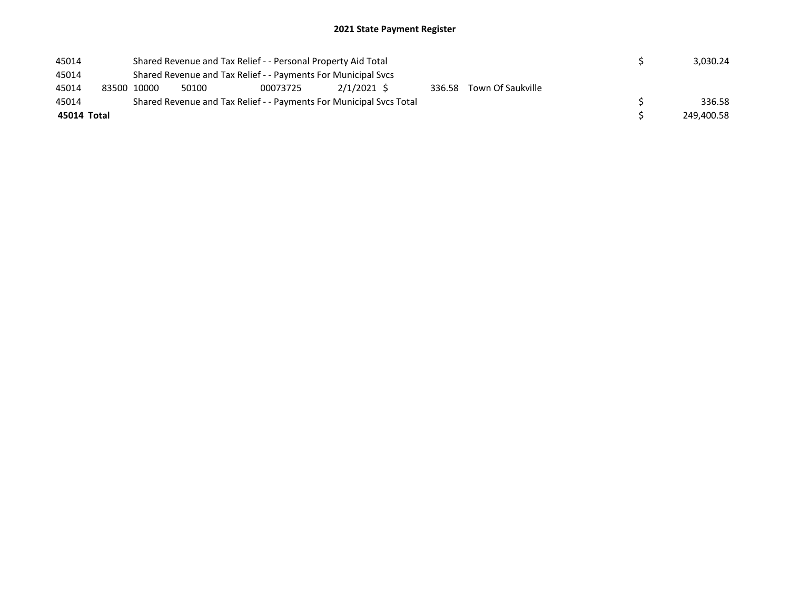| 45014       |             |       | Shared Revenue and Tax Relief - - Personal Property Aid Total       |            |  | 3,030.24                 |  |            |
|-------------|-------------|-------|---------------------------------------------------------------------|------------|--|--------------------------|--|------------|
| 45014       |             |       | Shared Revenue and Tax Relief - - Payments For Municipal Svcs       |            |  |                          |  |            |
| 45014       | 83500 10000 | 50100 | 00073725                                                            | 2/1/2021 S |  | 336.58 Town Of Saukville |  |            |
| 45014       |             |       | Shared Revenue and Tax Relief - - Payments For Municipal Svcs Total |            |  |                          |  | 336.58     |
| 45014 Total |             |       |                                                                     |            |  |                          |  | 249,400.58 |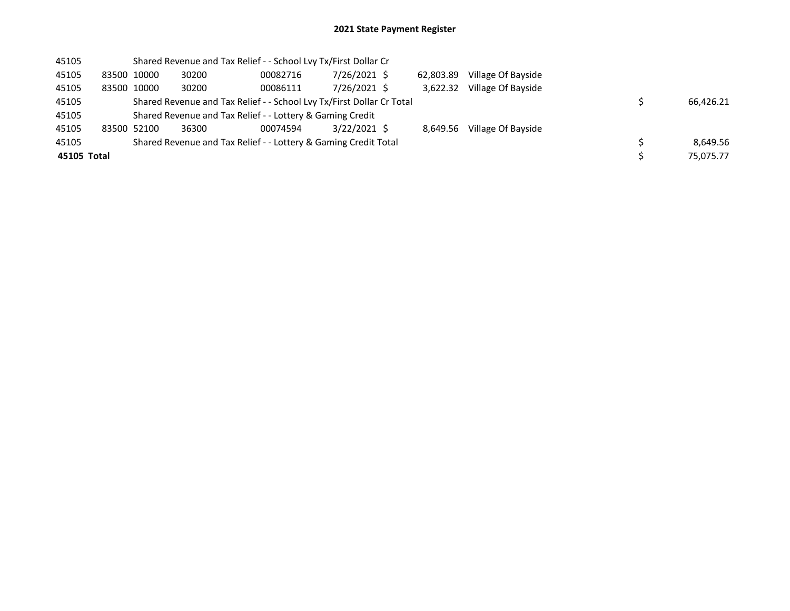| 45105       |             |             | Shared Revenue and Tax Relief - - School Lvy Tx/First Dollar Cr       |          |              |           |                    |  |           |
|-------------|-------------|-------------|-----------------------------------------------------------------------|----------|--------------|-----------|--------------------|--|-----------|
| 45105       |             | 83500 10000 | 30200                                                                 | 00082716 | 7/26/2021 \$ | 62.803.89 | Village Of Bayside |  |           |
| 45105       | 83500 10000 |             | 30200                                                                 | 00086111 | 7/26/2021 \$ | 3.622.32  | Village Of Bayside |  |           |
| 45105       |             |             | Shared Revenue and Tax Relief - - School Lvy Tx/First Dollar Cr Total |          |              |           |                    |  | 66,426.21 |
| 45105       |             |             | Shared Revenue and Tax Relief - - Lottery & Gaming Credit             |          |              |           |                    |  |           |
| 45105       | 83500 52100 |             | 36300                                                                 | 00074594 | 3/22/2021 \$ | 8.649.56  | Village Of Bayside |  |           |
| 45105       |             |             | Shared Revenue and Tax Relief - - Lottery & Gaming Credit Total       |          |              |           |                    |  | 8.649.56  |
| 45105 Total |             |             |                                                                       |          |              |           |                    |  | 75.075.77 |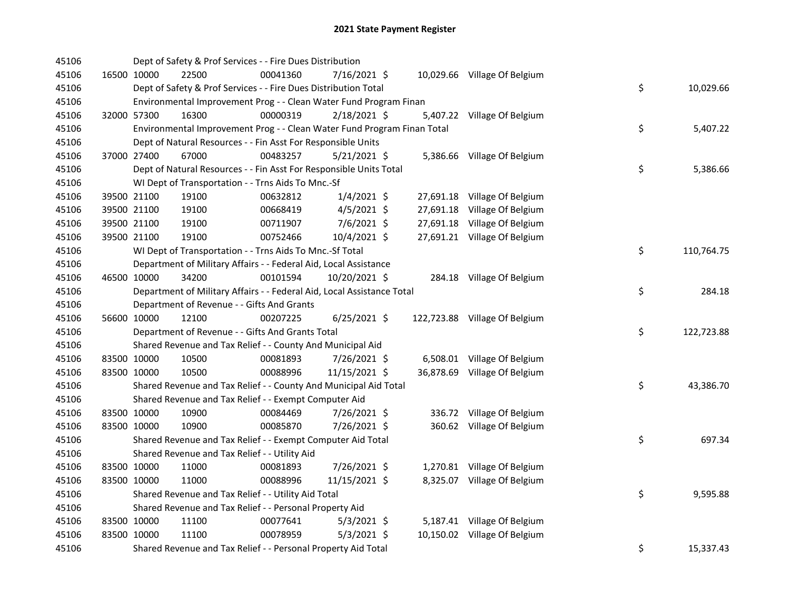| 45106 |             | Dept of Safety & Prof Services - - Fire Dues Distribution               |          |                |  |                               |    |            |
|-------|-------------|-------------------------------------------------------------------------|----------|----------------|--|-------------------------------|----|------------|
| 45106 | 16500 10000 | 22500                                                                   | 00041360 | 7/16/2021 \$   |  | 10,029.66 Village Of Belgium  |    |            |
| 45106 |             | Dept of Safety & Prof Services - - Fire Dues Distribution Total         |          |                |  |                               | \$ | 10,029.66  |
| 45106 |             | Environmental Improvement Prog - - Clean Water Fund Program Finan       |          |                |  |                               |    |            |
| 45106 | 32000 57300 | 16300                                                                   | 00000319 | 2/18/2021 \$   |  | 5,407.22 Village Of Belgium   |    |            |
| 45106 |             | Environmental Improvement Prog - - Clean Water Fund Program Finan Total |          |                |  |                               | \$ | 5,407.22   |
| 45106 |             | Dept of Natural Resources - - Fin Asst For Responsible Units            |          |                |  |                               |    |            |
| 45106 | 37000 27400 | 67000                                                                   | 00483257 | $5/21/2021$ \$ |  | 5,386.66 Village Of Belgium   |    |            |
| 45106 |             | Dept of Natural Resources - - Fin Asst For Responsible Units Total      |          |                |  |                               | \$ | 5,386.66   |
| 45106 |             | WI Dept of Transportation - - Trns Aids To Mnc.-Sf                      |          |                |  |                               |    |            |
| 45106 | 39500 21100 | 19100                                                                   | 00632812 | $1/4/2021$ \$  |  | 27,691.18 Village Of Belgium  |    |            |
| 45106 | 39500 21100 | 19100                                                                   | 00668419 | $4/5/2021$ \$  |  | 27,691.18 Village Of Belgium  |    |            |
| 45106 | 39500 21100 | 19100                                                                   | 00711907 | $7/6/2021$ \$  |  | 27,691.18 Village Of Belgium  |    |            |
| 45106 | 39500 21100 | 19100                                                                   | 00752466 | 10/4/2021 \$   |  | 27,691.21 Village Of Belgium  |    |            |
| 45106 |             | WI Dept of Transportation - - Trns Aids To Mnc.-Sf Total                |          |                |  |                               | \$ | 110,764.75 |
| 45106 |             | Department of Military Affairs - - Federal Aid, Local Assistance        |          |                |  |                               |    |            |
| 45106 | 46500 10000 | 34200                                                                   | 00101594 | 10/20/2021 \$  |  | 284.18 Village Of Belgium     |    |            |
| 45106 |             | Department of Military Affairs - - Federal Aid, Local Assistance Total  |          |                |  |                               | \$ | 284.18     |
| 45106 |             | Department of Revenue - - Gifts And Grants                              |          |                |  |                               |    |            |
| 45106 | 56600 10000 | 12100                                                                   | 00207225 | 6/25/2021 \$   |  | 122,723.88 Village Of Belgium |    |            |
| 45106 |             | Department of Revenue - - Gifts And Grants Total                        |          |                |  |                               | \$ | 122,723.88 |
| 45106 |             | Shared Revenue and Tax Relief - - County And Municipal Aid              |          |                |  |                               |    |            |
| 45106 | 83500 10000 | 10500                                                                   | 00081893 | 7/26/2021 \$   |  | 6,508.01 Village Of Belgium   |    |            |
| 45106 | 83500 10000 | 10500                                                                   | 00088996 | 11/15/2021 \$  |  | 36,878.69 Village Of Belgium  |    |            |
| 45106 |             | Shared Revenue and Tax Relief - - County And Municipal Aid Total        |          |                |  |                               | \$ | 43,386.70  |
| 45106 |             | Shared Revenue and Tax Relief - - Exempt Computer Aid                   |          |                |  |                               |    |            |
| 45106 | 83500 10000 | 10900                                                                   | 00084469 | 7/26/2021 \$   |  | 336.72 Village Of Belgium     |    |            |
| 45106 | 83500 10000 | 10900                                                                   | 00085870 | 7/26/2021 \$   |  | 360.62 Village Of Belgium     |    |            |
| 45106 |             | Shared Revenue and Tax Relief - - Exempt Computer Aid Total             |          |                |  |                               | \$ | 697.34     |
| 45106 |             | Shared Revenue and Tax Relief - - Utility Aid                           |          |                |  |                               |    |            |
| 45106 | 83500 10000 | 11000                                                                   | 00081893 | 7/26/2021 \$   |  | 1,270.81 Village Of Belgium   |    |            |
| 45106 | 83500 10000 | 11000                                                                   | 00088996 | 11/15/2021 \$  |  | 8,325.07 Village Of Belgium   |    |            |
| 45106 |             | Shared Revenue and Tax Relief - - Utility Aid Total                     |          |                |  |                               | \$ | 9,595.88   |
| 45106 |             | Shared Revenue and Tax Relief - - Personal Property Aid                 |          |                |  |                               |    |            |
| 45106 | 83500 10000 | 11100                                                                   | 00077641 | $5/3/2021$ \$  |  | 5,187.41 Village Of Belgium   |    |            |
| 45106 | 83500 10000 | 11100                                                                   | 00078959 | $5/3/2021$ \$  |  | 10,150.02 Village Of Belgium  |    |            |
| 45106 |             | Shared Revenue and Tax Relief - - Personal Property Aid Total           |          |                |  |                               | \$ | 15,337.43  |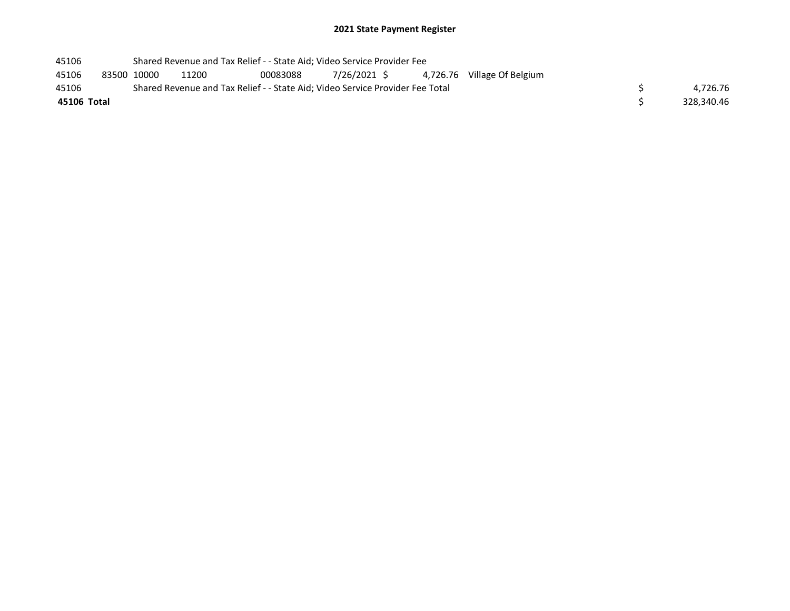| 45106       |             | Shared Revenue and Tax Relief - - State Aid; Video Service Provider Fee       |          |  |                                         |            |
|-------------|-------------|-------------------------------------------------------------------------------|----------|--|-----------------------------------------|------------|
| 45106       | 83500 10000 | 11200                                                                         | 00083088 |  | 7/26/2021 \$4,726.76 Village Of Belgium |            |
| 45106       |             | Shared Revenue and Tax Relief - - State Aid; Video Service Provider Fee Total |          |  |                                         | 4.726.76   |
| 45106 Total |             |                                                                               |          |  |                                         | 328,340.46 |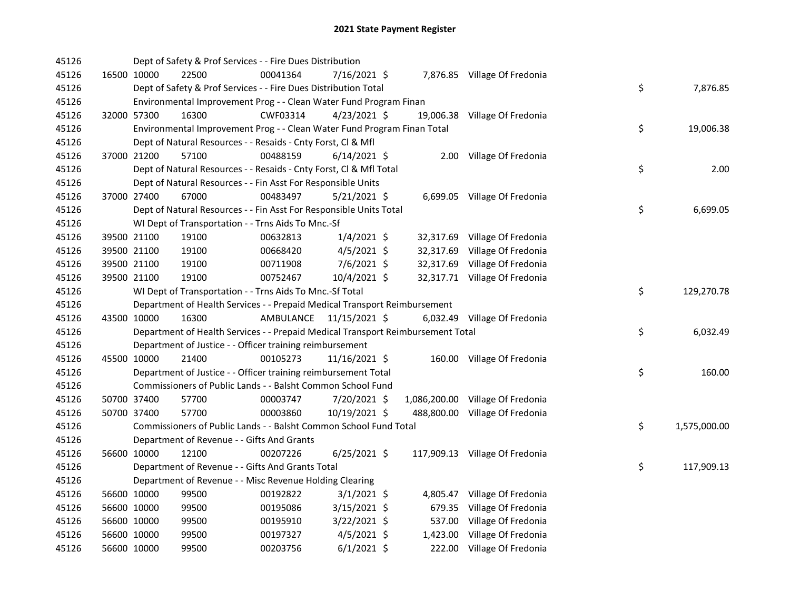| 45126 |                      | Dept of Safety & Prof Services - - Fire Dues Distribution                       |                         |                                  |                    |
|-------|----------------------|---------------------------------------------------------------------------------|-------------------------|----------------------------------|--------------------|
| 45126 | 16500 10000<br>22500 | 00041364                                                                        | 7/16/2021 \$            | 7,876.85 Village Of Fredonia     |                    |
| 45126 |                      | Dept of Safety & Prof Services - - Fire Dues Distribution Total                 |                         |                                  | \$<br>7,876.85     |
| 45126 |                      | Environmental Improvement Prog - - Clean Water Fund Program Finan               |                         |                                  |                    |
| 45126 | 32000 57300<br>16300 | CWF03314                                                                        | $4/23/2021$ \$          | 19,006.38 Village Of Fredonia    |                    |
| 45126 |                      | Environmental Improvement Prog - - Clean Water Fund Program Finan Total         |                         |                                  | \$<br>19,006.38    |
| 45126 |                      | Dept of Natural Resources - - Resaids - Cnty Forst, Cl & Mfl                    |                         |                                  |                    |
| 45126 | 37000 21200<br>57100 | 00488159                                                                        | $6/14/2021$ \$          | 2.00 Village Of Fredonia         |                    |
| 45126 |                      | Dept of Natural Resources - - Resaids - Cnty Forst, Cl & Mfl Total              |                         |                                  | \$<br>2.00         |
| 45126 |                      | Dept of Natural Resources - - Fin Asst For Responsible Units                    |                         |                                  |                    |
| 45126 | 37000 27400<br>67000 | 00483497                                                                        | $5/21/2021$ \$          | 6,699.05 Village Of Fredonia     |                    |
| 45126 |                      | Dept of Natural Resources - - Fin Asst For Responsible Units Total              |                         |                                  | \$<br>6,699.05     |
| 45126 |                      | WI Dept of Transportation - - Trns Aids To Mnc.-Sf                              |                         |                                  |                    |
| 45126 | 39500 21100<br>19100 | 00632813                                                                        | $1/4/2021$ \$           | 32,317.69 Village Of Fredonia    |                    |
| 45126 | 39500 21100<br>19100 | 00668420                                                                        | $4/5/2021$ \$           | 32,317.69 Village Of Fredonia    |                    |
| 45126 | 39500 21100<br>19100 | 00711908                                                                        | 7/6/2021 \$             | 32,317.69 Village Of Fredonia    |                    |
| 45126 | 39500 21100<br>19100 | 00752467                                                                        | 10/4/2021 \$            | 32,317.71 Village Of Fredonia    |                    |
| 45126 |                      | WI Dept of Transportation - - Trns Aids To Mnc.-Sf Total                        |                         |                                  | \$<br>129,270.78   |
| 45126 |                      | Department of Health Services - - Prepaid Medical Transport Reimbursement       |                         |                                  |                    |
| 45126 | 43500 10000<br>16300 |                                                                                 | AMBULANCE 11/15/2021 \$ | 6,032.49 Village Of Fredonia     |                    |
| 45126 |                      | Department of Health Services - - Prepaid Medical Transport Reimbursement Total |                         |                                  | \$<br>6,032.49     |
| 45126 |                      | Department of Justice - - Officer training reimbursement                        |                         |                                  |                    |
| 45126 | 21400<br>45500 10000 | 00105273                                                                        | $11/16/2021$ \$         | 160.00 Village Of Fredonia       |                    |
| 45126 |                      | Department of Justice - - Officer training reimbursement Total                  |                         |                                  | \$<br>160.00       |
| 45126 |                      | Commissioners of Public Lands - - Balsht Common School Fund                     |                         |                                  |                    |
| 45126 | 57700<br>50700 37400 | 00003747                                                                        | 7/20/2021 \$            | 1,086,200.00 Village Of Fredonia |                    |
| 45126 | 50700 37400<br>57700 | 00003860                                                                        |                         |                                  |                    |
| 45126 |                      |                                                                                 | 10/19/2021 \$           | 488,800.00 Village Of Fredonia   |                    |
|       |                      | Commissioners of Public Lands - - Balsht Common School Fund Total               |                         |                                  | \$<br>1,575,000.00 |
| 45126 |                      | Department of Revenue - - Gifts And Grants                                      |                         |                                  |                    |
| 45126 | 12100<br>56600 10000 | 00207226                                                                        | $6/25/2021$ \$          | 117,909.13 Village Of Fredonia   |                    |
| 45126 |                      | Department of Revenue - - Gifts And Grants Total                                |                         |                                  | \$<br>117,909.13   |
| 45126 |                      | Department of Revenue - - Misc Revenue Holding Clearing                         |                         |                                  |                    |
| 45126 | 56600 10000<br>99500 | 00192822                                                                        | $3/1/2021$ \$           | 4,805.47 Village Of Fredonia     |                    |
| 45126 | 99500<br>56600 10000 | 00195086                                                                        | $3/15/2021$ \$          | 679.35 Village Of Fredonia       |                    |
| 45126 | 56600 10000<br>99500 | 00195910                                                                        | $3/22/2021$ \$          | 537.00 Village Of Fredonia       |                    |
| 45126 | 56600 10000<br>99500 | 00197327                                                                        | $4/5/2021$ \$           | 1,423.00 Village Of Fredonia     |                    |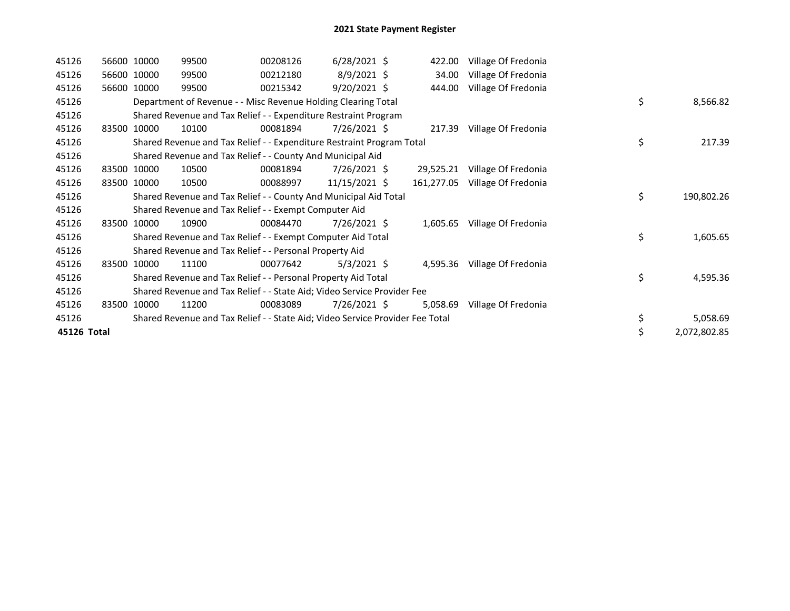| 45126       | 56600 10000 | 99500                                                                         | 00208126 | $6/28/2021$ \$  | 422.00     | Village Of Fredonia |    |              |
|-------------|-------------|-------------------------------------------------------------------------------|----------|-----------------|------------|---------------------|----|--------------|
| 45126       | 56600 10000 | 99500                                                                         | 00212180 | 8/9/2021 \$     | 34.00      | Village Of Fredonia |    |              |
| 45126       | 56600 10000 | 99500                                                                         | 00215342 | $9/20/2021$ \$  | 444.00     | Village Of Fredonia |    |              |
| 45126       |             | Department of Revenue - - Misc Revenue Holding Clearing Total                 |          |                 |            |                     | \$ | 8,566.82     |
| 45126       |             | Shared Revenue and Tax Relief - - Expenditure Restraint Program               |          |                 |            |                     |    |              |
| 45126       | 83500 10000 | 10100                                                                         | 00081894 | $7/26/2021$ \$  | 217.39     | Village Of Fredonia |    |              |
| 45126       |             | Shared Revenue and Tax Relief - - Expenditure Restraint Program Total         |          |                 |            |                     | \$ | 217.39       |
| 45126       |             | Shared Revenue and Tax Relief - - County And Municipal Aid                    |          |                 |            |                     |    |              |
| 45126       | 83500 10000 | 10500                                                                         | 00081894 | $7/26/2021$ \$  | 29,525.21  | Village Of Fredonia |    |              |
| 45126       | 83500 10000 | 10500                                                                         | 00088997 | $11/15/2021$ \$ | 161,277.05 | Village Of Fredonia |    |              |
| 45126       |             | Shared Revenue and Tax Relief - - County And Municipal Aid Total              |          |                 |            |                     | \$ | 190,802.26   |
| 45126       |             | Shared Revenue and Tax Relief - - Exempt Computer Aid                         |          |                 |            |                     |    |              |
| 45126       | 83500 10000 | 10900                                                                         | 00084470 | $7/26/2021$ \$  | 1,605.65   | Village Of Fredonia |    |              |
| 45126       |             | Shared Revenue and Tax Relief - - Exempt Computer Aid Total                   |          |                 |            |                     | \$ | 1,605.65     |
| 45126       |             | Shared Revenue and Tax Relief - - Personal Property Aid                       |          |                 |            |                     |    |              |
| 45126       | 83500 10000 | 11100                                                                         | 00077642 | $5/3/2021$ \$   | 4,595.36   | Village Of Fredonia |    |              |
| 45126       |             | Shared Revenue and Tax Relief - - Personal Property Aid Total                 |          |                 |            |                     | \$ | 4,595.36     |
| 45126       |             | Shared Revenue and Tax Relief - - State Aid; Video Service Provider Fee       |          |                 |            |                     |    |              |
| 45126       | 83500 10000 | 11200                                                                         | 00083089 | 7/26/2021 \$    | 5,058.69   | Village Of Fredonia |    |              |
| 45126       |             | Shared Revenue and Tax Relief - - State Aid; Video Service Provider Fee Total |          |                 |            |                     | \$ | 5,058.69     |
| 45126 Total |             |                                                                               |          |                 |            |                     |    | 2,072,802.85 |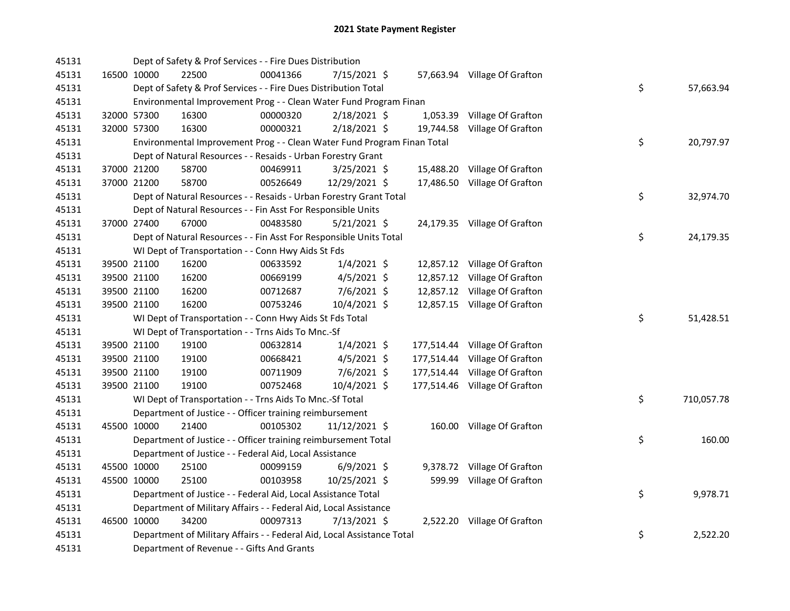| 45131 |             |             | Dept of Safety & Prof Services - - Fire Dues Distribution               |          |                |  |                               |    |            |
|-------|-------------|-------------|-------------------------------------------------------------------------|----------|----------------|--|-------------------------------|----|------------|
| 45131 |             | 16500 10000 | 22500                                                                   | 00041366 | 7/15/2021 \$   |  | 57,663.94 Village Of Grafton  |    |            |
| 45131 |             |             | Dept of Safety & Prof Services - - Fire Dues Distribution Total         |          |                |  |                               | \$ | 57,663.94  |
| 45131 |             |             | Environmental Improvement Prog - - Clean Water Fund Program Finan       |          |                |  |                               |    |            |
| 45131 |             | 32000 57300 | 16300                                                                   | 00000320 | 2/18/2021 \$   |  | 1,053.39 Village Of Grafton   |    |            |
| 45131 |             | 32000 57300 | 16300                                                                   | 00000321 | 2/18/2021 \$   |  | 19,744.58 Village Of Grafton  |    |            |
| 45131 |             |             | Environmental Improvement Prog - - Clean Water Fund Program Finan Total |          |                |  |                               | \$ | 20,797.97  |
| 45131 |             |             | Dept of Natural Resources - - Resaids - Urban Forestry Grant            |          |                |  |                               |    |            |
| 45131 | 37000 21200 |             | 58700                                                                   | 00469911 | 3/25/2021 \$   |  | 15,488.20 Village Of Grafton  |    |            |
| 45131 |             | 37000 21200 | 58700                                                                   | 00526649 | 12/29/2021 \$  |  | 17,486.50 Village Of Grafton  |    |            |
| 45131 |             |             | Dept of Natural Resources - - Resaids - Urban Forestry Grant Total      |          |                |  |                               | \$ | 32,974.70  |
| 45131 |             |             | Dept of Natural Resources - - Fin Asst For Responsible Units            |          |                |  |                               |    |            |
| 45131 |             | 37000 27400 | 67000                                                                   | 00483580 | $5/21/2021$ \$ |  | 24,179.35 Village Of Grafton  |    |            |
| 45131 |             |             | Dept of Natural Resources - - Fin Asst For Responsible Units Total      |          |                |  |                               | \$ | 24,179.35  |
| 45131 |             |             | WI Dept of Transportation - - Conn Hwy Aids St Fds                      |          |                |  |                               |    |            |
| 45131 |             | 39500 21100 | 16200                                                                   | 00633592 | $1/4/2021$ \$  |  | 12,857.12 Village Of Grafton  |    |            |
| 45131 |             | 39500 21100 | 16200                                                                   | 00669199 | $4/5/2021$ \$  |  | 12,857.12 Village Of Grafton  |    |            |
| 45131 |             | 39500 21100 | 16200                                                                   | 00712687 | $7/6/2021$ \$  |  | 12,857.12 Village Of Grafton  |    |            |
| 45131 |             | 39500 21100 | 16200                                                                   | 00753246 | 10/4/2021 \$   |  | 12,857.15 Village Of Grafton  |    |            |
| 45131 |             |             | WI Dept of Transportation - - Conn Hwy Aids St Fds Total                |          |                |  |                               | \$ | 51,428.51  |
| 45131 |             |             | WI Dept of Transportation - - Trns Aids To Mnc.-Sf                      |          |                |  |                               |    |            |
| 45131 |             | 39500 21100 | 19100                                                                   | 00632814 | $1/4/2021$ \$  |  | 177,514.44 Village Of Grafton |    |            |
| 45131 |             | 39500 21100 | 19100                                                                   | 00668421 | $4/5/2021$ \$  |  | 177,514.44 Village Of Grafton |    |            |
| 45131 |             | 39500 21100 | 19100                                                                   | 00711909 | 7/6/2021 \$    |  | 177,514.44 Village Of Grafton |    |            |
| 45131 |             | 39500 21100 | 19100                                                                   | 00752468 | 10/4/2021 \$   |  | 177,514.46 Village Of Grafton |    |            |
| 45131 |             |             | WI Dept of Transportation - - Trns Aids To Mnc.-Sf Total                |          |                |  |                               | \$ | 710,057.78 |
| 45131 |             |             | Department of Justice - - Officer training reimbursement                |          |                |  |                               |    |            |
| 45131 |             | 45500 10000 | 21400                                                                   | 00105302 | 11/12/2021 \$  |  | 160.00 Village Of Grafton     |    |            |
| 45131 |             |             | Department of Justice - - Officer training reimbursement Total          |          |                |  |                               | \$ | 160.00     |
| 45131 |             |             | Department of Justice - - Federal Aid, Local Assistance                 |          |                |  |                               |    |            |
| 45131 |             | 45500 10000 | 25100                                                                   | 00099159 | $6/9/2021$ \$  |  | 9,378.72 Village Of Grafton   |    |            |
| 45131 |             | 45500 10000 | 25100                                                                   | 00103958 | 10/25/2021 \$  |  | 599.99 Village Of Grafton     |    |            |
| 45131 |             |             | Department of Justice - - Federal Aid, Local Assistance Total           |          |                |  |                               | \$ | 9,978.71   |
| 45131 |             |             | Department of Military Affairs - - Federal Aid, Local Assistance        |          |                |  |                               |    |            |
| 45131 |             | 46500 10000 | 34200                                                                   | 00097313 | 7/13/2021 \$   |  | 2,522.20 Village Of Grafton   |    |            |
| 45131 |             |             | Department of Military Affairs - - Federal Aid, Local Assistance Total  |          |                |  |                               | \$ | 2,522.20   |
| 45131 |             |             | Department of Revenue - - Gifts And Grants                              |          |                |  |                               |    |            |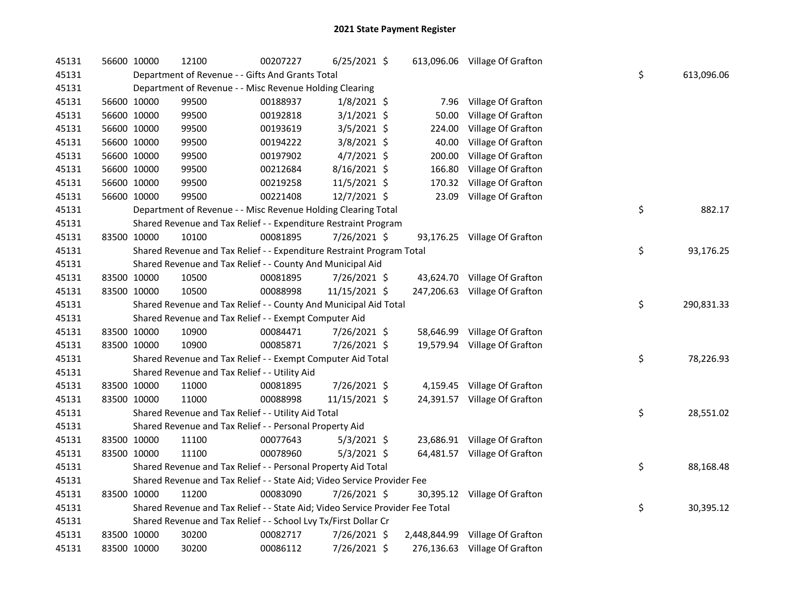| 45131 | 56600 10000 | 12100                                                                         | 00207227 | $6/25/2021$ \$ |              | 613,096.06 Village Of Grafton |    |            |
|-------|-------------|-------------------------------------------------------------------------------|----------|----------------|--------------|-------------------------------|----|------------|
| 45131 |             | Department of Revenue - - Gifts And Grants Total                              |          |                |              |                               | \$ | 613,096.06 |
| 45131 |             | Department of Revenue - - Misc Revenue Holding Clearing                       |          |                |              |                               |    |            |
| 45131 | 56600 10000 | 99500                                                                         | 00188937 | $1/8/2021$ \$  | 7.96         | Village Of Grafton            |    |            |
| 45131 | 56600 10000 | 99500                                                                         | 00192818 | $3/1/2021$ \$  | 50.00        | Village Of Grafton            |    |            |
| 45131 | 56600 10000 | 99500                                                                         | 00193619 | $3/5/2021$ \$  | 224.00       | Village Of Grafton            |    |            |
| 45131 | 56600 10000 | 99500                                                                         | 00194222 | 3/8/2021 \$    | 40.00        | Village Of Grafton            |    |            |
| 45131 | 56600 10000 | 99500                                                                         | 00197902 | $4/7/2021$ \$  | 200.00       | Village Of Grafton            |    |            |
| 45131 | 56600 10000 | 99500                                                                         | 00212684 | 8/16/2021 \$   | 166.80       | Village Of Grafton            |    |            |
| 45131 | 56600 10000 | 99500                                                                         | 00219258 | 11/5/2021 \$   | 170.32       | Village Of Grafton            |    |            |
| 45131 | 56600 10000 | 99500                                                                         | 00221408 | 12/7/2021 \$   | 23.09        | Village Of Grafton            |    |            |
| 45131 |             | Department of Revenue - - Misc Revenue Holding Clearing Total                 |          |                |              |                               | \$ | 882.17     |
| 45131 |             | Shared Revenue and Tax Relief - - Expenditure Restraint Program               |          |                |              |                               |    |            |
| 45131 | 83500 10000 | 10100                                                                         | 00081895 | 7/26/2021 \$   |              | 93,176.25 Village Of Grafton  |    |            |
| 45131 |             | Shared Revenue and Tax Relief - - Expenditure Restraint Program Total         |          |                |              |                               | \$ | 93,176.25  |
| 45131 |             | Shared Revenue and Tax Relief - - County And Municipal Aid                    |          |                |              |                               |    |            |
| 45131 | 83500 10000 | 10500                                                                         | 00081895 | 7/26/2021 \$   |              | 43,624.70 Village Of Grafton  |    |            |
| 45131 | 83500 10000 | 10500                                                                         | 00088998 | 11/15/2021 \$  | 247,206.63   | Village Of Grafton            |    |            |
| 45131 |             | Shared Revenue and Tax Relief - - County And Municipal Aid Total              |          |                |              |                               | \$ | 290,831.33 |
| 45131 |             | Shared Revenue and Tax Relief - - Exempt Computer Aid                         |          |                |              |                               |    |            |
| 45131 | 83500 10000 | 10900                                                                         | 00084471 | 7/26/2021 \$   | 58,646.99    | Village Of Grafton            |    |            |
| 45131 | 83500 10000 | 10900                                                                         | 00085871 | 7/26/2021 \$   |              | 19,579.94 Village Of Grafton  |    |            |
| 45131 |             | Shared Revenue and Tax Relief - - Exempt Computer Aid Total                   |          |                |              |                               | \$ | 78,226.93  |
| 45131 |             | Shared Revenue and Tax Relief - - Utility Aid                                 |          |                |              |                               |    |            |
| 45131 | 83500 10000 | 11000                                                                         | 00081895 | 7/26/2021 \$   |              | 4,159.45 Village Of Grafton   |    |            |
| 45131 | 83500 10000 | 11000                                                                         | 00088998 | 11/15/2021 \$  |              | 24,391.57 Village Of Grafton  |    |            |
| 45131 |             | Shared Revenue and Tax Relief - - Utility Aid Total                           |          |                |              |                               | \$ | 28,551.02  |
| 45131 |             | Shared Revenue and Tax Relief - - Personal Property Aid                       |          |                |              |                               |    |            |
| 45131 | 83500 10000 | 11100                                                                         | 00077643 | $5/3/2021$ \$  |              | 23,686.91 Village Of Grafton  |    |            |
| 45131 | 83500 10000 | 11100                                                                         | 00078960 | $5/3/2021$ \$  |              | 64,481.57 Village Of Grafton  |    |            |
| 45131 |             | Shared Revenue and Tax Relief - - Personal Property Aid Total                 |          |                |              |                               | \$ | 88,168.48  |
| 45131 |             | Shared Revenue and Tax Relief - - State Aid; Video Service Provider Fee       |          |                |              |                               |    |            |
| 45131 | 83500 10000 | 11200                                                                         | 00083090 | 7/26/2021 \$   |              | 30,395.12 Village Of Grafton  |    |            |
| 45131 |             | Shared Revenue and Tax Relief - - State Aid; Video Service Provider Fee Total |          |                |              |                               | \$ | 30,395.12  |
| 45131 |             | Shared Revenue and Tax Relief - - School Lvy Tx/First Dollar Cr               |          |                |              |                               |    |            |
| 45131 | 83500 10000 | 30200                                                                         | 00082717 | 7/26/2021 \$   | 2,448,844.99 | Village Of Grafton            |    |            |
| 45131 | 83500 10000 | 30200                                                                         | 00086112 | 7/26/2021 \$   |              | 276,136.63 Village Of Grafton |    |            |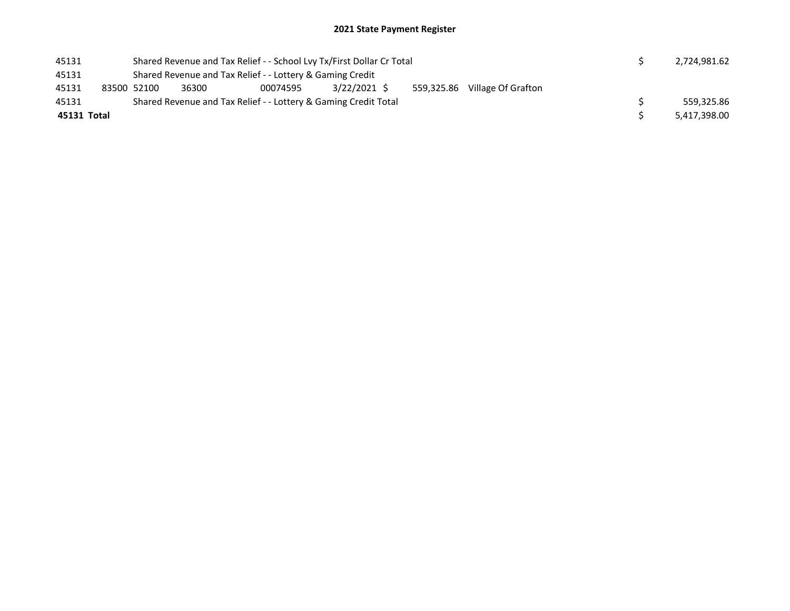| 45131       |                                                           | Shared Revenue and Tax Relief - - School Lvy Tx/First Dollar Cr Total |                                                                 | 2,724,981.62 |            |                    |  |              |
|-------------|-----------------------------------------------------------|-----------------------------------------------------------------------|-----------------------------------------------------------------|--------------|------------|--------------------|--|--------------|
| 45131       | Shared Revenue and Tax Relief - - Lottery & Gaming Credit |                                                                       |                                                                 |              |            |                    |  |              |
| 45131       | 83500 52100                                               | 36300                                                                 | 00074595                                                        | 3/22/2021 \$ | 559,325.86 | Village Of Grafton |  |              |
| 45131       |                                                           |                                                                       | Shared Revenue and Tax Relief - - Lottery & Gaming Credit Total |              |            |                    |  | 559.325.86   |
| 45131 Total |                                                           |                                                                       |                                                                 |              |            |                    |  | 5,417,398.00 |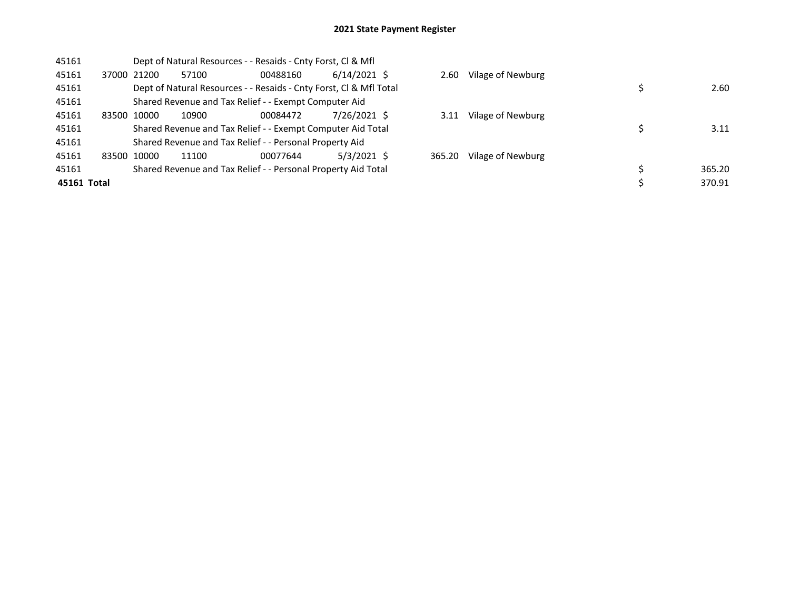| 45161       |       |             |       | Dept of Natural Resources - - Resaids - Cnty Forst, CI & Mfl       |                |        |                   |        |
|-------------|-------|-------------|-------|--------------------------------------------------------------------|----------------|--------|-------------------|--------|
| 45161       |       | 37000 21200 | 57100 | 00488160                                                           | $6/14/2021$ \$ | 2.60   | Vilage of Newburg |        |
| 45161       |       |             |       | Dept of Natural Resources - - Resaids - Cnty Forst, Cl & Mfl Total |                |        |                   | 2.60   |
| 45161       |       |             |       | Shared Revenue and Tax Relief - - Exempt Computer Aid              |                |        |                   |        |
| 45161       | 83500 | 10000       | 10900 | 00084472                                                           | 7/26/2021 \$   | 3.11   | Vilage of Newburg |        |
| 45161       |       |             |       | Shared Revenue and Tax Relief - - Exempt Computer Aid Total        |                |        |                   | 3.11   |
| 45161       |       |             |       | Shared Revenue and Tax Relief - - Personal Property Aid            |                |        |                   |        |
| 45161       |       | 83500 10000 | 11100 | 00077644                                                           | $5/3/2021$ \$  | 365.20 | Vilage of Newburg |        |
| 45161       |       |             |       | Shared Revenue and Tax Relief - - Personal Property Aid Total      |                |        |                   | 365.20 |
| 45161 Total |       |             |       |                                                                    |                |        |                   | 370.91 |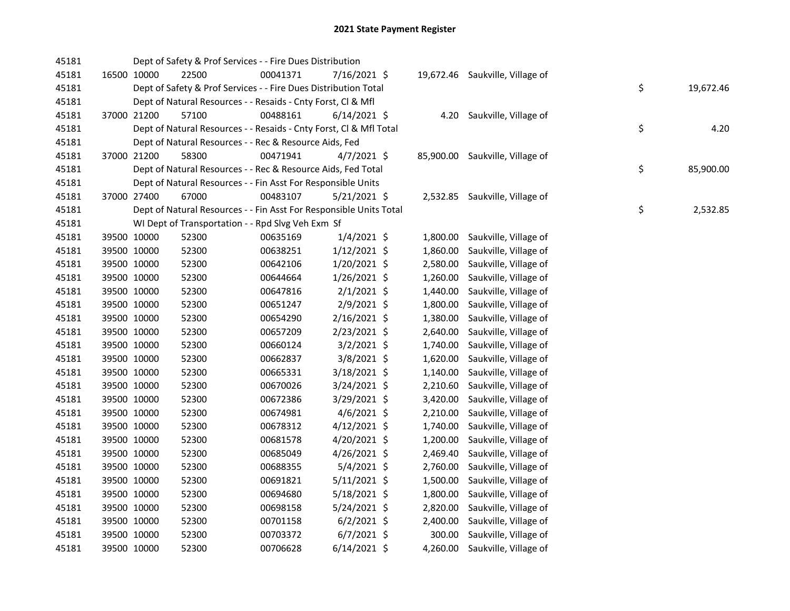| 45181 |             | Dept of Safety & Prof Services - - Fire Dues Distribution          |          |                |          |                                 |    |           |
|-------|-------------|--------------------------------------------------------------------|----------|----------------|----------|---------------------------------|----|-----------|
| 45181 | 16500 10000 | 22500                                                              | 00041371 | 7/16/2021 \$   |          | 19,672.46 Saukville, Village of |    |           |
| 45181 |             | Dept of Safety & Prof Services - - Fire Dues Distribution Total    |          |                |          |                                 | \$ | 19,672.46 |
| 45181 |             | Dept of Natural Resources - - Resaids - Cnty Forst, Cl & Mfl       |          |                |          |                                 |    |           |
| 45181 | 37000 21200 | 57100                                                              | 00488161 | $6/14/2021$ \$ | 4.20     | Saukville, Village of           |    |           |
| 45181 |             | Dept of Natural Resources - - Resaids - Cnty Forst, CI & Mfl Total |          |                |          |                                 | \$ | 4.20      |
| 45181 |             | Dept of Natural Resources - - Rec & Resource Aids, Fed             |          |                |          |                                 |    |           |
| 45181 | 37000 21200 | 58300                                                              | 00471941 | $4/7/2021$ \$  |          | 85,900.00 Saukville, Village of |    |           |
| 45181 |             | Dept of Natural Resources - - Rec & Resource Aids, Fed Total       |          |                |          |                                 | \$ | 85,900.00 |
| 45181 |             | Dept of Natural Resources - - Fin Asst For Responsible Units       |          |                |          |                                 |    |           |
| 45181 | 37000 27400 | 67000                                                              | 00483107 | $5/21/2021$ \$ |          | 2,532.85 Saukville, Village of  |    |           |
| 45181 |             | Dept of Natural Resources - - Fin Asst For Responsible Units Total |          |                |          |                                 | \$ | 2,532.85  |
| 45181 |             | WI Dept of Transportation - - Rpd Slvg Veh Exm Sf                  |          |                |          |                                 |    |           |
| 45181 | 39500 10000 | 52300                                                              | 00635169 | $1/4/2021$ \$  | 1,800.00 | Saukville, Village of           |    |           |
| 45181 | 39500 10000 | 52300                                                              | 00638251 | $1/12/2021$ \$ | 1,860.00 | Saukville, Village of           |    |           |
| 45181 | 39500 10000 | 52300                                                              | 00642106 | $1/20/2021$ \$ | 2,580.00 | Saukville, Village of           |    |           |
| 45181 | 39500 10000 | 52300                                                              | 00644664 | $1/26/2021$ \$ | 1,260.00 | Saukville, Village of           |    |           |
| 45181 | 39500 10000 | 52300                                                              | 00647816 | $2/1/2021$ \$  | 1,440.00 | Saukville, Village of           |    |           |
| 45181 | 39500 10000 | 52300                                                              | 00651247 | $2/9/2021$ \$  | 1,800.00 | Saukville, Village of           |    |           |
| 45181 | 39500 10000 | 52300                                                              | 00654290 | $2/16/2021$ \$ | 1,380.00 | Saukville, Village of           |    |           |
| 45181 | 39500 10000 | 52300                                                              | 00657209 | $2/23/2021$ \$ | 2,640.00 | Saukville, Village of           |    |           |
| 45181 | 39500 10000 | 52300                                                              | 00660124 | $3/2/2021$ \$  | 1,740.00 | Saukville, Village of           |    |           |
| 45181 | 39500 10000 | 52300                                                              | 00662837 | $3/8/2021$ \$  | 1,620.00 | Saukville, Village of           |    |           |
| 45181 | 39500 10000 | 52300                                                              | 00665331 | $3/18/2021$ \$ | 1,140.00 | Saukville, Village of           |    |           |
| 45181 | 39500 10000 | 52300                                                              | 00670026 | 3/24/2021 \$   | 2,210.60 | Saukville, Village of           |    |           |
| 45181 | 39500 10000 | 52300                                                              | 00672386 | 3/29/2021 \$   | 3,420.00 | Saukville, Village of           |    |           |
| 45181 | 39500 10000 | 52300                                                              | 00674981 | $4/6/2021$ \$  | 2,210.00 | Saukville, Village of           |    |           |
| 45181 | 39500 10000 | 52300                                                              | 00678312 | $4/12/2021$ \$ | 1,740.00 | Saukville, Village of           |    |           |
| 45181 | 39500 10000 | 52300                                                              | 00681578 | 4/20/2021 \$   | 1,200.00 | Saukville, Village of           |    |           |
| 45181 | 39500 10000 | 52300                                                              | 00685049 | 4/26/2021 \$   | 2,469.40 | Saukville, Village of           |    |           |
| 45181 | 39500 10000 | 52300                                                              | 00688355 | $5/4/2021$ \$  | 2,760.00 | Saukville, Village of           |    |           |
| 45181 | 39500 10000 | 52300                                                              | 00691821 | $5/11/2021$ \$ | 1,500.00 | Saukville, Village of           |    |           |
| 45181 | 39500 10000 | 52300                                                              | 00694680 | $5/18/2021$ \$ | 1,800.00 | Saukville, Village of           |    |           |
| 45181 | 39500 10000 | 52300                                                              | 00698158 | $5/24/2021$ \$ | 2,820.00 | Saukville, Village of           |    |           |
| 45181 | 39500 10000 | 52300                                                              | 00701158 | $6/2/2021$ \$  | 2,400.00 | Saukville, Village of           |    |           |
| 45181 | 39500 10000 | 52300                                                              | 00703372 | $6/7/2021$ \$  | 300.00   | Saukville, Village of           |    |           |
| 45181 | 39500 10000 | 52300                                                              | 00706628 | $6/14/2021$ \$ | 4,260.00 | Saukville, Village of           |    |           |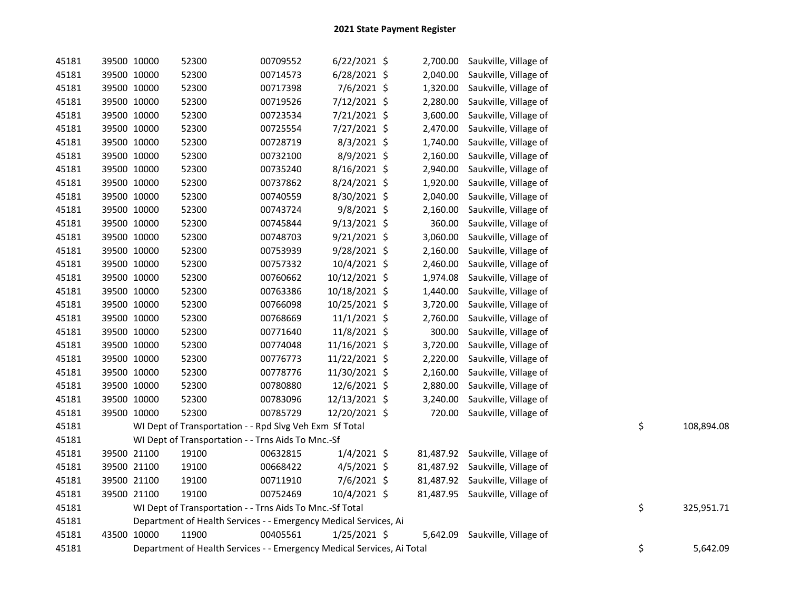| 45181 |             | 39500 10000 | 52300                                                                  | 00709552 | $6/22/2021$ \$ |          | 2,700.00 Saukville, Village of  |    |            |
|-------|-------------|-------------|------------------------------------------------------------------------|----------|----------------|----------|---------------------------------|----|------------|
| 45181 |             | 39500 10000 | 52300                                                                  | 00714573 | 6/28/2021 \$   | 2,040.00 | Saukville, Village of           |    |            |
| 45181 |             | 39500 10000 | 52300                                                                  | 00717398 | 7/6/2021 \$    | 1,320.00 | Saukville, Village of           |    |            |
| 45181 |             | 39500 10000 | 52300                                                                  | 00719526 | 7/12/2021 \$   | 2,280.00 | Saukville, Village of           |    |            |
| 45181 |             | 39500 10000 | 52300                                                                  | 00723534 | 7/21/2021 \$   | 3,600.00 | Saukville, Village of           |    |            |
| 45181 |             | 39500 10000 | 52300                                                                  | 00725554 | 7/27/2021 \$   | 2,470.00 | Saukville, Village of           |    |            |
| 45181 |             | 39500 10000 | 52300                                                                  | 00728719 | $8/3/2021$ \$  | 1,740.00 | Saukville, Village of           |    |            |
| 45181 |             | 39500 10000 | 52300                                                                  | 00732100 | 8/9/2021 \$    | 2,160.00 | Saukville, Village of           |    |            |
| 45181 |             | 39500 10000 | 52300                                                                  | 00735240 | 8/16/2021 \$   | 2,940.00 | Saukville, Village of           |    |            |
| 45181 |             | 39500 10000 | 52300                                                                  | 00737862 | 8/24/2021 \$   | 1,920.00 | Saukville, Village of           |    |            |
| 45181 |             | 39500 10000 | 52300                                                                  | 00740559 | 8/30/2021 \$   | 2,040.00 | Saukville, Village of           |    |            |
| 45181 |             | 39500 10000 | 52300                                                                  | 00743724 | 9/8/2021 \$    | 2,160.00 | Saukville, Village of           |    |            |
| 45181 |             | 39500 10000 | 52300                                                                  | 00745844 | $9/13/2021$ \$ | 360.00   | Saukville, Village of           |    |            |
| 45181 |             | 39500 10000 | 52300                                                                  | 00748703 | 9/21/2021 \$   | 3,060.00 | Saukville, Village of           |    |            |
| 45181 |             | 39500 10000 | 52300                                                                  | 00753939 | 9/28/2021 \$   | 2,160.00 | Saukville, Village of           |    |            |
| 45181 |             | 39500 10000 | 52300                                                                  | 00757332 | 10/4/2021 \$   | 2,460.00 | Saukville, Village of           |    |            |
| 45181 |             | 39500 10000 | 52300                                                                  | 00760662 | 10/12/2021 \$  | 1,974.08 | Saukville, Village of           |    |            |
| 45181 |             | 39500 10000 | 52300                                                                  | 00763386 | 10/18/2021 \$  | 1,440.00 | Saukville, Village of           |    |            |
| 45181 |             | 39500 10000 | 52300                                                                  | 00766098 | 10/25/2021 \$  | 3,720.00 | Saukville, Village of           |    |            |
| 45181 |             | 39500 10000 | 52300                                                                  | 00768669 | $11/1/2021$ \$ | 2,760.00 | Saukville, Village of           |    |            |
| 45181 |             | 39500 10000 | 52300                                                                  | 00771640 | 11/8/2021 \$   | 300.00   | Saukville, Village of           |    |            |
| 45181 |             | 39500 10000 | 52300                                                                  | 00774048 | 11/16/2021 \$  | 3,720.00 | Saukville, Village of           |    |            |
| 45181 |             | 39500 10000 | 52300                                                                  | 00776773 | 11/22/2021 \$  | 2,220.00 | Saukville, Village of           |    |            |
| 45181 |             | 39500 10000 | 52300                                                                  | 00778776 | 11/30/2021 \$  | 2,160.00 | Saukville, Village of           |    |            |
| 45181 |             | 39500 10000 | 52300                                                                  | 00780880 | 12/6/2021 \$   | 2,880.00 | Saukville, Village of           |    |            |
| 45181 |             | 39500 10000 | 52300                                                                  | 00783096 | 12/13/2021 \$  | 3,240.00 | Saukville, Village of           |    |            |
| 45181 |             | 39500 10000 | 52300                                                                  | 00785729 | 12/20/2021 \$  | 720.00   | Saukville, Village of           |    |            |
| 45181 |             |             | WI Dept of Transportation - - Rpd Slvg Veh Exm Sf Total                |          |                |          |                                 | \$ | 108,894.08 |
| 45181 |             |             | WI Dept of Transportation - - Trns Aids To Mnc.-Sf                     |          |                |          |                                 |    |            |
| 45181 |             | 39500 21100 | 19100                                                                  | 00632815 | $1/4/2021$ \$  |          | 81,487.92 Saukville, Village of |    |            |
| 45181 |             | 39500 21100 | 19100                                                                  | 00668422 | $4/5/2021$ \$  |          | 81,487.92 Saukville, Village of |    |            |
| 45181 |             | 39500 21100 | 19100                                                                  | 00711910 | $7/6/2021$ \$  |          | 81,487.92 Saukville, Village of |    |            |
| 45181 |             | 39500 21100 | 19100                                                                  | 00752469 | 10/4/2021 \$   |          | 81,487.95 Saukville, Village of |    |            |
| 45181 |             |             | WI Dept of Transportation - - Trns Aids To Mnc.-Sf Total               |          |                |          |                                 | \$ | 325,951.71 |
| 45181 |             |             | Department of Health Services - - Emergency Medical Services, Ai       |          |                |          |                                 |    |            |
| 45181 | 43500 10000 |             | 11900                                                                  | 00405561 | $1/25/2021$ \$ | 5,642.09 | Saukville, Village of           |    |            |
| 45181 |             |             | Department of Health Services - - Emergency Medical Services, Ai Total |          |                |          |                                 | \$ | 5,642.09   |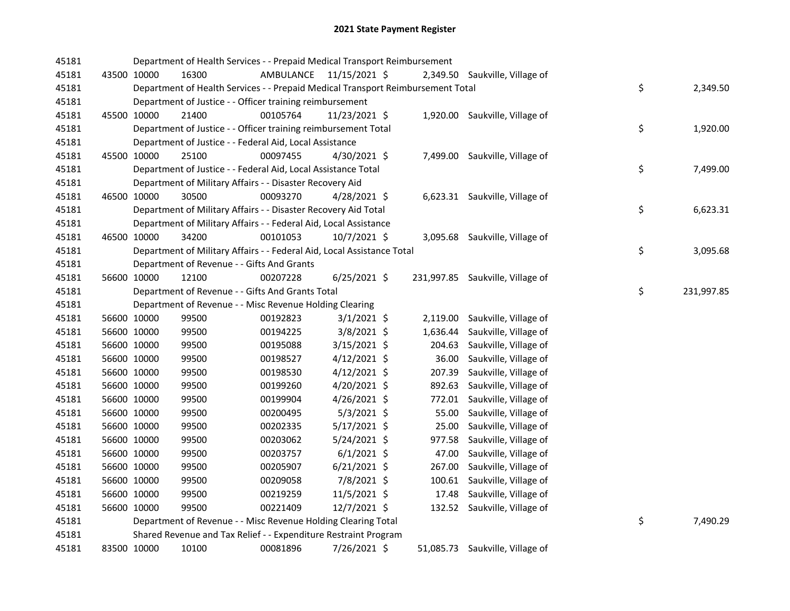| 45181 |             |             | Department of Health Services - - Prepaid Medical Transport Reimbursement       |                         |                |          |                                  |    |            |
|-------|-------------|-------------|---------------------------------------------------------------------------------|-------------------------|----------------|----------|----------------------------------|----|------------|
| 45181 |             | 43500 10000 | 16300                                                                           | AMBULANCE 11/15/2021 \$ |                |          | 2,349.50 Saukville, Village of   |    |            |
| 45181 |             |             | Department of Health Services - - Prepaid Medical Transport Reimbursement Total |                         |                |          |                                  | \$ | 2,349.50   |
| 45181 |             |             | Department of Justice - - Officer training reimbursement                        |                         |                |          |                                  |    |            |
| 45181 |             | 45500 10000 | 21400                                                                           | 00105764                | 11/23/2021 \$  |          | 1,920.00 Saukville, Village of   |    |            |
| 45181 |             |             | Department of Justice - - Officer training reimbursement Total                  |                         |                |          |                                  | \$ | 1,920.00   |
| 45181 |             |             | Department of Justice - - Federal Aid, Local Assistance                         |                         |                |          |                                  |    |            |
| 45181 | 45500 10000 |             | 25100                                                                           | 00097455                | $4/30/2021$ \$ |          | 7,499.00 Saukville, Village of   |    |            |
| 45181 |             |             | Department of Justice - - Federal Aid, Local Assistance Total                   |                         |                |          |                                  | \$ | 7,499.00   |
| 45181 |             |             | Department of Military Affairs - - Disaster Recovery Aid                        |                         |                |          |                                  |    |            |
| 45181 |             | 46500 10000 | 30500                                                                           | 00093270                | $4/28/2021$ \$ |          | 6,623.31 Saukville, Village of   |    |            |
| 45181 |             |             | Department of Military Affairs - - Disaster Recovery Aid Total                  |                         |                |          |                                  | \$ | 6,623.31   |
| 45181 |             |             | Department of Military Affairs - - Federal Aid, Local Assistance                |                         |                |          |                                  |    |            |
| 45181 |             | 46500 10000 | 34200                                                                           | 00101053                | $10/7/2021$ \$ |          | 3,095.68 Saukville, Village of   |    |            |
| 45181 |             |             | Department of Military Affairs - - Federal Aid, Local Assistance Total          |                         |                |          |                                  | \$ | 3,095.68   |
| 45181 |             |             | Department of Revenue - - Gifts And Grants                                      |                         |                |          |                                  |    |            |
| 45181 |             | 56600 10000 | 12100                                                                           | 00207228                | $6/25/2021$ \$ |          | 231,997.85 Saukville, Village of |    |            |
| 45181 |             |             | Department of Revenue - - Gifts And Grants Total                                |                         |                |          |                                  | \$ | 231,997.85 |
| 45181 |             |             | Department of Revenue - - Misc Revenue Holding Clearing                         |                         |                |          |                                  |    |            |
| 45181 |             | 56600 10000 | 99500                                                                           | 00192823                | $3/1/2021$ \$  | 2,119.00 | Saukville, Village of            |    |            |
| 45181 |             | 56600 10000 | 99500                                                                           | 00194225                | 3/8/2021 \$    | 1,636.44 | Saukville, Village of            |    |            |
| 45181 |             | 56600 10000 | 99500                                                                           | 00195088                | 3/15/2021 \$   | 204.63   | Saukville, Village of            |    |            |
| 45181 |             | 56600 10000 | 99500                                                                           | 00198527                | $4/12/2021$ \$ | 36.00    | Saukville, Village of            |    |            |
| 45181 |             | 56600 10000 | 99500                                                                           | 00198530                | $4/12/2021$ \$ | 207.39   | Saukville, Village of            |    |            |
| 45181 |             | 56600 10000 | 99500                                                                           | 00199260                | $4/20/2021$ \$ | 892.63   | Saukville, Village of            |    |            |
| 45181 |             | 56600 10000 | 99500                                                                           | 00199904                | $4/26/2021$ \$ |          | 772.01 Saukville, Village of     |    |            |
| 45181 |             | 56600 10000 | 99500                                                                           | 00200495                | $5/3/2021$ \$  | 55.00    | Saukville, Village of            |    |            |
| 45181 |             | 56600 10000 | 99500                                                                           | 00202335                | $5/17/2021$ \$ | 25.00    | Saukville, Village of            |    |            |
| 45181 |             | 56600 10000 | 99500                                                                           | 00203062                | $5/24/2021$ \$ | 977.58   | Saukville, Village of            |    |            |
| 45181 |             | 56600 10000 | 99500                                                                           | 00203757                | $6/1/2021$ \$  | 47.00    | Saukville, Village of            |    |            |
| 45181 |             | 56600 10000 | 99500                                                                           | 00205907                | $6/21/2021$ \$ | 267.00   | Saukville, Village of            |    |            |
| 45181 |             | 56600 10000 | 99500                                                                           | 00209058                | 7/8/2021 \$    |          | 100.61 Saukville, Village of     |    |            |
| 45181 |             | 56600 10000 | 99500                                                                           | 00219259                | 11/5/2021 \$   |          | 17.48 Saukville, Village of      |    |            |
| 45181 |             | 56600 10000 | 99500                                                                           | 00221409                | 12/7/2021 \$   |          | 132.52 Saukville, Village of     |    |            |
| 45181 |             |             | Department of Revenue - - Misc Revenue Holding Clearing Total                   |                         |                |          |                                  | \$ | 7,490.29   |
| 45181 |             |             | Shared Revenue and Tax Relief - - Expenditure Restraint Program                 |                         |                |          |                                  |    |            |
| 45181 |             | 83500 10000 | 10100                                                                           | 00081896                | 7/26/2021 \$   |          | 51,085.73 Saukville, Village of  |    |            |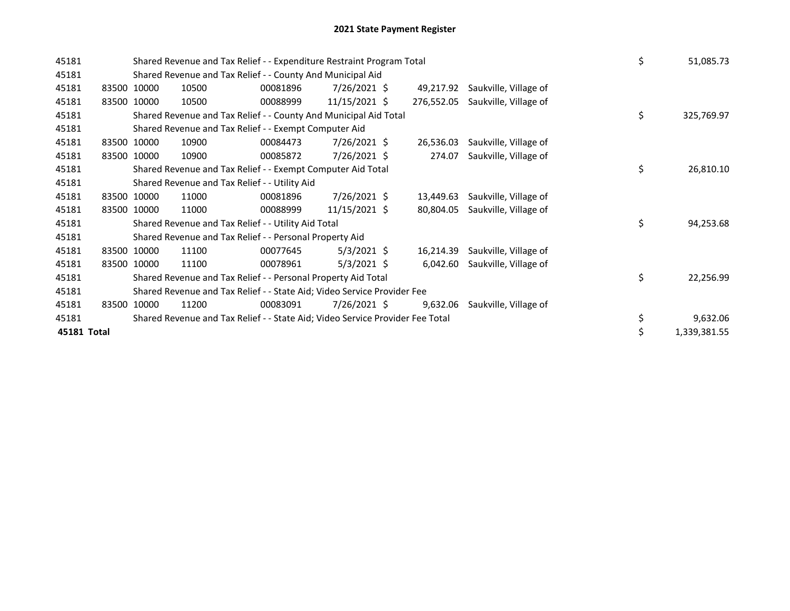| 45181       |       |             | Shared Revenue and Tax Relief - - Expenditure Restraint Program Total         |          |                |            |                       | \$ | 51,085.73    |
|-------------|-------|-------------|-------------------------------------------------------------------------------|----------|----------------|------------|-----------------------|----|--------------|
| 45181       |       |             | Shared Revenue and Tax Relief - - County And Municipal Aid                    |          |                |            |                       |    |              |
| 45181       |       | 83500 10000 | 10500                                                                         | 00081896 | 7/26/2021 \$   | 49,217.92  | Saukville, Village of |    |              |
| 45181       | 83500 | 10000       | 10500                                                                         | 00088999 | 11/15/2021 \$  | 276,552.05 | Saukville, Village of |    |              |
| 45181       |       |             | Shared Revenue and Tax Relief - - County And Municipal Aid Total              |          |                |            |                       | \$ | 325,769.97   |
| 45181       |       |             | Shared Revenue and Tax Relief - - Exempt Computer Aid                         |          |                |            |                       |    |              |
| 45181       |       | 83500 10000 | 10900                                                                         | 00084473 | $7/26/2021$ \$ | 26,536.03  | Saukville, Village of |    |              |
| 45181       |       | 83500 10000 | 10900                                                                         | 00085872 | $7/26/2021$ \$ | 274.07     | Saukville, Village of |    |              |
| 45181       |       |             | Shared Revenue and Tax Relief - - Exempt Computer Aid Total                   |          |                |            |                       | \$ | 26,810.10    |
| 45181       |       |             | Shared Revenue and Tax Relief - - Utility Aid                                 |          |                |            |                       |    |              |
| 45181       |       | 83500 10000 | 11000                                                                         | 00081896 | 7/26/2021 \$   | 13,449.63  | Saukville, Village of |    |              |
| 45181       |       | 83500 10000 | 11000                                                                         | 00088999 | 11/15/2021 \$  | 80,804.05  | Saukville, Village of |    |              |
| 45181       |       |             | Shared Revenue and Tax Relief - - Utility Aid Total                           |          |                |            |                       | \$ | 94,253.68    |
| 45181       |       |             | Shared Revenue and Tax Relief - - Personal Property Aid                       |          |                |            |                       |    |              |
| 45181       |       | 83500 10000 | 11100                                                                         | 00077645 | $5/3/2021$ \$  | 16,214.39  | Saukville, Village of |    |              |
| 45181       |       | 83500 10000 | 11100                                                                         | 00078961 | $5/3/2021$ \$  | 6,042.60   | Saukville, Village of |    |              |
| 45181       |       |             | Shared Revenue and Tax Relief - - Personal Property Aid Total                 |          |                |            |                       | \$ | 22,256.99    |
| 45181       |       |             | Shared Revenue and Tax Relief - - State Aid; Video Service Provider Fee       |          |                |            |                       |    |              |
| 45181       | 83500 | 10000       | 11200                                                                         | 00083091 | 7/26/2021 \$   | 9,632.06   | Saukville, Village of |    |              |
| 45181       |       |             | Shared Revenue and Tax Relief - - State Aid; Video Service Provider Fee Total |          |                |            |                       | \$ | 9,632.06     |
| 45181 Total |       |             |                                                                               |          |                |            |                       | \$ | 1,339,381.55 |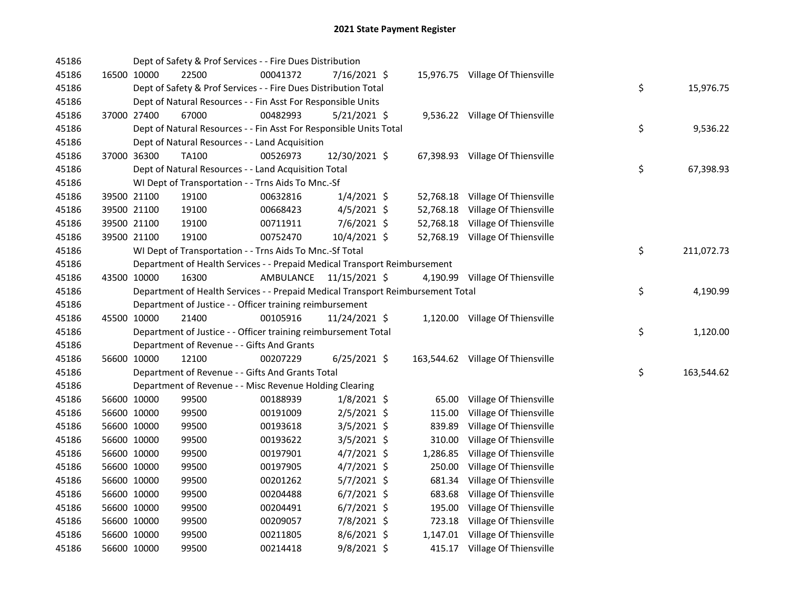| 45186 |             |             | Dept of Safety & Prof Services - - Fire Dues Distribution                       |           |                |        |                                   |    |            |
|-------|-------------|-------------|---------------------------------------------------------------------------------|-----------|----------------|--------|-----------------------------------|----|------------|
| 45186 |             | 16500 10000 | 22500                                                                           | 00041372  | 7/16/2021 \$   |        | 15,976.75 Village Of Thiensville  |    |            |
| 45186 |             |             | Dept of Safety & Prof Services - - Fire Dues Distribution Total                 |           |                |        |                                   | \$ | 15,976.75  |
| 45186 |             |             | Dept of Natural Resources - - Fin Asst For Responsible Units                    |           |                |        |                                   |    |            |
| 45186 |             | 37000 27400 | 67000                                                                           | 00482993  | $5/21/2021$ \$ |        | 9,536.22 Village Of Thiensville   |    |            |
| 45186 |             |             | Dept of Natural Resources - - Fin Asst For Responsible Units Total              |           |                |        |                                   | \$ | 9,536.22   |
| 45186 |             |             | Dept of Natural Resources - - Land Acquisition                                  |           |                |        |                                   |    |            |
| 45186 |             | 37000 36300 | TA100                                                                           | 00526973  | 12/30/2021 \$  |        | 67,398.93 Village Of Thiensville  |    |            |
| 45186 |             |             | Dept of Natural Resources - - Land Acquisition Total                            |           |                |        |                                   | \$ | 67,398.93  |
| 45186 |             |             | WI Dept of Transportation - - Trns Aids To Mnc.-Sf                              |           |                |        |                                   |    |            |
| 45186 |             | 39500 21100 | 19100                                                                           | 00632816  | $1/4/2021$ \$  |        | 52,768.18 Village Of Thiensville  |    |            |
| 45186 |             | 39500 21100 | 19100                                                                           | 00668423  | $4/5/2021$ \$  |        | 52,768.18 Village Of Thiensville  |    |            |
| 45186 |             | 39500 21100 | 19100                                                                           | 00711911  | 7/6/2021 \$    |        | 52,768.18 Village Of Thiensville  |    |            |
| 45186 |             | 39500 21100 | 19100                                                                           | 00752470  | 10/4/2021 \$   |        | 52,768.19 Village Of Thiensville  |    |            |
| 45186 |             |             | WI Dept of Transportation - - Trns Aids To Mnc.-Sf Total                        |           |                |        |                                   | \$ | 211,072.73 |
| 45186 |             |             | Department of Health Services - - Prepaid Medical Transport Reimbursement       |           |                |        |                                   |    |            |
| 45186 |             | 43500 10000 | 16300                                                                           | AMBULANCE | 11/15/2021 \$  |        | 4,190.99 Village Of Thiensville   |    |            |
| 45186 |             |             | Department of Health Services - - Prepaid Medical Transport Reimbursement Total |           |                |        |                                   | \$ | 4,190.99   |
| 45186 |             |             | Department of Justice - - Officer training reimbursement                        |           |                |        |                                   |    |            |
| 45186 |             | 45500 10000 | 21400                                                                           | 00105916  | 11/24/2021 \$  |        | 1,120.00 Village Of Thiensville   |    |            |
| 45186 |             |             | Department of Justice - - Officer training reimbursement Total                  |           |                |        |                                   | \$ | 1,120.00   |
| 45186 |             |             | Department of Revenue - - Gifts And Grants                                      |           |                |        |                                   |    |            |
| 45186 |             | 56600 10000 | 12100                                                                           | 00207229  | $6/25/2021$ \$ |        | 163,544.62 Village Of Thiensville |    |            |
| 45186 |             |             | Department of Revenue - - Gifts And Grants Total                                |           |                |        |                                   | \$ | 163,544.62 |
| 45186 |             |             | Department of Revenue - - Misc Revenue Holding Clearing                         |           |                |        |                                   |    |            |
| 45186 |             | 56600 10000 | 99500                                                                           | 00188939  | $1/8/2021$ \$  | 65.00  | Village Of Thiensville            |    |            |
| 45186 |             | 56600 10000 | 99500                                                                           | 00191009  | 2/5/2021 \$    | 115.00 | Village Of Thiensville            |    |            |
| 45186 |             | 56600 10000 | 99500                                                                           | 00193618  | $3/5/2021$ \$  |        | 839.89 Village Of Thiensville     |    |            |
| 45186 |             | 56600 10000 | 99500                                                                           | 00193622  | 3/5/2021 \$    |        | 310.00 Village Of Thiensville     |    |            |
| 45186 |             | 56600 10000 | 99500                                                                           | 00197901  | $4/7/2021$ \$  |        | 1,286.85 Village Of Thiensville   |    |            |
| 45186 |             | 56600 10000 | 99500                                                                           | 00197905  | $4/7/2021$ \$  |        | 250.00 Village Of Thiensville     |    |            |
| 45186 |             | 56600 10000 | 99500                                                                           | 00201262  | 5/7/2021 \$    |        | 681.34 Village Of Thiensville     |    |            |
| 45186 |             | 56600 10000 | 99500                                                                           | 00204488  | $6/7/2021$ \$  |        | 683.68 Village Of Thiensville     |    |            |
| 45186 |             | 56600 10000 | 99500                                                                           | 00204491  | $6/7/2021$ \$  |        | 195.00 Village Of Thiensville     |    |            |
| 45186 |             | 56600 10000 | 99500                                                                           | 00209057  | 7/8/2021 \$    |        | 723.18 Village Of Thiensville     |    |            |
| 45186 |             | 56600 10000 | 99500                                                                           | 00211805  | 8/6/2021 \$    |        | 1,147.01 Village Of Thiensville   |    |            |
| 45186 | 56600 10000 |             | 99500                                                                           | 00214418  | 9/8/2021 \$    |        | 415.17 Village Of Thiensville     |    |            |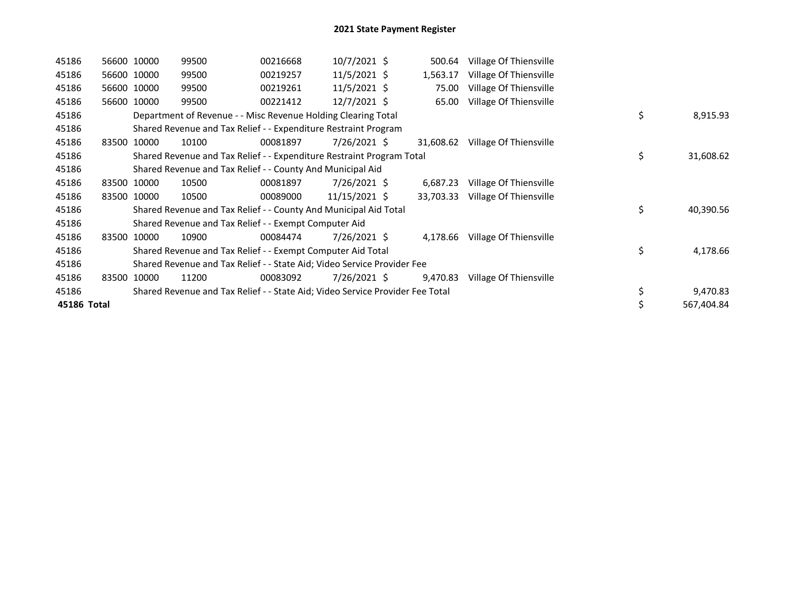| 45186       |       | 56600 10000 | 99500                                                                         | 00216668 | $10/7/2021$ \$ | 500.64    | Village Of Thiensville |    |            |
|-------------|-------|-------------|-------------------------------------------------------------------------------|----------|----------------|-----------|------------------------|----|------------|
| 45186       |       | 56600 10000 | 99500                                                                         | 00219257 | $11/5/2021$ \$ | 1,563.17  | Village Of Thiensville |    |            |
| 45186       |       | 56600 10000 | 99500                                                                         | 00219261 | $11/5/2021$ \$ | 75.00     | Village Of Thiensville |    |            |
| 45186       |       | 56600 10000 | 99500                                                                         | 00221412 | 12/7/2021 \$   | 65.00     | Village Of Thiensville |    |            |
| 45186       |       |             | Department of Revenue - - Misc Revenue Holding Clearing Total                 |          |                |           |                        | \$ | 8,915.93   |
| 45186       |       |             | Shared Revenue and Tax Relief - - Expenditure Restraint Program               |          |                |           |                        |    |            |
| 45186       |       | 83500 10000 | 10100                                                                         | 00081897 | 7/26/2021 \$   | 31,608.62 | Village Of Thiensville |    |            |
| 45186       |       |             | Shared Revenue and Tax Relief - - Expenditure Restraint Program Total         |          |                |           |                        | \$ | 31,608.62  |
| 45186       |       |             | Shared Revenue and Tax Relief - - County And Municipal Aid                    |          |                |           |                        |    |            |
| 45186       |       | 83500 10000 | 10500                                                                         | 00081897 | 7/26/2021 \$   | 6,687.23  | Village Of Thiensville |    |            |
| 45186       |       | 83500 10000 | 10500                                                                         | 00089000 | 11/15/2021 \$  | 33,703.33 | Village Of Thiensville |    |            |
| 45186       |       |             | Shared Revenue and Tax Relief - - County And Municipal Aid Total              |          |                |           |                        | \$ | 40,390.56  |
| 45186       |       |             | Shared Revenue and Tax Relief - - Exempt Computer Aid                         |          |                |           |                        |    |            |
| 45186       | 83500 | 10000       | 10900                                                                         | 00084474 | 7/26/2021 \$   | 4,178.66  | Village Of Thiensville |    |            |
| 45186       |       |             | Shared Revenue and Tax Relief - - Exempt Computer Aid Total                   |          |                |           |                        | \$ | 4,178.66   |
| 45186       |       |             | Shared Revenue and Tax Relief - - State Aid; Video Service Provider Fee       |          |                |           |                        |    |            |
| 45186       | 83500 | 10000       | 11200                                                                         | 00083092 | 7/26/2021 \$   | 9,470.83  | Village Of Thiensville |    |            |
| 45186       |       |             | Shared Revenue and Tax Relief - - State Aid; Video Service Provider Fee Total |          |                |           |                        |    | 9,470.83   |
| 45186 Total |       |             |                                                                               |          |                |           |                        |    | 567,404.84 |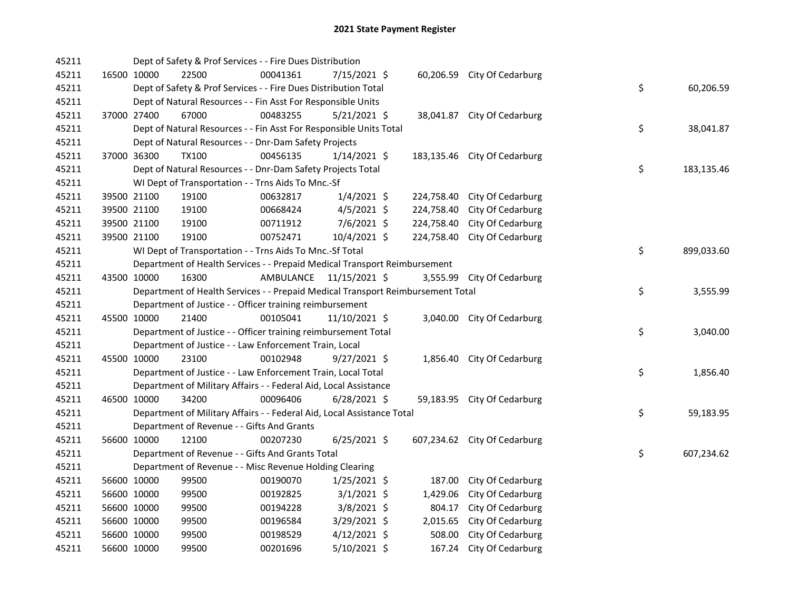| 45211 |             | Dept of Safety & Prof Services - - Fire Dues Distribution                       |                         |                |            |                              |    |            |
|-------|-------------|---------------------------------------------------------------------------------|-------------------------|----------------|------------|------------------------------|----|------------|
| 45211 | 16500 10000 | 22500                                                                           | 00041361                | 7/15/2021 \$   |            | 60,206.59 City Of Cedarburg  |    |            |
| 45211 |             | Dept of Safety & Prof Services - - Fire Dues Distribution Total                 |                         |                |            |                              | \$ | 60,206.59  |
| 45211 |             | Dept of Natural Resources - - Fin Asst For Responsible Units                    |                         |                |            |                              |    |            |
| 45211 | 37000 27400 | 67000                                                                           | 00483255                | $5/21/2021$ \$ |            | 38,041.87 City Of Cedarburg  |    |            |
| 45211 |             | Dept of Natural Resources - - Fin Asst For Responsible Units Total              |                         |                |            |                              | \$ | 38,041.87  |
| 45211 |             | Dept of Natural Resources - - Dnr-Dam Safety Projects                           |                         |                |            |                              |    |            |
| 45211 | 37000 36300 | <b>TX100</b>                                                                    | 00456135                | $1/14/2021$ \$ |            | 183,135.46 City Of Cedarburg |    |            |
| 45211 |             | Dept of Natural Resources - - Dnr-Dam Safety Projects Total                     |                         |                |            |                              | \$ | 183,135.46 |
| 45211 |             | WI Dept of Transportation - - Trns Aids To Mnc.-Sf                              |                         |                |            |                              |    |            |
| 45211 | 39500 21100 | 19100                                                                           | 00632817                | $1/4/2021$ \$  | 224,758.40 | City Of Cedarburg            |    |            |
| 45211 | 39500 21100 | 19100                                                                           | 00668424                | $4/5/2021$ \$  | 224,758.40 | City Of Cedarburg            |    |            |
| 45211 | 39500 21100 | 19100                                                                           | 00711912                | $7/6/2021$ \$  | 224,758.40 | City Of Cedarburg            |    |            |
| 45211 | 39500 21100 | 19100                                                                           | 00752471                | 10/4/2021 \$   | 224,758.40 | City Of Cedarburg            |    |            |
| 45211 |             | WI Dept of Transportation - - Trns Aids To Mnc.-Sf Total                        |                         |                |            |                              | \$ | 899,033.60 |
| 45211 |             | Department of Health Services - - Prepaid Medical Transport Reimbursement       |                         |                |            |                              |    |            |
| 45211 | 43500 10000 | 16300                                                                           | AMBULANCE 11/15/2021 \$ |                |            | 3,555.99 City Of Cedarburg   |    |            |
| 45211 |             | Department of Health Services - - Prepaid Medical Transport Reimbursement Total |                         |                |            |                              | \$ | 3,555.99   |
| 45211 |             | Department of Justice - - Officer training reimbursement                        |                         |                |            |                              |    |            |
| 45211 | 45500 10000 | 21400                                                                           | 00105041                | 11/10/2021 \$  |            | 3,040.00 City Of Cedarburg   |    |            |
| 45211 |             | Department of Justice - - Officer training reimbursement Total                  |                         |                |            |                              | \$ | 3,040.00   |
| 45211 |             | Department of Justice - - Law Enforcement Train, Local                          |                         |                |            |                              |    |            |
| 45211 | 45500 10000 | 23100                                                                           | 00102948                | $9/27/2021$ \$ |            | 1,856.40 City Of Cedarburg   |    |            |
| 45211 |             | Department of Justice - - Law Enforcement Train, Local Total                    |                         |                |            |                              | \$ | 1,856.40   |
| 45211 |             | Department of Military Affairs - - Federal Aid, Local Assistance                |                         |                |            |                              |    |            |
| 45211 | 46500 10000 | 34200                                                                           | 00096406                | $6/28/2021$ \$ |            | 59,183.95 City Of Cedarburg  |    |            |
| 45211 |             | Department of Military Affairs - - Federal Aid, Local Assistance Total          |                         |                |            |                              | \$ | 59,183.95  |
| 45211 |             | Department of Revenue - - Gifts And Grants                                      |                         |                |            |                              |    |            |
| 45211 | 56600 10000 | 12100                                                                           | 00207230                | $6/25/2021$ \$ |            | 607,234.62 City Of Cedarburg |    |            |
| 45211 |             | Department of Revenue - - Gifts And Grants Total                                |                         |                |            |                              | \$ | 607,234.62 |
| 45211 |             | Department of Revenue - - Misc Revenue Holding Clearing                         |                         |                |            |                              |    |            |
| 45211 | 56600 10000 | 99500                                                                           | 00190070                | $1/25/2021$ \$ | 187.00     | City Of Cedarburg            |    |            |
| 45211 | 56600 10000 | 99500                                                                           | 00192825                | $3/1/2021$ \$  | 1,429.06   | City Of Cedarburg            |    |            |
| 45211 | 56600 10000 | 99500                                                                           | 00194228                | 3/8/2021 \$    | 804.17     | City Of Cedarburg            |    |            |
| 45211 | 56600 10000 | 99500                                                                           | 00196584                | 3/29/2021 \$   | 2,015.65   | City Of Cedarburg            |    |            |
| 45211 | 56600 10000 | 99500                                                                           | 00198529                | $4/12/2021$ \$ | 508.00     | City Of Cedarburg            |    |            |
| 45211 | 56600 10000 | 99500                                                                           | 00201696                | 5/10/2021 \$   | 167.24     | City Of Cedarburg            |    |            |
|       |             |                                                                                 |                         |                |            |                              |    |            |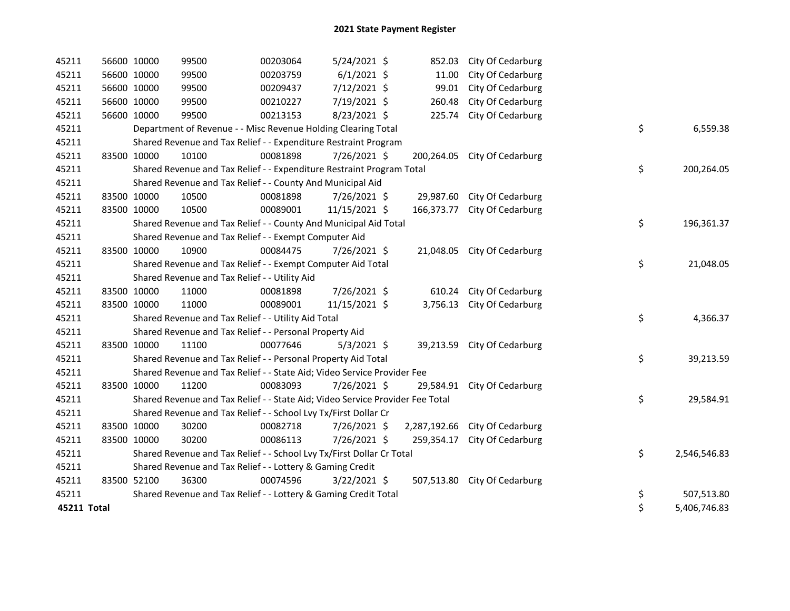| 45211       | 56600 10000 | 99500                                                                         | 00203064 | 5/24/2021 \$   | 852.03       | City Of Cedarburg           |    |              |
|-------------|-------------|-------------------------------------------------------------------------------|----------|----------------|--------------|-----------------------------|----|--------------|
| 45211       | 56600 10000 | 99500                                                                         | 00203759 | $6/1/2021$ \$  | 11.00        | City Of Cedarburg           |    |              |
| 45211       | 56600 10000 | 99500                                                                         | 00209437 | 7/12/2021 \$   | 99.01        | City Of Cedarburg           |    |              |
| 45211       | 56600 10000 | 99500                                                                         | 00210227 | 7/19/2021 \$   | 260.48       | City Of Cedarburg           |    |              |
| 45211       | 56600 10000 | 99500                                                                         | 00213153 | $8/23/2021$ \$ | 225.74       | City Of Cedarburg           |    |              |
| 45211       |             | Department of Revenue - - Misc Revenue Holding Clearing Total                 |          |                |              |                             | \$ | 6,559.38     |
| 45211       |             | Shared Revenue and Tax Relief - - Expenditure Restraint Program               |          |                |              |                             |    |              |
| 45211       | 83500 10000 | 10100                                                                         | 00081898 | 7/26/2021 \$   | 200,264.05   | City Of Cedarburg           |    |              |
| 45211       |             | Shared Revenue and Tax Relief - - Expenditure Restraint Program Total         |          |                |              |                             | \$ | 200,264.05   |
| 45211       |             | Shared Revenue and Tax Relief - - County And Municipal Aid                    |          |                |              |                             |    |              |
| 45211       | 83500 10000 | 10500                                                                         | 00081898 | 7/26/2021 \$   | 29,987.60    | City Of Cedarburg           |    |              |
| 45211       | 83500 10000 | 10500                                                                         | 00089001 | 11/15/2021 \$  | 166,373.77   | City Of Cedarburg           |    |              |
| 45211       |             | Shared Revenue and Tax Relief - - County And Municipal Aid Total              |          |                |              |                             | \$ | 196,361.37   |
| 45211       |             | Shared Revenue and Tax Relief - - Exempt Computer Aid                         |          |                |              |                             |    |              |
| 45211       | 83500 10000 | 10900                                                                         | 00084475 | 7/26/2021 \$   |              | 21,048.05 City Of Cedarburg |    |              |
| 45211       |             | Shared Revenue and Tax Relief - - Exempt Computer Aid Total                   |          |                |              |                             | \$ | 21,048.05    |
| 45211       |             | Shared Revenue and Tax Relief - - Utility Aid                                 |          |                |              |                             |    |              |
| 45211       | 83500 10000 | 11000                                                                         | 00081898 | 7/26/2021 \$   | 610.24       | City Of Cedarburg           |    |              |
| 45211       | 83500 10000 | 11000                                                                         | 00089001 | 11/15/2021 \$  | 3,756.13     | City Of Cedarburg           |    |              |
| 45211       |             | Shared Revenue and Tax Relief - - Utility Aid Total                           |          |                |              |                             | \$ | 4,366.37     |
| 45211       |             | Shared Revenue and Tax Relief - - Personal Property Aid                       |          |                |              |                             |    |              |
| 45211       | 83500 10000 | 11100                                                                         | 00077646 | $5/3/2021$ \$  | 39,213.59    | City Of Cedarburg           |    |              |
| 45211       |             | Shared Revenue and Tax Relief - - Personal Property Aid Total                 |          |                |              |                             | \$ | 39,213.59    |
| 45211       |             | Shared Revenue and Tax Relief - - State Aid; Video Service Provider Fee       |          |                |              |                             |    |              |
| 45211       | 83500 10000 | 11200                                                                         | 00083093 | 7/26/2021 \$   | 29,584.91    | City Of Cedarburg           |    |              |
| 45211       |             | Shared Revenue and Tax Relief - - State Aid; Video Service Provider Fee Total |          |                |              |                             | \$ | 29,584.91    |
| 45211       |             | Shared Revenue and Tax Relief - - School Lvy Tx/First Dollar Cr               |          |                |              |                             |    |              |
| 45211       | 83500 10000 | 30200                                                                         | 00082718 | 7/26/2021 \$   | 2,287,192.66 | City Of Cedarburg           |    |              |
| 45211       | 83500 10000 | 30200                                                                         | 00086113 | 7/26/2021 \$   | 259,354.17   | City Of Cedarburg           |    |              |
| 45211       |             | Shared Revenue and Tax Relief - - School Lvy Tx/First Dollar Cr Total         |          |                |              |                             | \$ | 2,546,546.83 |
| 45211       |             | Shared Revenue and Tax Relief - - Lottery & Gaming Credit                     |          |                |              |                             |    |              |
| 45211       | 83500 52100 | 36300                                                                         | 00074596 | $3/22/2021$ \$ | 507,513.80   | City Of Cedarburg           |    |              |
| 45211       |             | Shared Revenue and Tax Relief - - Lottery & Gaming Credit Total               |          |                |              |                             | \$ | 507,513.80   |
| 45211 Total |             |                                                                               |          |                |              |                             | \$ | 5,406,746.83 |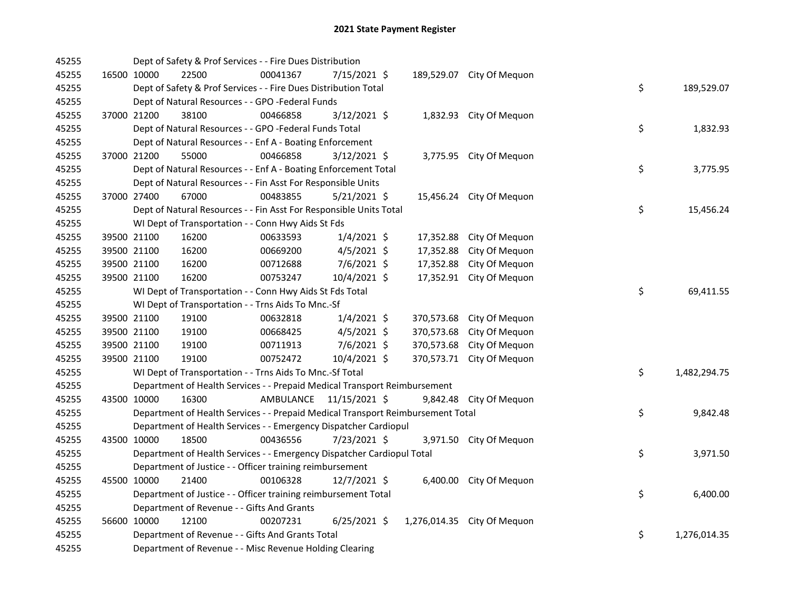| 45255 |             | Dept of Safety & Prof Services - - Fire Dues Distribution                       |           |                |              |                           |    |              |
|-------|-------------|---------------------------------------------------------------------------------|-----------|----------------|--------------|---------------------------|----|--------------|
| 45255 | 16500 10000 | 22500                                                                           | 00041367  | 7/15/2021 \$   |              | 189,529.07 City Of Mequon |    |              |
| 45255 |             | Dept of Safety & Prof Services - - Fire Dues Distribution Total                 |           |                |              |                           | \$ | 189,529.07   |
| 45255 |             | Dept of Natural Resources - - GPO -Federal Funds                                |           |                |              |                           |    |              |
| 45255 | 37000 21200 | 38100                                                                           | 00466858  | 3/12/2021 \$   |              | 1,832.93 City Of Mequon   |    |              |
| 45255 |             | Dept of Natural Resources - - GPO -Federal Funds Total                          |           |                |              |                           | \$ | 1,832.93     |
| 45255 |             | Dept of Natural Resources - - Enf A - Boating Enforcement                       |           |                |              |                           |    |              |
| 45255 | 37000 21200 | 55000                                                                           | 00466858  | $3/12/2021$ \$ |              | 3,775.95 City Of Mequon   |    |              |
| 45255 |             | Dept of Natural Resources - - Enf A - Boating Enforcement Total                 |           |                |              |                           | \$ | 3,775.95     |
| 45255 |             | Dept of Natural Resources - - Fin Asst For Responsible Units                    |           |                |              |                           |    |              |
| 45255 | 37000 27400 | 67000                                                                           | 00483855  | $5/21/2021$ \$ |              | 15,456.24 City Of Mequon  |    |              |
| 45255 |             | Dept of Natural Resources - - Fin Asst For Responsible Units Total              |           |                |              |                           | \$ | 15,456.24    |
| 45255 |             | WI Dept of Transportation - - Conn Hwy Aids St Fds                              |           |                |              |                           |    |              |
| 45255 | 39500 21100 | 16200                                                                           | 00633593  | $1/4/2021$ \$  | 17,352.88    | City Of Mequon            |    |              |
| 45255 | 39500 21100 | 16200                                                                           | 00669200  | $4/5/2021$ \$  | 17,352.88    | City Of Mequon            |    |              |
| 45255 | 39500 21100 | 16200                                                                           | 00712688  | 7/6/2021 \$    | 17,352.88    | City Of Mequon            |    |              |
| 45255 | 39500 21100 | 16200                                                                           | 00753247  | 10/4/2021 \$   | 17,352.91    | City Of Mequon            |    |              |
| 45255 |             | WI Dept of Transportation - - Conn Hwy Aids St Fds Total                        |           |                |              |                           | \$ | 69,411.55    |
| 45255 |             | WI Dept of Transportation - - Trns Aids To Mnc.-Sf                              |           |                |              |                           |    |              |
| 45255 | 39500 21100 | 19100                                                                           | 00632818  | $1/4/2021$ \$  | 370,573.68   | City Of Mequon            |    |              |
| 45255 | 39500 21100 | 19100                                                                           | 00668425  | $4/5/2021$ \$  | 370,573.68   | City Of Mequon            |    |              |
| 45255 | 39500 21100 | 19100                                                                           | 00711913  | $7/6/2021$ \$  | 370,573.68   | City Of Mequon            |    |              |
| 45255 | 39500 21100 | 19100                                                                           | 00752472  | 10/4/2021 \$   | 370,573.71   | City Of Mequon            |    |              |
| 45255 |             | WI Dept of Transportation - - Trns Aids To Mnc.-Sf Total                        |           |                |              |                           | \$ | 1,482,294.75 |
| 45255 |             | Department of Health Services - - Prepaid Medical Transport Reimbursement       |           |                |              |                           |    |              |
| 45255 | 43500 10000 | 16300                                                                           | AMBULANCE | 11/15/2021 \$  |              | 9,842.48 City Of Mequon   |    |              |
| 45255 |             | Department of Health Services - - Prepaid Medical Transport Reimbursement Total |           |                |              |                           | \$ | 9,842.48     |
| 45255 |             | Department of Health Services - - Emergency Dispatcher Cardiopul                |           |                |              |                           |    |              |
| 45255 | 43500 10000 | 18500                                                                           | 00436556  | 7/23/2021 \$   |              | 3,971.50 City Of Mequon   |    |              |
| 45255 |             | Department of Health Services - - Emergency Dispatcher Cardiopul Total          |           |                |              |                           | \$ | 3,971.50     |
| 45255 |             | Department of Justice - - Officer training reimbursement                        |           |                |              |                           |    |              |
| 45255 | 45500 10000 | 21400                                                                           | 00106328  | $12/7/2021$ \$ |              | 6,400.00 City Of Mequon   |    |              |
| 45255 |             | Department of Justice - - Officer training reimbursement Total                  |           |                |              |                           | \$ | 6,400.00     |
| 45255 |             | Department of Revenue - - Gifts And Grants                                      |           |                |              |                           |    |              |
| 45255 | 56600 10000 | 12100                                                                           | 00207231  | $6/25/2021$ \$ | 1,276,014.35 | City Of Mequon            |    |              |
| 45255 |             | Department of Revenue - - Gifts And Grants Total                                |           |                |              |                           | \$ | 1,276,014.35 |
| 45255 |             | Department of Revenue - - Misc Revenue Holding Clearing                         |           |                |              |                           |    |              |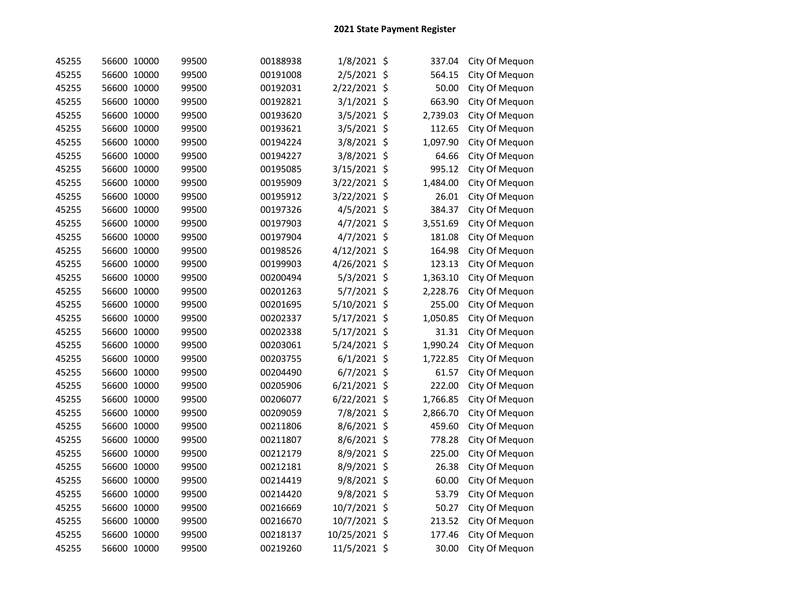| 45255 | 56600 10000 |       | 99500 | 00188938 | 1/8/2021 \$    | 337.04       | City Of Mequon |
|-------|-------------|-------|-------|----------|----------------|--------------|----------------|
| 45255 | 56600 10000 |       | 99500 | 00191008 | 2/5/2021 \$    | 564.15       | City Of Mequon |
| 45255 | 56600 10000 |       | 99500 | 00192031 | 2/22/2021 \$   | 50.00        | City Of Mequon |
| 45255 | 56600 10000 |       | 99500 | 00192821 | 3/1/2021 \$    | 663.90       | City Of Mequon |
| 45255 | 56600 10000 |       | 99500 | 00193620 | 3/5/2021 \$    | 2,739.03     | City Of Mequon |
| 45255 | 56600 10000 |       | 99500 | 00193621 | 3/5/2021 \$    | 112.65       | City Of Mequon |
| 45255 | 56600 10000 |       | 99500 | 00194224 | 3/8/2021 \$    | 1,097.90     | City Of Mequon |
| 45255 | 56600 10000 |       | 99500 | 00194227 | 3/8/2021 \$    | 64.66        | City Of Mequon |
| 45255 | 56600 10000 |       | 99500 | 00195085 | 3/15/2021 \$   | 995.12       | City Of Mequon |
| 45255 | 56600 10000 |       | 99500 | 00195909 | 3/22/2021 \$   | 1,484.00     | City Of Mequon |
| 45255 | 56600 10000 |       | 99500 | 00195912 | 3/22/2021 \$   | 26.01        | City Of Mequon |
| 45255 | 56600 10000 |       | 99500 | 00197326 | 4/5/2021 \$    | 384.37       | City Of Mequon |
| 45255 | 56600 10000 |       | 99500 | 00197903 | 4/7/2021 \$    | 3,551.69     | City Of Mequon |
| 45255 | 56600 10000 |       | 99500 | 00197904 | $4/7/2021$ \$  | 181.08       | City Of Mequon |
| 45255 | 56600 10000 |       | 99500 | 00198526 | 4/12/2021 \$   | 164.98       | City Of Mequon |
| 45255 | 56600 10000 |       | 99500 | 00199903 | 4/26/2021 \$   | 123.13       | City Of Mequon |
| 45255 | 56600 10000 |       | 99500 | 00200494 | 5/3/2021 \$    | 1,363.10     | City Of Mequon |
| 45255 | 56600 10000 |       | 99500 | 00201263 | 5/7/2021 \$    | 2,228.76     | City Of Mequon |
| 45255 | 56600 10000 |       | 99500 | 00201695 | 5/10/2021 \$   | 255.00       | City Of Mequon |
| 45255 | 56600 10000 |       | 99500 | 00202337 | 5/17/2021 \$   | 1,050.85     | City Of Mequon |
| 45255 | 56600 10000 |       | 99500 | 00202338 | 5/17/2021 \$   | 31.31        | City Of Mequon |
| 45255 | 56600 10000 |       | 99500 | 00203061 | 5/24/2021 \$   | 1,990.24     | City Of Mequon |
| 45255 | 56600 10000 |       | 99500 | 00203755 | $6/1/2021$ \$  | 1,722.85     | City Of Mequon |
| 45255 | 56600 10000 |       | 99500 | 00204490 | 6/7/2021 \$    | 61.57        | City Of Mequon |
| 45255 | 56600 10000 |       | 99500 | 00205906 | 6/21/2021 \$   | 222.00       | City Of Mequon |
| 45255 | 56600       | 10000 | 99500 | 00206077 | $6/22/2021$ \$ | 1,766.85     | City Of Mequon |
| 45255 | 56600 10000 |       | 99500 | 00209059 | 7/8/2021 \$    | 2,866.70     | City Of Mequon |
| 45255 | 56600 10000 |       | 99500 | 00211806 | 8/6/2021 \$    | 459.60       | City Of Mequon |
| 45255 | 56600 10000 |       | 99500 | 00211807 | 8/6/2021 \$    | 778.28       | City Of Mequon |
| 45255 | 56600 10000 |       | 99500 | 00212179 | 8/9/2021 \$    | 225.00       | City Of Mequon |
| 45255 | 56600 10000 |       | 99500 | 00212181 | 8/9/2021 \$    | 26.38        | City Of Mequon |
| 45255 | 56600 10000 |       | 99500 | 00214419 | 9/8/2021 \$    | 60.00        | City Of Mequon |
| 45255 | 56600 10000 |       | 99500 | 00214420 | 9/8/2021 \$    | 53.79        | City Of Mequon |
| 45255 | 56600 10000 |       | 99500 | 00216669 | 10/7/2021 \$   | 50.27        | City Of Mequon |
| 45255 | 56600 10000 |       | 99500 | 00216670 | 10/7/2021 \$   | 213.52       | City Of Mequon |
| 45255 | 56600 10000 |       | 99500 | 00218137 | 10/25/2021     | \$<br>177.46 | City Of Mequon |
| 45255 | 56600 10000 |       | 99500 | 00219260 | 11/5/2021 \$   | 30.00        | City Of Mequon |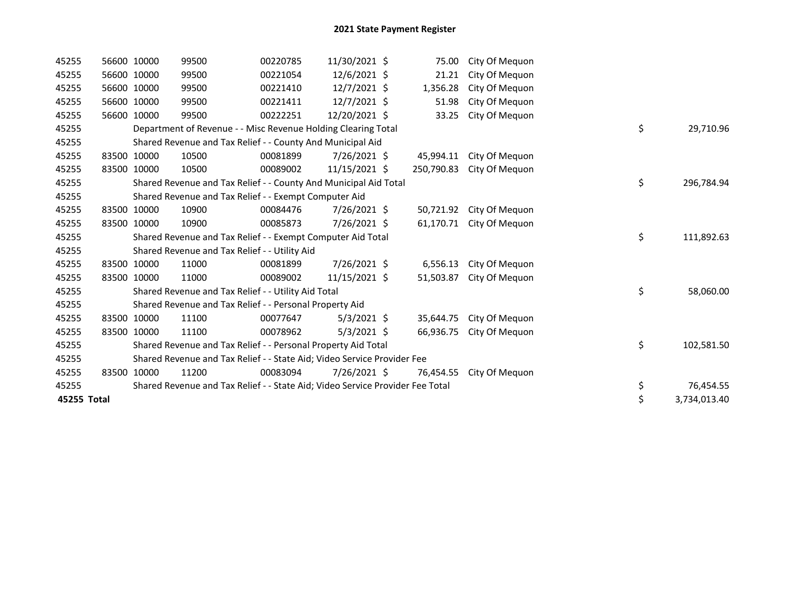| 45255       |             | 56600 10000 | 99500                                                                         | 00220785 | 11/30/2021 \$  | 75.00      | City Of Mequon |    |              |
|-------------|-------------|-------------|-------------------------------------------------------------------------------|----------|----------------|------------|----------------|----|--------------|
| 45255       |             | 56600 10000 | 99500                                                                         | 00221054 | $12/6/2021$ \$ | 21.21      | City Of Mequon |    |              |
| 45255       | 56600 10000 |             | 99500                                                                         | 00221410 | $12/7/2021$ \$ | 1,356.28   | City Of Mequon |    |              |
| 45255       |             | 56600 10000 | 99500                                                                         | 00221411 | 12/7/2021 \$   | 51.98      | City Of Mequon |    |              |
| 45255       |             | 56600 10000 | 99500                                                                         | 00222251 | 12/20/2021 \$  | 33.25      | City Of Mequon |    |              |
| 45255       |             |             | Department of Revenue - - Misc Revenue Holding Clearing Total                 |          |                |            |                | \$ | 29,710.96    |
| 45255       |             |             | Shared Revenue and Tax Relief - - County And Municipal Aid                    |          |                |            |                |    |              |
| 45255       |             | 83500 10000 | 10500                                                                         | 00081899 | 7/26/2021 \$   | 45,994.11  | City Of Mequon |    |              |
| 45255       |             | 83500 10000 | 10500                                                                         | 00089002 | 11/15/2021 \$  | 250,790.83 | City Of Meguon |    |              |
| 45255       |             |             | Shared Revenue and Tax Relief - - County And Municipal Aid Total              |          |                |            |                | \$ | 296,784.94   |
| 45255       |             |             | Shared Revenue and Tax Relief - - Exempt Computer Aid                         |          |                |            |                |    |              |
| 45255       |             | 83500 10000 | 10900                                                                         | 00084476 | 7/26/2021 \$   | 50,721.92  | City Of Meguon |    |              |
| 45255       |             | 83500 10000 | 10900                                                                         | 00085873 | 7/26/2021 \$   | 61,170.71  | City Of Mequon |    |              |
| 45255       |             |             | Shared Revenue and Tax Relief - - Exempt Computer Aid Total                   |          |                |            |                | \$ | 111,892.63   |
| 45255       |             |             | Shared Revenue and Tax Relief - - Utility Aid                                 |          |                |            |                |    |              |
| 45255       |             | 83500 10000 | 11000                                                                         | 00081899 | 7/26/2021 \$   | 6,556.13   | City Of Mequon |    |              |
| 45255       | 83500 10000 |             | 11000                                                                         | 00089002 | 11/15/2021 \$  | 51,503.87  | City Of Mequon |    |              |
| 45255       |             |             | Shared Revenue and Tax Relief - - Utility Aid Total                           |          |                |            |                | \$ | 58,060.00    |
| 45255       |             |             | Shared Revenue and Tax Relief - - Personal Property Aid                       |          |                |            |                |    |              |
| 45255       | 83500 10000 |             | 11100                                                                         | 00077647 | $5/3/2021$ \$  | 35,644.75  | City Of Mequon |    |              |
| 45255       |             | 83500 10000 | 11100                                                                         | 00078962 | $5/3/2021$ \$  | 66,936.75  | City Of Mequon |    |              |
| 45255       |             |             | Shared Revenue and Tax Relief - - Personal Property Aid Total                 |          |                |            |                | \$ | 102,581.50   |
| 45255       |             |             | Shared Revenue and Tax Relief - - State Aid; Video Service Provider Fee       |          |                |            |                |    |              |
| 45255       |             | 83500 10000 | 11200                                                                         | 00083094 | 7/26/2021 \$   | 76,454.55  | City Of Mequon |    |              |
| 45255       |             |             | Shared Revenue and Tax Relief - - State Aid; Video Service Provider Fee Total |          |                |            |                | \$ | 76,454.55    |
| 45255 Total |             |             |                                                                               |          |                |            |                | \$ | 3,734,013.40 |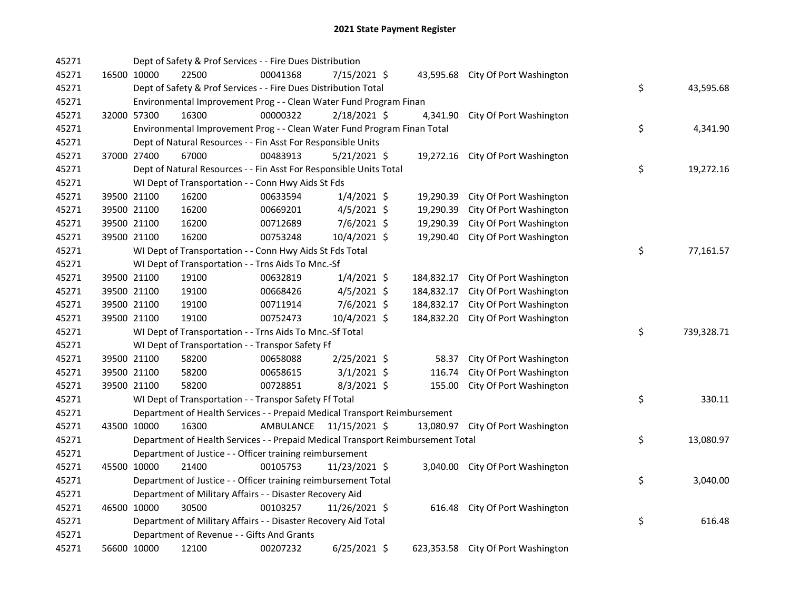| 45271 | Dept of Safety & Prof Services - - Fire Dues Distribution                       |                                                                           |           |                |           |            |                                    |  |    |            |
|-------|---------------------------------------------------------------------------------|---------------------------------------------------------------------------|-----------|----------------|-----------|------------|------------------------------------|--|----|------------|
| 45271 | 16500 10000                                                                     | 22500                                                                     | 00041368  | 7/15/2021 \$   |           |            | 43,595.68 City Of Port Washington  |  |    |            |
| 45271 |                                                                                 | Dept of Safety & Prof Services - - Fire Dues Distribution Total           |           | \$             | 43,595.68 |            |                                    |  |    |            |
| 45271 | Environmental Improvement Prog - - Clean Water Fund Program Finan               |                                                                           |           |                |           |            |                                    |  |    |            |
| 45271 | 32000 57300                                                                     | 16300                                                                     | 00000322  | $2/18/2021$ \$ |           | 4,341.90   | City Of Port Washington            |  |    |            |
| 45271 |                                                                                 | Environmental Improvement Prog - - Clean Water Fund Program Finan Total   |           | \$             | 4,341.90  |            |                                    |  |    |            |
| 45271 |                                                                                 | Dept of Natural Resources - - Fin Asst For Responsible Units              |           |                |           |            |                                    |  |    |            |
| 45271 | 37000 27400                                                                     | 67000                                                                     | 00483913  | $5/21/2021$ \$ |           |            | 19,272.16 City Of Port Washington  |  |    |            |
| 45271 |                                                                                 | Dept of Natural Resources - - Fin Asst For Responsible Units Total        |           |                |           |            |                                    |  | \$ | 19,272.16  |
| 45271 |                                                                                 | WI Dept of Transportation - - Conn Hwy Aids St Fds                        |           |                |           |            |                                    |  |    |            |
| 45271 | 39500 21100                                                                     | 16200                                                                     | 00633594  | $1/4/2021$ \$  |           | 19,290.39  | City Of Port Washington            |  |    |            |
| 45271 | 39500 21100                                                                     | 16200                                                                     | 00669201  | $4/5/2021$ \$  |           | 19,290.39  | City Of Port Washington            |  |    |            |
| 45271 | 39500 21100                                                                     | 16200                                                                     | 00712689  | $7/6/2021$ \$  |           | 19,290.39  | City Of Port Washington            |  |    |            |
| 45271 | 39500 21100                                                                     | 16200                                                                     | 00753248  | 10/4/2021 \$   |           | 19,290.40  | City Of Port Washington            |  |    |            |
| 45271 |                                                                                 | WI Dept of Transportation - - Conn Hwy Aids St Fds Total                  |           |                |           |            |                                    |  | \$ | 77,161.57  |
| 45271 |                                                                                 | WI Dept of Transportation - - Trns Aids To Mnc.-Sf                        |           |                |           |            |                                    |  |    |            |
| 45271 | 39500 21100                                                                     | 19100                                                                     | 00632819  | $1/4/2021$ \$  |           | 184,832.17 | City Of Port Washington            |  |    |            |
| 45271 | 39500 21100                                                                     | 19100                                                                     | 00668426  | $4/5/2021$ \$  |           | 184,832.17 | City Of Port Washington            |  |    |            |
| 45271 | 39500 21100                                                                     | 19100                                                                     | 00711914  | 7/6/2021 \$    |           | 184,832.17 | City Of Port Washington            |  |    |            |
| 45271 | 39500 21100                                                                     | 19100                                                                     | 00752473  | 10/4/2021 \$   |           | 184,832.20 | City Of Port Washington            |  |    |            |
| 45271 |                                                                                 | WI Dept of Transportation - - Trns Aids To Mnc.-Sf Total                  |           |                |           |            |                                    |  | \$ | 739,328.71 |
| 45271 |                                                                                 | WI Dept of Transportation - - Transpor Safety Ff                          |           |                |           |            |                                    |  |    |            |
| 45271 | 39500 21100                                                                     | 58200                                                                     | 00658088  | 2/25/2021 \$   |           | 58.37      | City Of Port Washington            |  |    |            |
| 45271 | 39500 21100                                                                     | 58200                                                                     | 00658615  | $3/1/2021$ \$  |           | 116.74     | City Of Port Washington            |  |    |            |
| 45271 | 39500 21100                                                                     | 58200                                                                     | 00728851  | $8/3/2021$ \$  |           | 155.00     | City Of Port Washington            |  |    |            |
| 45271 | WI Dept of Transportation - - Transpor Safety Ff Total                          |                                                                           |           |                |           |            |                                    |  | \$ | 330.11     |
| 45271 |                                                                                 | Department of Health Services - - Prepaid Medical Transport Reimbursement |           |                |           |            |                                    |  |    |            |
| 45271 | 43500 10000                                                                     | 16300                                                                     | AMBULANCE | 11/15/2021 \$  |           |            | 13,080.97 City Of Port Washington  |  |    |            |
| 45271 | Department of Health Services - - Prepaid Medical Transport Reimbursement Total |                                                                           |           |                |           |            |                                    |  | \$ | 13,080.97  |
| 45271 | Department of Justice - - Officer training reimbursement                        |                                                                           |           |                |           |            |                                    |  |    |            |
| 45271 | 45500 10000                                                                     | 21400                                                                     | 00105753  | 11/23/2021 \$  |           |            | 3,040.00 City Of Port Washington   |  |    |            |
| 45271 | Department of Justice - - Officer training reimbursement Total                  |                                                                           |           |                |           |            |                                    |  | \$ | 3,040.00   |
| 45271 | Department of Military Affairs - - Disaster Recovery Aid                        |                                                                           |           |                |           |            |                                    |  |    |            |
| 45271 | 46500 10000                                                                     | 30500                                                                     | 00103257  | 11/26/2021 \$  |           | 616.48     | City Of Port Washington            |  |    |            |
| 45271 | Department of Military Affairs - - Disaster Recovery Aid Total                  |                                                                           |           |                |           |            |                                    |  | \$ | 616.48     |
| 45271 | Department of Revenue - - Gifts And Grants                                      |                                                                           |           |                |           |            |                                    |  |    |            |
| 45271 | 56600 10000                                                                     | 12100                                                                     | 00207232  | $6/25/2021$ \$ |           |            | 623,353.58 City Of Port Washington |  |    |            |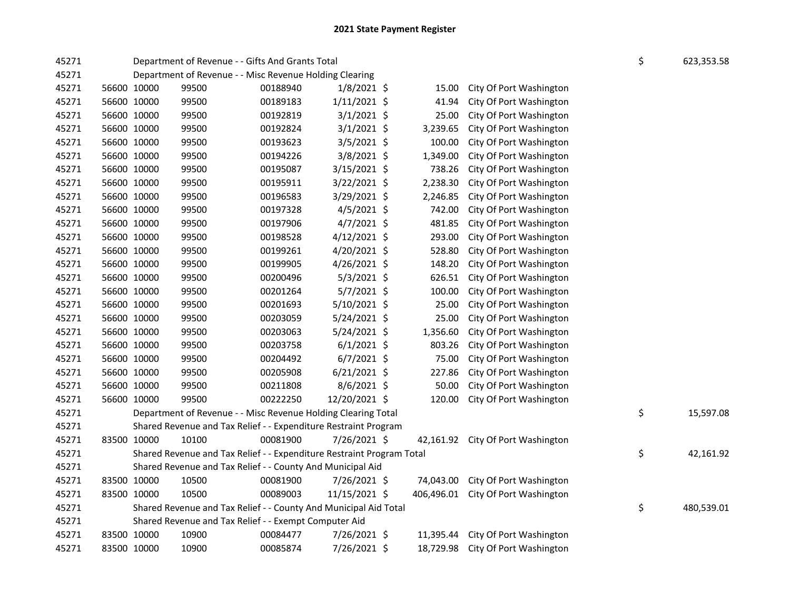| 45271 |             | Department of Revenue - - Gifts And Grants Total                      | \$    | 623,353.58 |                |  |            |                                   |  |           |  |
|-------|-------------|-----------------------------------------------------------------------|-------|------------|----------------|--|------------|-----------------------------------|--|-----------|--|
| 45271 |             | Department of Revenue - - Misc Revenue Holding Clearing               |       |            |                |  |            |                                   |  |           |  |
| 45271 |             | 56600 10000                                                           | 99500 | 00188940   | $1/8/2021$ \$  |  | 15.00      | City Of Port Washington           |  |           |  |
| 45271 |             | 56600 10000                                                           | 99500 | 00189183   | $1/11/2021$ \$ |  | 41.94      | City Of Port Washington           |  |           |  |
| 45271 |             | 56600 10000                                                           | 99500 | 00192819   | $3/1/2021$ \$  |  | 25.00      | City Of Port Washington           |  |           |  |
| 45271 |             | 56600 10000                                                           | 99500 | 00192824   | $3/1/2021$ \$  |  | 3,239.65   | City Of Port Washington           |  |           |  |
| 45271 |             | 56600 10000                                                           | 99500 | 00193623   | $3/5/2021$ \$  |  | 100.00     | City Of Port Washington           |  |           |  |
| 45271 |             | 56600 10000                                                           | 99500 | 00194226   | 3/8/2021 \$    |  | 1,349.00   | City Of Port Washington           |  |           |  |
| 45271 |             | 56600 10000                                                           | 99500 | 00195087   | 3/15/2021 \$   |  | 738.26     | City Of Port Washington           |  |           |  |
| 45271 |             | 56600 10000                                                           | 99500 | 00195911   | 3/22/2021 \$   |  | 2,238.30   | City Of Port Washington           |  |           |  |
| 45271 |             | 56600 10000                                                           | 99500 | 00196583   | 3/29/2021 \$   |  | 2,246.85   | City Of Port Washington           |  |           |  |
| 45271 |             | 56600 10000                                                           | 99500 | 00197328   | 4/5/2021 \$    |  | 742.00     | City Of Port Washington           |  |           |  |
| 45271 |             | 56600 10000                                                           | 99500 | 00197906   | 4/7/2021 \$    |  | 481.85     | City Of Port Washington           |  |           |  |
| 45271 | 56600 10000 |                                                                       | 99500 | 00198528   | 4/12/2021 \$   |  | 293.00     | City Of Port Washington           |  |           |  |
| 45271 | 56600 10000 |                                                                       | 99500 | 00199261   | 4/20/2021 \$   |  | 528.80     | City Of Port Washington           |  |           |  |
| 45271 |             | 56600 10000                                                           | 99500 | 00199905   | $4/26/2021$ \$ |  | 148.20     | City Of Port Washington           |  |           |  |
| 45271 | 56600 10000 |                                                                       | 99500 | 00200496   | $5/3/2021$ \$  |  | 626.51     | City Of Port Washington           |  |           |  |
| 45271 | 56600 10000 |                                                                       | 99500 | 00201264   | 5/7/2021 \$    |  | 100.00     | City Of Port Washington           |  |           |  |
| 45271 | 56600 10000 |                                                                       | 99500 | 00201693   | 5/10/2021 \$   |  | 25.00      | City Of Port Washington           |  |           |  |
| 45271 |             | 56600 10000                                                           | 99500 | 00203059   | 5/24/2021 \$   |  | 25.00      | City Of Port Washington           |  |           |  |
| 45271 |             | 56600 10000                                                           | 99500 | 00203063   | 5/24/2021 \$   |  | 1,356.60   | City Of Port Washington           |  |           |  |
| 45271 |             | 56600 10000                                                           | 99500 | 00203758   | $6/1/2021$ \$  |  | 803.26     | City Of Port Washington           |  |           |  |
| 45271 |             | 56600 10000                                                           | 99500 | 00204492   | $6/7/2021$ \$  |  | 75.00      | City Of Port Washington           |  |           |  |
| 45271 |             | 56600 10000                                                           | 99500 | 00205908   | $6/21/2021$ \$ |  | 227.86     | City Of Port Washington           |  |           |  |
| 45271 | 56600 10000 |                                                                       | 99500 | 00211808   | 8/6/2021 \$    |  | 50.00      | City Of Port Washington           |  |           |  |
| 45271 |             | 56600 10000                                                           | 99500 | 00222250   | 12/20/2021 \$  |  | 120.00     | City Of Port Washington           |  |           |  |
| 45271 |             | Department of Revenue - - Misc Revenue Holding Clearing Total         | \$    | 15,597.08  |                |  |            |                                   |  |           |  |
| 45271 |             | Shared Revenue and Tax Relief - - Expenditure Restraint Program       |       |            |                |  |            |                                   |  |           |  |
| 45271 | 83500 10000 |                                                                       | 10100 | 00081900   | 7/26/2021 \$   |  |            | 42,161.92 City Of Port Washington |  |           |  |
| 45271 |             | Shared Revenue and Tax Relief - - Expenditure Restraint Program Total |       |            |                |  |            |                                   |  | 42,161.92 |  |
| 45271 |             | Shared Revenue and Tax Relief - - County And Municipal Aid            |       |            |                |  |            |                                   |  |           |  |
| 45271 |             | 83500 10000                                                           | 10500 | 00081900   | 7/26/2021 \$   |  | 74,043.00  | City Of Port Washington           |  |           |  |
| 45271 | 83500 10000 |                                                                       | 10500 | 00089003   | 11/15/2021 \$  |  | 406,496.01 | City Of Port Washington           |  |           |  |
| 45271 |             | Shared Revenue and Tax Relief - - County And Municipal Aid Total      | \$    | 480,539.01 |                |  |            |                                   |  |           |  |
| 45271 |             | Shared Revenue and Tax Relief - - Exempt Computer Aid                 |       |            |                |  |            |                                   |  |           |  |
| 45271 | 83500 10000 |                                                                       | 10900 | 00084477   | 7/26/2021 \$   |  | 11,395.44  | City Of Port Washington           |  |           |  |
| 45271 |             | 83500 10000                                                           | 10900 | 00085874   | 7/26/2021 \$   |  | 18,729.98  | City Of Port Washington           |  |           |  |